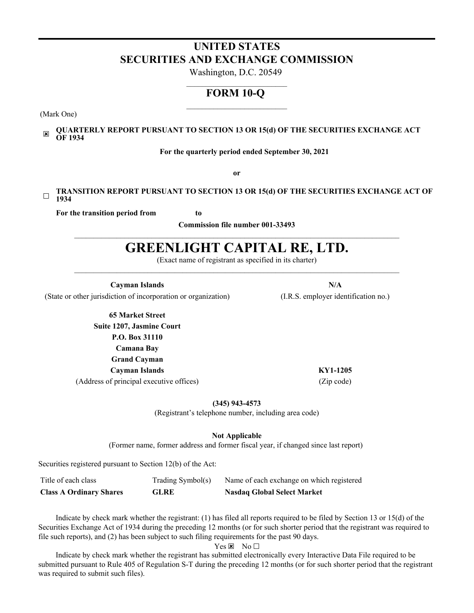## **UNITED STATES SECURITIES AND EXCHANGE COMMISSION**

Washington, D.C. 20549  $\mathcal{L}=\mathcal{L}=\mathcal{L}=\mathcal{L}=\mathcal{L}=\mathcal{L}=\mathcal{L}=\mathcal{L}=\mathcal{L}=\mathcal{L}=\mathcal{L}=\mathcal{L}=\mathcal{L}=\mathcal{L}=\mathcal{L}=\mathcal{L}=\mathcal{L}=\mathcal{L}=\mathcal{L}=\mathcal{L}=\mathcal{L}=\mathcal{L}=\mathcal{L}=\mathcal{L}=\mathcal{L}=\mathcal{L}=\mathcal{L}=\mathcal{L}=\mathcal{L}=\mathcal{L}=\mathcal{L}=\mathcal{L}=\mathcal{L}=\mathcal{L}=\mathcal{L}=\mathcal{L}=\mathcal{$ 

## **FORM 10-Q**  $\mathcal{L}_\text{max}$

(Mark One)

#### $\overline{\mathbf{x}}$ **QUARTERLY REPORT PURSUANT TO SECTION 13 OR 15(d) OF THE SECURITIES EXCHANGE ACT OF 1934**

**For the quarterly period ended September 30, 2021**

**or**

#### ☐ **TRANSITION REPORT PURSUANT TO SECTION 13 OR 15(d) OF THE SECURITIES EXCHANGE ACT OF 1934**

**For the transition period from to**

**Commission file number 001-33493**  $\mathcal{L}_\mathcal{L} = \{ \mathcal{L}_\mathcal{L} = \{ \mathcal{L}_\mathcal{L} = \{ \mathcal{L}_\mathcal{L} = \{ \mathcal{L}_\mathcal{L} = \{ \mathcal{L}_\mathcal{L} = \{ \mathcal{L}_\mathcal{L} = \{ \mathcal{L}_\mathcal{L} = \{ \mathcal{L}_\mathcal{L} = \{ \mathcal{L}_\mathcal{L} = \{ \mathcal{L}_\mathcal{L} = \{ \mathcal{L}_\mathcal{L} = \{ \mathcal{L}_\mathcal{L} = \{ \mathcal{L}_\mathcal{L} = \{ \mathcal{L}_\mathcal{$ 

# **GREENLIGHT CAPITAL RE, LTD.**

(Exact name of registrant as specified in its charter)  $\mathcal{L}_\mathcal{L} = \{ \mathcal{L}_\mathcal{L} = \{ \mathcal{L}_\mathcal{L} = \{ \mathcal{L}_\mathcal{L} = \{ \mathcal{L}_\mathcal{L} = \{ \mathcal{L}_\mathcal{L} = \{ \mathcal{L}_\mathcal{L} = \{ \mathcal{L}_\mathcal{L} = \{ \mathcal{L}_\mathcal{L} = \{ \mathcal{L}_\mathcal{L} = \{ \mathcal{L}_\mathcal{L} = \{ \mathcal{L}_\mathcal{L} = \{ \mathcal{L}_\mathcal{L} = \{ \mathcal{L}_\mathcal{L} = \{ \mathcal{L}_\mathcal{$ 

(State or other jurisdiction of incorporation or organization) (I.R.S. employer identification no.)

**65 Market Street Suite 1207, Jasmine Court P.O. Box 31110 Camana Bay Grand Cayman Cayman Islands KY1-1205** (Address of principal executive offices) (Zip code)

**(345) 943-4573**

(Registrant's telephone number, including area code)

**Not Applicable**

(Former name, former address and former fiscal year, if changed since last report)

Securities registered pursuant to Section 12(b) of the Act:

| <b>Class A Ordinary Shares</b> | <b>GLRE</b>       | <b>Nasdaq Global Select Market</b>        |
|--------------------------------|-------------------|-------------------------------------------|
| Title of each class            | Trading Symbol(s) | Name of each exchange on which registered |

Indicate by check mark whether the registrant: (1) has filed all reports required to be filed by Section 13 or 15(d) of the Securities Exchange Act of 1934 during the preceding 12 months (or for such shorter period that the registrant was required to file such reports), and (2) has been subject to such filing requirements for the past 90 days.

 $Yes \times No \Box$ 

Indicate by check mark whether the registrant has submitted electronically every Interactive Data File required to be submitted pursuant to Rule 405 of Regulation S-T during the preceding 12 months (or for such shorter period that the registrant was required to submit such files).

**Cayman Islands N/A**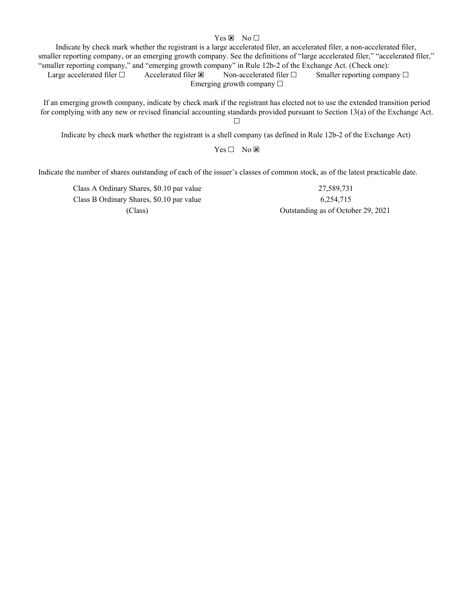## Yes  $\times$  No  $\Box$

Indicate by check mark whether the registrant is a large accelerated filer, an accelerated filer, a non-accelerated filer, smaller reporting company, or an emerging growth company. See the definitions of "large accelerated filer," "accelerated filer," "smaller reporting company," and "emerging growth company" in Rule 12b-2 of the Exchange Act. (Check one):

Large accelerated filer  $□$  Accelerated filer  $□$  Non-accelerated filer  $□$  Smaller reporting company  $□$ Emerging growth company  $\Box$ 

If an emerging growth company, indicate by check mark if the registrant has elected not to use the extended transition period for complying with any new or revised financial accounting standards provided pursuant to Section 13(a) of the Exchange Act.  $\Box$ 

Indicate by check mark whether the registrant is a shell company (as defined in Rule 12b-2 of the Exchange Act)

 $Yes \Box No \boxtimes$ 

Indicate the number of shares outstanding of each of the issuer's classes of common stock, as of the latest practicable date.

Class A Ordinary Shares, \$0.10 par value 27,589,731 Class B Ordinary Shares, \$0.10 par value 6,254,715

(Class) Outstanding as of October 29, 2021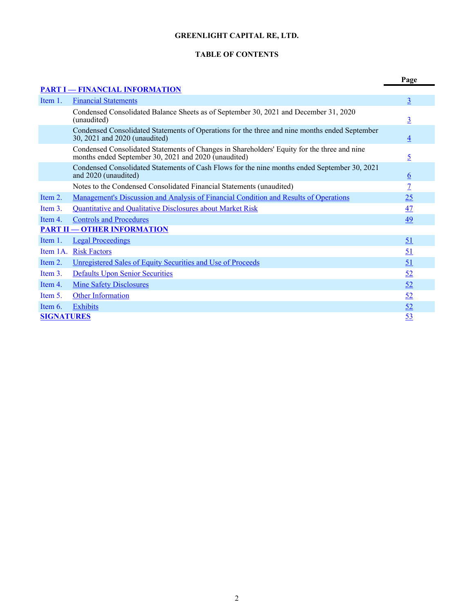## **GREENLIGHT CAPITAL RE, LTD.**

## **TABLE OF CONTENTS**

<span id="page-2-0"></span>

|                   |                                                                                                                                                     | Page            |
|-------------------|-----------------------------------------------------------------------------------------------------------------------------------------------------|-----------------|
|                   | <b>PART I - FINANCIAL INFORMATION</b>                                                                                                               |                 |
| Item 1.           | <b>Financial Statements</b>                                                                                                                         | $\overline{3}$  |
|                   | Condensed Consolidated Balance Sheets as of September 30, 2021 and December 31, 2020<br>(unaudited)                                                 | $\overline{3}$  |
|                   | Condensed Consolidated Statements of Operations for the three and nine months ended September<br>30, 2021 and 2020 (unaudited)                      | $\overline{4}$  |
|                   | Condensed Consolidated Statements of Changes in Shareholders' Equity for the three and nine<br>months ended September 30, 2021 and 2020 (unaudited) | 5               |
|                   | Condensed Consolidated Statements of Cash Flows for the nine months ended September 30, 2021<br>and 2020 (unaudited)                                | $6\overline{6}$ |
|                   | Notes to the Condensed Consolidated Financial Statements (unaudited)                                                                                | 7               |
| Item 2.           | <u>Management's Discussion and Analysis of Financial Condition and Results of Operations</u>                                                        | 25              |
| Item $3$ .        | <b>Quantitative and Qualitative Disclosures about Market Risk</b>                                                                                   | 47              |
| Item 4.           | <b>Controls and Procedures</b>                                                                                                                      | 49              |
|                   | <b>PART II - OTHER INFORMATION</b>                                                                                                                  |                 |
| Item 1.           | <b>Legal Proceedings</b>                                                                                                                            | 51              |
| Item 1A.          | <b>Risk Factors</b>                                                                                                                                 | 51              |
| Item 2.           | Unregistered Sales of Equity Securities and Use of Proceeds                                                                                         | 51              |
| Item 3.           | <b>Defaults Upon Senior Securities</b>                                                                                                              | <u>52</u>       |
| Item 4.           | <b>Mine Safety Disclosures</b>                                                                                                                      | 52              |
| Item 5.           | <b>Other Information</b>                                                                                                                            | 52              |
| Item $6$ .        | <b>Exhibits</b>                                                                                                                                     | <u>52</u>       |
| <b>SIGNATURES</b> |                                                                                                                                                     | 53              |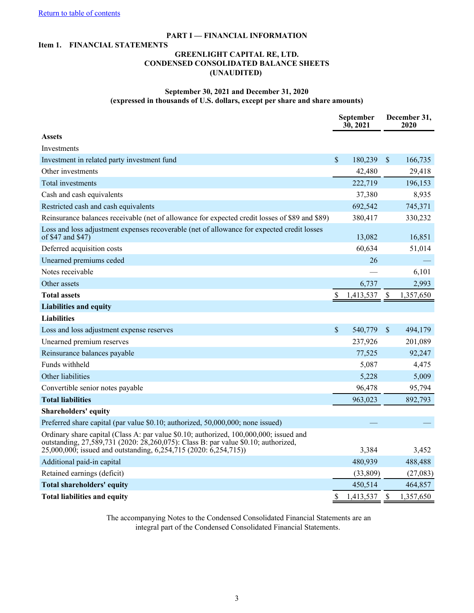## **PART I — FINANCIAL INFORMATION**

#### <span id="page-3-0"></span>**Item 1. FINANCIAL STATEMENTS**

## **GREENLIGHT CAPITAL RE, LTD. CONDENSED CONSOLIDATED BALANCE SHEETS (UNAUDITED)**

## **September 30, 2021 and December 31, 2020 (expressed in thousands of U.S. dollars, except per share and share amounts)**

|                                                                                                                                                                                                                                                  |               | September<br>30, 2021 |                           | December 31,<br>2020 |
|--------------------------------------------------------------------------------------------------------------------------------------------------------------------------------------------------------------------------------------------------|---------------|-----------------------|---------------------------|----------------------|
| <b>Assets</b>                                                                                                                                                                                                                                    |               |                       |                           |                      |
| Investments                                                                                                                                                                                                                                      |               |                       |                           |                      |
| Investment in related party investment fund                                                                                                                                                                                                      | $\mathcal{S}$ | 180,239               | $\sqrt{\ }$               | 166,735              |
| Other investments                                                                                                                                                                                                                                |               | 42,480                |                           | 29,418               |
| Total investments                                                                                                                                                                                                                                |               | 222,719               |                           | 196,153              |
| Cash and cash equivalents                                                                                                                                                                                                                        |               | 37,380                |                           | 8,935                |
| Restricted cash and cash equivalents                                                                                                                                                                                                             |               | 692,542               |                           | 745,371              |
| Reinsurance balances receivable (net of allowance for expected credit losses of \$89 and \$89)                                                                                                                                                   |               | 380,417               |                           | 330,232              |
| Loss and loss adjustment expenses recoverable (net of allowance for expected credit losses<br>of \$47 and \$47)                                                                                                                                  |               | 13,082                |                           | 16,851               |
| Deferred acquisition costs                                                                                                                                                                                                                       |               | 60,634                |                           | 51,014               |
| Unearned premiums ceded                                                                                                                                                                                                                          |               | 26                    |                           |                      |
| Notes receivable                                                                                                                                                                                                                                 |               |                       |                           | 6,101                |
| Other assets                                                                                                                                                                                                                                     |               | 6,737                 |                           | 2,993                |
| <b>Total assets</b>                                                                                                                                                                                                                              | \$            | 1,413,537             | $\boldsymbol{\mathsf{S}}$ | 1,357,650            |
| <b>Liabilities and equity</b>                                                                                                                                                                                                                    |               |                       |                           |                      |
| <b>Liabilities</b>                                                                                                                                                                                                                               |               |                       |                           |                      |
| Loss and loss adjustment expense reserves                                                                                                                                                                                                        | $\mathcal{S}$ | 540,779               | $\mathbf{s}$              | 494,179              |
| Unearned premium reserves                                                                                                                                                                                                                        |               | 237,926               |                           | 201,089              |
| Reinsurance balances payable                                                                                                                                                                                                                     |               | 77,525                |                           | 92,247               |
| Funds withheld                                                                                                                                                                                                                                   |               | 5,087                 |                           | 4,475                |
| Other liabilities                                                                                                                                                                                                                                |               | 5,228                 |                           | 5,009                |
| Convertible senior notes payable                                                                                                                                                                                                                 |               | 96,478                |                           | 95,794               |
| <b>Total liabilities</b>                                                                                                                                                                                                                         |               | 963,023               |                           | 892,793              |
| Shareholders' equity                                                                                                                                                                                                                             |               |                       |                           |                      |
| Preferred share capital (par value \$0.10; authorized, 50,000,000; none issued)                                                                                                                                                                  |               |                       |                           |                      |
| Ordinary share capital (Class A: par value \$0.10; authorized, 100,000,000; issued and<br>outstanding, 27,589,731 (2020: 28,260,075): Class B: par value \$0.10; authorized,<br>25,000,000; issued and outstanding, 6,254,715 (2020: 6,254,715)) |               | 3,384                 |                           | 3,452                |
| Additional paid-in capital                                                                                                                                                                                                                       |               | 480,939               |                           | 488,488              |
| Retained earnings (deficit)                                                                                                                                                                                                                      |               | (33,809)              |                           | (27,083)             |
| <b>Total shareholders' equity</b>                                                                                                                                                                                                                |               | 450,514               |                           | 464,857              |
| <b>Total liabilities and equity</b>                                                                                                                                                                                                              | \$            | 1,413,537             | $\mathcal{S}$             | 1,357,650            |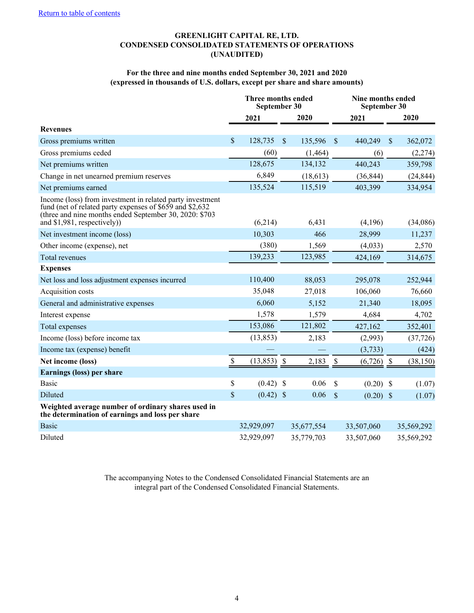## **GREENLIGHT CAPITAL RE, LTD. CONDENSED CONSOLIDATED STATEMENTS OF OPERATIONS (UNAUDITED)**

## **For the three and nine months ended September 30, 2021 and 2020 (expressed in thousands of U.S. dollars, except per share and share amounts)**

<span id="page-4-0"></span>

|                                                                                                                                                                                                                 | Three months ended<br>September 30 |                |               |            | Nine months ended<br>September 30 |              |               |            |  |
|-----------------------------------------------------------------------------------------------------------------------------------------------------------------------------------------------------------------|------------------------------------|----------------|---------------|------------|-----------------------------------|--------------|---------------|------------|--|
|                                                                                                                                                                                                                 |                                    | 2021           |               | 2020       |                                   | 2021         |               | 2020       |  |
| <b>Revenues</b>                                                                                                                                                                                                 |                                    |                |               |            |                                   |              |               |            |  |
| Gross premiums written                                                                                                                                                                                          | \$                                 | 128,735        | $\mathcal{S}$ | 135,596    | $\sqrt{\frac{2}{5}}$              | 440,249      | $\mathcal{S}$ | 362,072    |  |
| Gross premiums ceded                                                                                                                                                                                            |                                    | (60)           |               | (1, 464)   |                                   | (6)          |               | (2,274)    |  |
| Net premiums written                                                                                                                                                                                            |                                    | 128,675        |               | 134,132    |                                   | 440,243      |               | 359,798    |  |
| Change in net unearned premium reserves                                                                                                                                                                         |                                    | 6,849          |               | (18,613)   |                                   | (36, 844)    |               | (24, 844)  |  |
| Net premiums earned                                                                                                                                                                                             |                                    | 135,524        |               | 115,519    |                                   | 403,399      |               | 334,954    |  |
| Income (loss) from investment in related party investment<br>fund (net of related party expenses of \$659 and \$2,632)<br>(three and nine months ended September 30, 2020: \$703<br>and \$1,981, respectively)) |                                    | (6,214)        |               | 6,431      |                                   | (4,196)      |               | (34,086)   |  |
| Net investment income (loss)                                                                                                                                                                                    |                                    | 10,303         |               | 466        |                                   | 28,999       |               | 11,237     |  |
| Other income (expense), net                                                                                                                                                                                     |                                    | (380)          |               | 1,569      |                                   | (4,033)      |               | 2,570      |  |
| <b>Total revenues</b>                                                                                                                                                                                           |                                    | 139,233        |               | 123,985    |                                   | 424,169      |               | 314,675    |  |
| <b>Expenses</b>                                                                                                                                                                                                 |                                    |                |               |            |                                   |              |               |            |  |
| Net loss and loss adjustment expenses incurred                                                                                                                                                                  |                                    | 110,400        |               | 88,053     |                                   | 295,078      |               | 252,944    |  |
| Acquisition costs                                                                                                                                                                                               |                                    | 35,048         |               | 27,018     |                                   | 106,060      |               | 76,660     |  |
| General and administrative expenses                                                                                                                                                                             |                                    | 6,060          |               | 5,152      |                                   | 21,340       |               | 18,095     |  |
| Interest expense                                                                                                                                                                                                |                                    | 1,578          |               | 1,579      |                                   | 4,684        |               | 4,702      |  |
| Total expenses                                                                                                                                                                                                  |                                    | 153,086        |               | 121,802    |                                   | 427,162      |               | 352,401    |  |
| Income (loss) before income tax                                                                                                                                                                                 |                                    | (13, 853)      |               | 2,183      |                                   | (2,993)      |               | (37, 726)  |  |
| Income tax (expense) benefit                                                                                                                                                                                    |                                    |                |               |            |                                   | (3,733)      |               | (424)      |  |
| Net income (loss)                                                                                                                                                                                               | \$                                 | $(13, 853)$ \$ |               | 2,183      | $\boldsymbol{\mathsf{S}}$         | $(6,726)$ \$ |               | (38, 150)  |  |
| Earnings (loss) per share                                                                                                                                                                                       |                                    |                |               |            |                                   |              |               |            |  |
| <b>Basic</b>                                                                                                                                                                                                    | \$                                 | $(0.42)$ \$    |               | 0.06       | $\mathcal{S}$                     | $(0.20)$ \$  |               | (1.07)     |  |
| Diluted                                                                                                                                                                                                         | \$                                 | $(0.42)$ \$    |               | 0.06       | $\mathcal{S}$                     | $(0.20)$ \$  |               | (1.07)     |  |
| Weighted average number of ordinary shares used in<br>the determination of earnings and loss per share                                                                                                          |                                    |                |               |            |                                   |              |               |            |  |
| <b>Basic</b>                                                                                                                                                                                                    |                                    | 32,929,097     |               | 35,677,554 |                                   | 33,507,060   |               | 35,569,292 |  |
| Diluted                                                                                                                                                                                                         |                                    | 32,929,097     |               | 35,779,703 |                                   | 33,507,060   |               | 35,569,292 |  |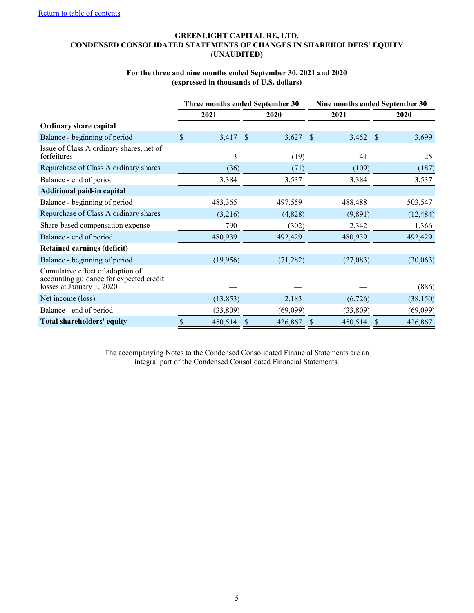## <span id="page-5-0"></span>**GREENLIGHT CAPITAL RE, LTD. CONDENSED CONSOLIDATED STATEMENTS OF CHANGES IN SHAREHOLDERS' EQUITY (UNAUDITED)**

## **For the three and nine months ended September 30, 2021 and 2020 (expressed in thousands of U.S. dollars)**

|                                                                                                          |      | Three months ended September 30 |    |           |              | Nine months ended September 30 |    |           |  |  |
|----------------------------------------------------------------------------------------------------------|------|---------------------------------|----|-----------|--------------|--------------------------------|----|-----------|--|--|
|                                                                                                          |      | 2021                            |    | 2020      |              | 2021                           |    | 2020      |  |  |
| <b>Ordinary share capital</b>                                                                            |      |                                 |    |           |              |                                |    |           |  |  |
| Balance - beginning of period                                                                            | \$   | 3,417 \$                        |    | 3,627     | <sup>S</sup> | 3,452                          | -S | 3,699     |  |  |
| Issue of Class A ordinary shares, net of<br>forfeitures                                                  |      | 3                               |    | (19)      |              | 41                             |    | 25        |  |  |
| Repurchase of Class A ordinary shares                                                                    |      | (36)                            |    | (71)      |              | (109)                          |    | (187)     |  |  |
| Balance - end of period                                                                                  |      | 3,384                           |    | 3,537     |              | 3,384                          |    | 3,537     |  |  |
| <b>Additional paid-in capital</b>                                                                        |      |                                 |    |           |              |                                |    |           |  |  |
| Balance - beginning of period                                                                            |      | 483,365                         |    | 497,559   |              | 488,488                        |    | 503,547   |  |  |
| Repurchase of Class A ordinary shares                                                                    |      | (3,216)                         |    | (4,828)   |              | (9,891)                        |    | (12, 484) |  |  |
| Share-based compensation expense                                                                         |      | 790                             |    | (302)     |              | 2,342                          |    | 1,366     |  |  |
| Balance - end of period                                                                                  |      | 480,939                         |    | 492,429   |              | 480,939                        |    | 492,429   |  |  |
| <b>Retained earnings (deficit)</b>                                                                       |      |                                 |    |           |              |                                |    |           |  |  |
| Balance - beginning of period                                                                            |      | (19,956)                        |    | (71, 282) |              | (27,083)                       |    | (30,063)  |  |  |
| Cumulative effect of adoption of<br>accounting guidance for expected credit<br>losses at January 1, 2020 |      |                                 |    |           |              |                                |    | (886)     |  |  |
| Net income (loss)                                                                                        |      | (13, 853)                       |    | 2,183     |              | (6,726)                        |    | (38, 150) |  |  |
| Balance - end of period                                                                                  |      | (33,809)                        |    | (69,099)  |              | (33,809)                       |    | (69,099)  |  |  |
| <b>Total shareholders' equity</b>                                                                        | $\$$ | 450,514                         | \$ | 426,867   | \$           | 450,514                        | \$ | 426,867   |  |  |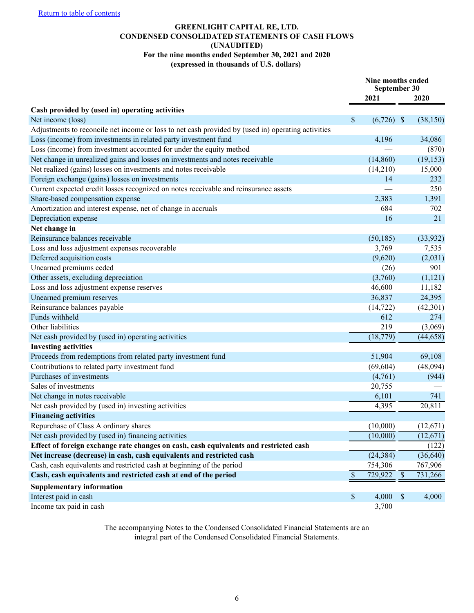## **GREENLIGHT CAPITAL RE, LTD. CONDENSED CONSOLIDATED STATEMENTS OF CASH FLOWS (UNAUDITED) For the nine months ended September 30, 2021 and 2020**

#### **(expressed in thousands of U.S. dollars)**

<span id="page-6-0"></span>

|                                                                                                    |               | Nine months ended<br>September 30 |                           |                      |
|----------------------------------------------------------------------------------------------------|---------------|-----------------------------------|---------------------------|----------------------|
|                                                                                                    |               | 2021                              |                           | 2020                 |
| Cash provided by (used in) operating activities                                                    |               |                                   |                           |                      |
| Net income (loss)                                                                                  | $\mathbb{S}$  | $(6,726)$ \$                      |                           | (38, 150)            |
| Adjustments to reconcile net income or loss to net cash provided by (used in) operating activities |               |                                   |                           |                      |
| Loss (income) from investments in related party investment fund                                    |               | 4,196                             |                           | 34,086               |
| Loss (income) from investment accounted for under the equity method                                |               |                                   |                           | (870)                |
| Net change in unrealized gains and losses on investments and notes receivable                      |               | (14, 860)                         |                           | (19, 153)            |
| Net realized (gains) losses on investments and notes receivable                                    |               | (14,210)                          |                           | 15,000               |
| Foreign exchange (gains) losses on investments                                                     |               | 14                                |                           | 232                  |
| Current expected credit losses recognized on notes receivable and reinsurance assets               |               |                                   |                           | 250                  |
| Share-based compensation expense                                                                   |               | 2,383                             |                           | 1,391                |
| Amortization and interest expense, net of change in accruals                                       |               | 684                               |                           | 702                  |
| Depreciation expense                                                                               |               | 16                                |                           | 21                   |
| Net change in                                                                                      |               |                                   |                           |                      |
| Reinsurance balances receivable                                                                    |               | (50, 185)                         |                           | (33,932)             |
| Loss and loss adjustment expenses recoverable                                                      |               | 3,769                             |                           | 7,535                |
| Deferred acquisition costs                                                                         |               | (9,620)                           |                           | (2,031)              |
| Unearned premiums ceded                                                                            |               | (26)                              |                           | 901                  |
| Other assets, excluding depreciation                                                               |               | (3,760)                           |                           | (1,121)              |
| Loss and loss adjustment expense reserves                                                          |               | 46,600                            |                           | 11,182               |
| Unearned premium reserves                                                                          |               | 36,837                            |                           | 24,395               |
| Reinsurance balances payable                                                                       |               | (14, 722)                         |                           | (42,301)             |
| Funds withheld                                                                                     |               | 612                               |                           | 274                  |
| Other liabilities                                                                                  |               | 219                               |                           | (3,069)              |
| Net cash provided by (used in) operating activities                                                |               | (18, 779)                         |                           | (44, 658)            |
| <b>Investing activities</b>                                                                        |               |                                   |                           |                      |
| Proceeds from redemptions from related party investment fund                                       |               | 51,904                            |                           | 69,108               |
| Contributions to related party investment fund                                                     |               | (69, 604)                         |                           | (48,094)             |
| Purchases of investments                                                                           |               | (4,761)                           |                           | (944)                |
| Sales of investments                                                                               |               | 20,755                            |                           |                      |
| Net change in notes receivable                                                                     |               | 6,101                             |                           | 741                  |
| Net cash provided by (used in) investing activities                                                |               | 4,395                             |                           | 20,811               |
| <b>Financing activities</b>                                                                        |               |                                   |                           |                      |
| Repurchase of Class A ordinary shares                                                              |               | (10,000)                          |                           | (12, 671)            |
| Net cash provided by (used in) financing activities                                                |               | (10,000)                          |                           | (12, 671)            |
| Effect of foreign exchange rate changes on cash, cash equivalents and restricted cash              |               |                                   |                           | (122)                |
| Net increase (decrease) in cash, cash equivalents and restricted cash                              |               | (24, 384)                         |                           | (36, 640)            |
| Cash, cash equivalents and restricted cash at beginning of the period                              |               | 754,306                           |                           | 767,906              |
| Cash, cash equivalents and restricted cash at end of the period                                    | $\mathcal{S}$ | 729,922                           | $\boldsymbol{\mathsf{S}}$ | $\overline{73}1,266$ |
| <b>Supplementary information</b>                                                                   |               |                                   |                           |                      |
| Interest paid in cash                                                                              | \$            | 4,000                             | $\mathbb{S}$              | 4,000                |
| Income tax paid in cash                                                                            |               | 3,700                             |                           |                      |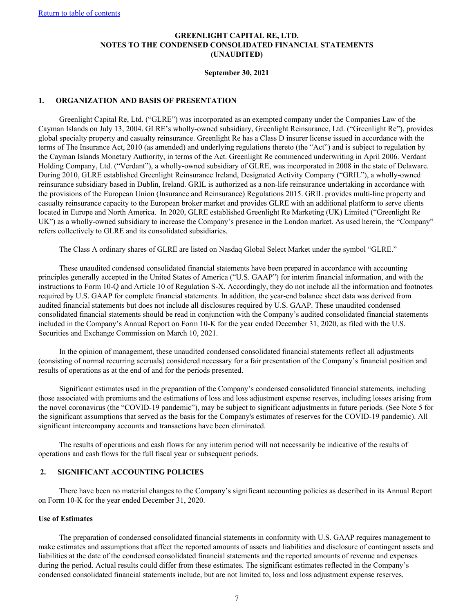<span id="page-7-0"></span>[Return to table of contents](#page-2-0)

## **GREENLIGHT CAPITAL RE, LTD. NOTES TO THE CONDENSED CONSOLIDATED FINANCIAL STATEMENTS (UNAUDITED)**

#### **September 30, 2021**

#### **1. ORGANIZATION AND BASIS OF PRESENTATION**

Greenlight Capital Re, Ltd. ("GLRE") was incorporated as an exempted company under the Companies Law of the Cayman Islands on July 13, 2004. GLRE's wholly-owned subsidiary, Greenlight Reinsurance, Ltd. ("Greenlight Re"), provides global specialty property and casualty reinsurance. Greenlight Re has a Class D insurer license issued in accordance with the terms of The Insurance Act, 2010 (as amended) and underlying regulations thereto (the "Act") and is subject to regulation by the Cayman Islands Monetary Authority, in terms of the Act. Greenlight Re commenced underwriting in April 2006. Verdant Holding Company, Ltd. ("Verdant"), a wholly-owned subsidiary of GLRE, was incorporated in 2008 in the state of Delaware. During 2010, GLRE established Greenlight Reinsurance Ireland, Designated Activity Company ("GRIL"), a wholly-owned reinsurance subsidiary based in Dublin, Ireland. GRIL is authorized as a non-life reinsurance undertaking in accordance with the provisions of the European Union (Insurance and Reinsurance) Regulations 2015. GRIL provides multi-line property and casualty reinsurance capacity to the European broker market and provides GLRE with an additional platform to serve clients located in Europe and North America. In 2020, GLRE established Greenlight Re Marketing (UK) Limited ("Greenlight Re UK") as a wholly-owned subsidiary to increase the Company's presence in the London market. As used herein, the "Company" refers collectively to GLRE and its consolidated subsidiaries.

The Class A ordinary shares of GLRE are listed on Nasdaq Global Select Market under the symbol "GLRE."

These unaudited condensed consolidated financial statements have been prepared in accordance with accounting principles generally accepted in the United States of America ("U.S. GAAP") for interim financial information, and with the instructions to Form 10-Q and Article 10 of Regulation S-X. Accordingly, they do not include all the information and footnotes required by U.S. GAAP for complete financial statements. In addition, the year-end balance sheet data was derived from audited financial statements but does not include all disclosures required by U.S. GAAP. These unaudited condensed consolidated financial statements should be read in conjunction with the Company's audited consolidated financial statements included in the Company's Annual Report on Form 10-K for the year ended December 31, 2020, as filed with the U.S. Securities and Exchange Commission on March 10, 2021.

In the opinion of management, these unaudited condensed consolidated financial statements reflect all adjustments (consisting of normal recurring accruals) considered necessary for a fair presentation of the Company's financial position and results of operations as at the end of and for the periods presented.

Significant estimates used in the preparation of the Company's condensed consolidated financial statements, including those associated with premiums and the estimations of loss and loss adjustment expense reserves, including losses arising from the novel coronavirus (the "COVID-19 pandemic"), may be subject to significant adjustments in future periods. (See Note 5 for the significant assumptions that served as the basis for the Company's estimates of reserves for the COVID-19 pandemic). All significant intercompany accounts and transactions have been eliminated.

The results of operations and cash flows for any interim period will not necessarily be indicative of the results of operations and cash flows for the full fiscal year or subsequent periods.

#### **2. SIGNIFICANT ACCOUNTING POLICIES**

There have been no material changes to the Company's significant accounting policies as described in its Annual Report on Form 10-K for the year ended December 31, 2020.

#### **Use of Estimates**

The preparation of condensed consolidated financial statements in conformity with U.S. GAAP requires management to make estimates and assumptions that affect the reported amounts of assets and liabilities and disclosure of contingent assets and liabilities at the date of the condensed consolidated financial statements and the reported amounts of revenue and expenses during the period. Actual results could differ from these estimates. The significant estimates reflected in the Company's condensed consolidated financial statements include, but are not limited to, loss and loss adjustment expense reserves,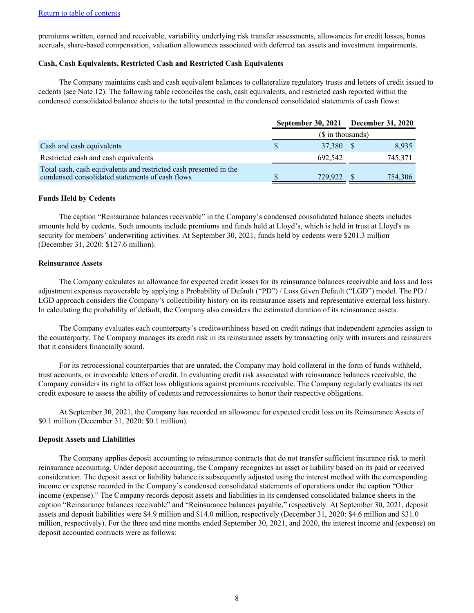premiums written, earned and receivable, variability underlying risk transfer assessments, allowances for credit losses, bonus accruals, share-based compensation, valuation allowances associated with deferred tax assets and investment impairments.

## **Cash, Cash Equivalents, Restricted Cash and Restricted Cash Equivalents**

The Company maintains cash and cash equivalent balances to collateralize regulatory trusts and letters of credit issued to cedents (see Note 12). The following table reconciles the cash, cash equivalents, and restricted cash reported within the condensed consolidated balance sheets to the total presented in the condensed consolidated statements of cash flows:

|                                                                                                                      | September 30, 2021 December 31, 2020 |            |  |         |  |  |  |
|----------------------------------------------------------------------------------------------------------------------|--------------------------------------|------------|--|---------|--|--|--|
|                                                                                                                      | (\$ in thousands)                    |            |  |         |  |  |  |
| Cash and cash equivalents                                                                                            |                                      | 37,380 \$  |  | 8,935   |  |  |  |
| Restricted cash and cash equivalents                                                                                 |                                      | 692,542    |  | 745,371 |  |  |  |
| Total cash, cash equivalents and restricted cash presented in the<br>condensed consolidated statements of cash flows |                                      | 729,922 \$ |  | 754,306 |  |  |  |

#### **Funds Held by Cedents**

The caption "Reinsurance balances receivable" in the Company's condensed consolidated balance sheets includes amounts held by cedents. Such amounts include premiums and funds held at Lloyd's, which is held in trust at Lloyd's as security for members' underwriting activities. At September 30, 2021, funds held by cedents were \$201.3 million (December 31, 2020: \$127.6 million).

#### **Reinsurance Assets**

The Company calculates an allowance for expected credit losses for its reinsurance balances receivable and loss and loss adjustment expenses recoverable by applying a Probability of Default ("PD") / Loss Given Default ("LGD") model. The PD / LGD approach considers the Company's collectibility history on its reinsurance assets and representative external loss history. In calculating the probability of default, the Company also considers the estimated duration of its reinsurance assets.

The Company evaluates each counterparty's creditworthiness based on credit ratings that independent agencies assign to the counterparty. The Company manages its credit risk in its reinsurance assets by transacting only with insurers and reinsurers that it considers financially sound.

For its retrocessional counterparties that are unrated, the Company may hold collateral in the form of funds withheld, trust accounts, or irrevocable letters of credit. In evaluating credit risk associated with reinsurance balances receivable, the Company considers its right to offset loss obligations against premiums receivable. The Company regularly evaluates its net credit exposure to assess the ability of cedents and retrocessionaires to honor their respective obligations.

At September 30, 2021, the Company has recorded an allowance for expected credit loss on its Reinsurance Assets of \$0.1 million (December 31, 2020: \$0.1 million).

#### **Deposit Assets and Liabilities**

The Company applies deposit accounting to reinsurance contracts that do not transfer sufficient insurance risk to merit reinsurance accounting. Under deposit accounting, the Company recognizes an asset or liability based on its paid or received consideration. The deposit asset or liability balance is subsequently adjusted using the interest method with the corresponding income or expense recorded in the Company's condensed consolidated statements of operations under the caption "Other income (expense)." The Company records deposit assets and liabilities in its condensed consolidated balance sheets in the caption "Reinsurance balances receivable" and "Reinsurance balances payable," respectively. At September 30, 2021, deposit assets and deposit liabilities were \$4.9 million and \$14.0 million, respectively (December 31, 2020: \$4.6 million and \$31.0 million, respectively). For the three and nine months ended September 30, 2021, and 2020, the interest income and (expense) on deposit accounted contracts were as follows: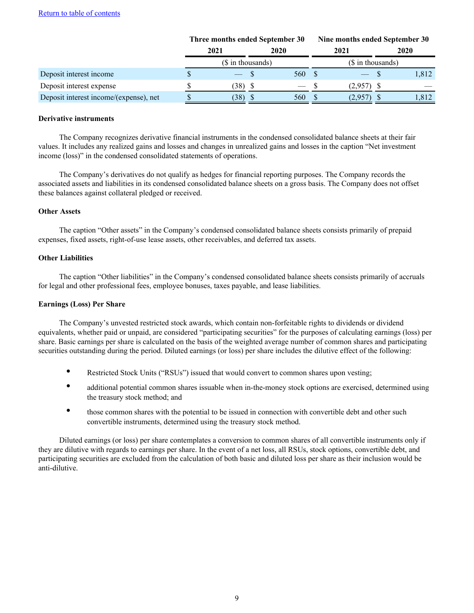|                                        | Three months ended September 30 |                   |  | Nine months ended September 30 |  |                   |  |       |
|----------------------------------------|---------------------------------|-------------------|--|--------------------------------|--|-------------------|--|-------|
|                                        |                                 | 2021              |  | 2020                           |  | 2021              |  | 2020  |
|                                        |                                 | (\$ in thousands) |  |                                |  | (\$ in thousands) |  |       |
| Deposit interest income                |                                 |                   |  | 560 \$                         |  |                   |  | 1,812 |
| Deposit interest expense               |                                 | 38) S             |  | — S                            |  | $(2.957)$ \$      |  |       |
| Deposit interest income/(expense), net |                                 | $(38)$ \$         |  | <b>560</b>                     |  | $(2,957)$ \$      |  | 1,812 |

#### **Derivative instruments**

The Company recognizes derivative financial instruments in the condensed consolidated balance sheets at their fair values. It includes any realized gains and losses and changes in unrealized gains and losses in the caption "Net investment income (loss)" in the condensed consolidated statements of operations.

The Company's derivatives do not qualify as hedges for financial reporting purposes. The Company records the associated assets and liabilities in its condensed consolidated balance sheets on a gross basis. The Company does not offset these balances against collateral pledged or received.

#### **Other Assets**

The caption "Other assets" in the Company's condensed consolidated balance sheets consists primarily of prepaid expenses, fixed assets, right-of-use lease assets, other receivables, and deferred tax assets.

#### **Other Liabilities**

The caption "Other liabilities" in the Company's condensed consolidated balance sheets consists primarily of accruals for legal and other professional fees, employee bonuses, taxes payable, and lease liabilities.

## **Earnings (Loss) Per Share**

The Company's unvested restricted stock awards, which contain non-forfeitable rights to dividends or dividend equivalents, whether paid or unpaid, are considered "participating securities" for the purposes of calculating earnings (loss) per share. Basic earnings per share is calculated on the basis of the weighted average number of common shares and participating securities outstanding during the period. Diluted earnings (or loss) per share includes the dilutive effect of the following:

- Restricted Stock Units ("RSUs") issued that would convert to common shares upon vesting;
- additional potential common shares issuable when in-the-money stock options are exercised, determined using the treasury stock method; and
- those common shares with the potential to be issued in connection with convertible debt and other such convertible instruments, determined using the treasury stock method.

Diluted earnings (or loss) per share contemplates a conversion to common shares of all convertible instruments only if they are dilutive with regards to earnings per share. In the event of a net loss, all RSUs, stock options, convertible debt, and participating securities are excluded from the calculation of both basic and diluted loss per share as their inclusion would be anti-dilutive.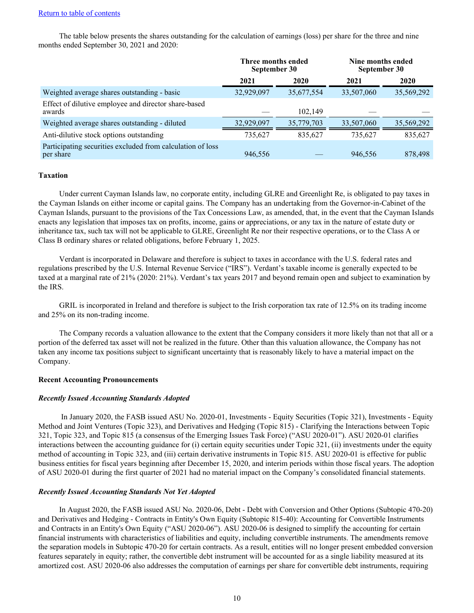The table below presents the shares outstanding for the calculation of earnings (loss) per share for the three and nine months ended September 30, 2021 and 2020:

|                                                                         | Three months ended<br>September 30 |            | Nine months ended<br>September 30 |            |  |
|-------------------------------------------------------------------------|------------------------------------|------------|-----------------------------------|------------|--|
|                                                                         | 2021                               | 2020       | 2021                              | 2020       |  |
| Weighted average shares outstanding - basic                             | 32,929,097                         | 35,677,554 | 33,507,060                        | 35,569,292 |  |
| Effect of dilutive employee and director share-based<br>awards          |                                    | 102.149    |                                   |            |  |
| Weighted average shares outstanding - diluted                           | 32,929,097                         | 35,779,703 | 33,507,060                        | 35,569,292 |  |
| Anti-dilutive stock options outstanding                                 | 735,627                            | 835,627    | 735,627                           | 835,627    |  |
| Participating securities excluded from calculation of loss<br>per share | 946,556                            |            | 946,556                           | 878,498    |  |

#### **Taxation**

Under current Cayman Islands law, no corporate entity, including GLRE and Greenlight Re, is obligated to pay taxes in the Cayman Islands on either income or capital gains. The Company has an undertaking from the Governor-in-Cabinet of the Cayman Islands, pursuant to the provisions of the Tax Concessions Law, as amended, that, in the event that the Cayman Islands enacts any legislation that imposes tax on profits, income, gains or appreciations, or any tax in the nature of estate duty or inheritance tax, such tax will not be applicable to GLRE, Greenlight Re nor their respective operations, or to the Class A or Class B ordinary shares or related obligations, before February 1, 2025.

Verdant is incorporated in Delaware and therefore is subject to taxes in accordance with the U.S. federal rates and regulations prescribed by the U.S. Internal Revenue Service ("IRS"). Verdant's taxable income is generally expected to be taxed at a marginal rate of 21% (2020: 21%). Verdant's tax years 2017 and beyond remain open and subject to examination by the IRS.

GRIL is incorporated in Ireland and therefore is subject to the Irish corporation tax rate of 12.5% on its trading income and 25% on its non-trading income.

The Company records a valuation allowance to the extent that the Company considers it more likely than not that all or a portion of the deferred tax asset will not be realized in the future. Other than this valuation allowance, the Company has not taken any income tax positions subject to significant uncertainty that is reasonably likely to have a material impact on the Company.

#### **Recent Accounting Pronouncements**

#### *Recently Issued Accounting Standards Adopted*

 In January 2020, the FASB issued ASU No. 2020-01, Investments - Equity Securities (Topic 321), Investments - Equity Method and Joint Ventures (Topic 323), and Derivatives and Hedging (Topic 815) - Clarifying the Interactions between Topic 321, Topic 323, and Topic 815 (a consensus of the Emerging Issues Task Force) ("ASU 2020-01"). ASU 2020-01 clarifies interactions between the accounting guidance for (i) certain equity securities under Topic 321, (ii) investments under the equity method of accounting in Topic 323, and (iii) certain derivative instruments in Topic 815. ASU 2020-01 is effective for public business entities for fiscal years beginning after December 15, 2020, and interim periods within those fiscal years. The adoption of ASU 2020-01 during the first quarter of 2021 had no material impact on the Company's consolidated financial statements.

#### *Recently Issued Accounting Standards Not Yet Adopted*

In August 2020, the FASB issued ASU No. 2020-06, Debt - Debt with Conversion and Other Options (Subtopic 470-20) and Derivatives and Hedging - Contracts in Entity's Own Equity (Subtopic 815-40): Accounting for Convertible Instruments and Contracts in an Entity's Own Equity ("ASU 2020-06"). ASU 2020-06 is designed to simplify the accounting for certain financial instruments with characteristics of liabilities and equity, including convertible instruments. The amendments remove the separation models in Subtopic 470-20 for certain contracts. As a result, entities will no longer present embedded conversion features separately in equity; rather, the convertible debt instrument will be accounted for as a single liability measured at its amortized cost. ASU 2020-06 also addresses the computation of earnings per share for convertible debt instruments, requiring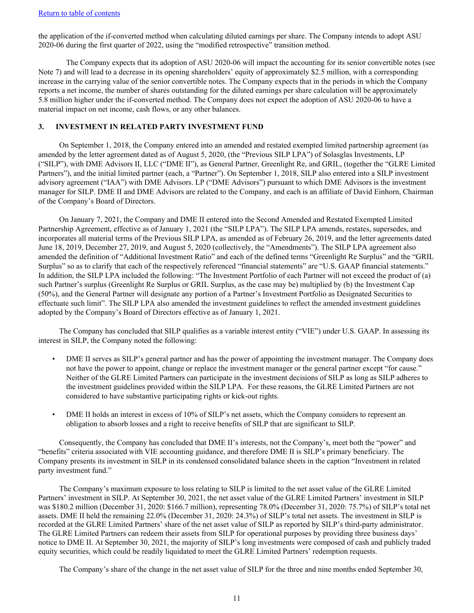the application of the if-converted method when calculating diluted earnings per share. The Company intends to adopt ASU 2020-06 during the first quarter of 2022, using the "modified retrospective" transition method.

The Company expects that its adoption of ASU 2020-06 will impact the accounting for its senior convertible notes (see Note 7) and will lead to a decrease in its opening shareholders' equity of approximately \$2.5 million, with a corresponding increase in the carrying value of the senior convertible notes. The Company expects that in the periods in which the Company reports a net income, the number of shares outstanding for the diluted earnings per share calculation will be approximately 5.8 million higher under the if-converted method. The Company does not expect the adoption of ASU 2020-06 to have a material impact on net income, cash flows, or any other balances.

#### **3. INVESTMENT IN RELATED PARTY INVESTMENT FUND**

On September 1, 2018, the Company entered into an amended and restated exempted limited partnership agreement (as amended by the letter agreement dated as of August 5, 2020, (the "Previous SILP LPA") of Solasglas Investments, LP ("SILP"), with DME Advisors II, LLC ("DME II"), as General Partner, Greenlight Re, and GRIL, (together the "GLRE Limited Partners"), and the initial limited partner (each, a "Partner"). On September 1, 2018, SILP also entered into a SILP investment advisory agreement ("IAA") with DME Advisors. LP ("DME Advisors") pursuant to which DME Advisors is the investment manager for SILP. DME II and DME Advisors are related to the Company, and each is an affiliate of David Einhorn, Chairman of the Company's Board of Directors.

On January 7, 2021, the Company and DME II entered into the Second Amended and Restated Exempted Limited Partnership Agreement, effective as of January 1, 2021 (the "SILP LPA"). The SILP LPA amends, restates, supersedes, and incorporates all material terms of the Previous SILP LPA, as amended as of February 26, 2019, and the letter agreements dated June 18, 2019, December 27, 2019, and August 5, 2020 (collectively, the "Amendments"). The SILP LPA agreement also amended the definition of "Additional Investment Ratio" and each of the defined terms "Greenlight Re Surplus" and the "GRIL Surplus" so as to clarify that each of the respectively referenced "financial statements" are "U.S. GAAP financial statements." In addition, the SILP LPA included the following: "The Investment Portfolio of each Partner will not exceed the product of (a) such Partner's surplus (Greenlight Re Surplus or GRIL Surplus, as the case may be) multiplied by (b) the Investment Cap (50%), and the General Partner will designate any portion of a Partner's Investment Portfolio as Designated Securities to effectuate such limit". The SILP LPA also amended the investment guidelines to reflect the amended investment guidelines adopted by the Company's Board of Directors effective as of January 1, 2021.

The Company has concluded that SILP qualifies as a variable interest entity ("VIE") under U.S. GAAP. In assessing its interest in SILP, the Company noted the following:

- DME II serves as SILP's general partner and has the power of appointing the investment manager. The Company does not have the power to appoint, change or replace the investment manager or the general partner except "for cause." Neither of the GLRE Limited Partners can participate in the investment decisions of SILP as long as SILP adheres to the investment guidelines provided within the SILP LPA. For these reasons, the GLRE Limited Partners are not considered to have substantive participating rights or kick-out rights.
- DME II holds an interest in excess of 10% of SILP's net assets, which the Company considers to represent an obligation to absorb losses and a right to receive benefits of SILP that are significant to SILP.

Consequently, the Company has concluded that DME II's interests, not the Company's, meet both the "power" and "benefits" criteria associated with VIE accounting guidance, and therefore DME II is SILP's primary beneficiary. The Company presents its investment in SILP in its condensed consolidated balance sheets in the caption "Investment in related party investment fund."

The Company's maximum exposure to loss relating to SILP is limited to the net asset value of the GLRE Limited Partners' investment in SILP. At September 30, 2021, the net asset value of the GLRE Limited Partners' investment in SILP was \$180.2 million (December 31, 2020: \$166.7 million), representing 78.0% (December 31, 2020: 75.7%) of SILP's total net assets. DME II held the remaining 22.0% (December 31, 2020: 24.3%) of SILP's total net assets. The investment in SILP is recorded at the GLRE Limited Partners' share of the net asset value of SILP as reported by SILP's third-party administrator. The GLRE Limited Partners can redeem their assets from SILP for operational purposes by providing three business days' notice to DME II. At September 30, 2021, the majority of SILP's long investments were composed of cash and publicly traded equity securities, which could be readily liquidated to meet the GLRE Limited Partners' redemption requests.

The Company's share of the change in the net asset value of SILP for the three and nine months ended September 30,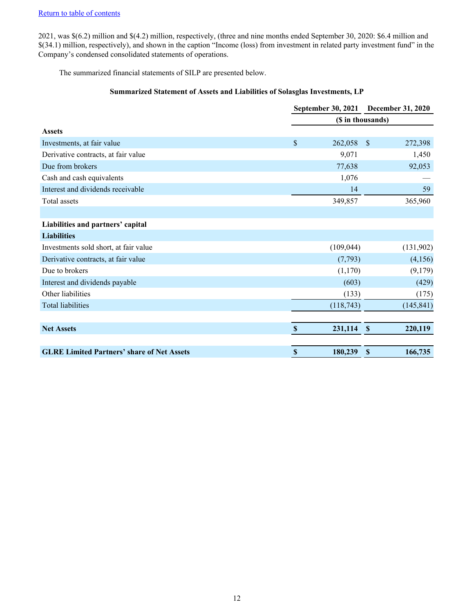2021, was \$(6.2) million and \$(4.2) million, respectively, (three and nine months ended September 30, 2020: \$6.4 million and \$(34.1) million, respectively), and shown in the caption "Income (loss) from investment in related party investment fund" in the Company's condensed consolidated statements of operations.

The summarized financial statements of SILP are presented below.

## **Summarized Statement of Assets and Liabilities of Solasglas Investments, LP**

|                                                   |                           | September 30, 2021<br><b>December 31, 2020</b> |                           |            |
|---------------------------------------------------|---------------------------|------------------------------------------------|---------------------------|------------|
|                                                   |                           | (\$ in thousands)                              |                           |            |
| <b>Assets</b>                                     |                           |                                                |                           |            |
| Investments, at fair value                        | $\boldsymbol{\mathsf{S}}$ | 262,058                                        | <sup>S</sup>              | 272,398    |
| Derivative contracts, at fair value               |                           | 9,071                                          |                           | 1,450      |
| Due from brokers                                  |                           | 77,638                                         |                           | 92,053     |
| Cash and cash equivalents                         |                           | 1,076                                          |                           |            |
| Interest and dividends receivable                 |                           | 14                                             |                           | 59         |
| Total assets                                      |                           | 349,857                                        |                           | 365,960    |
|                                                   |                           |                                                |                           |            |
| Liabilities and partners' capital                 |                           |                                                |                           |            |
| <b>Liabilities</b>                                |                           |                                                |                           |            |
| Investments sold short, at fair value             |                           | (109, 044)                                     |                           | (131,902)  |
| Derivative contracts, at fair value               |                           | (7,793)                                        |                           | (4,156)    |
| Due to brokers                                    |                           | (1,170)                                        |                           | (9,179)    |
| Interest and dividends payable                    |                           | (603)                                          |                           | (429)      |
| Other liabilities                                 |                           | (133)                                          |                           | (175)      |
| <b>Total liabilities</b>                          |                           | (118,743)                                      |                           | (145, 841) |
|                                                   |                           |                                                |                           |            |
| <b>Net Assets</b>                                 | $\mathbf{\$}$             | 231,114                                        | $\mathbf{\$}$             | 220,119    |
| <b>GLRE Limited Partners' share of Net Assets</b> | $\boldsymbol{\mathsf{S}}$ | 180,239                                        | $\boldsymbol{\mathsf{S}}$ | 166,735    |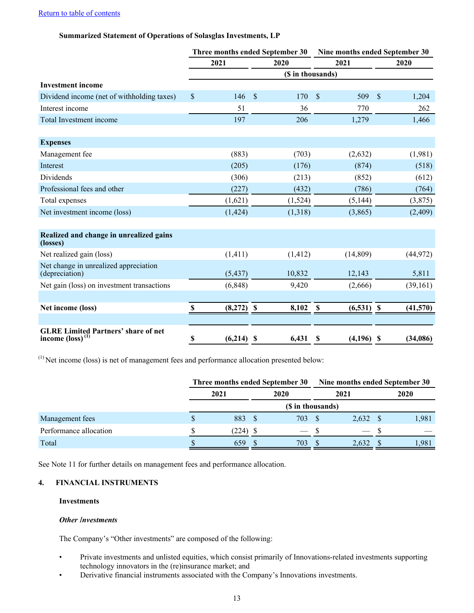## [Return to table of contents](#page-2-0)

## **Summarized Statement of Operations of Solasglas Investments, LP**

|                                                                            | Three months ended September 30 |              |    |                   | Nine months ended September 30 |              |    |           |  |
|----------------------------------------------------------------------------|---------------------------------|--------------|----|-------------------|--------------------------------|--------------|----|-----------|--|
|                                                                            |                                 | 2021         |    | 2020              |                                | 2021         |    | 2020      |  |
|                                                                            |                                 |              |    | (\$ in thousands) |                                |              |    |           |  |
| <b>Investment income</b>                                                   |                                 |              |    |                   |                                |              |    |           |  |
| Dividend income (net of withholding taxes)                                 | \$                              | 146          | \$ | 170               | \$                             | 509          | \$ | 1,204     |  |
| Interest income                                                            |                                 | 51           |    | 36                |                                | 770          |    | 262       |  |
| Total Investment income                                                    |                                 | 197          |    | 206               |                                | 1,279        |    | 1,466     |  |
|                                                                            |                                 |              |    |                   |                                |              |    |           |  |
| <b>Expenses</b>                                                            |                                 |              |    |                   |                                |              |    |           |  |
| Management fee                                                             |                                 | (883)        |    | (703)             |                                | (2,632)      |    | (1,981)   |  |
| Interest                                                                   |                                 | (205)        |    | (176)             |                                | (874)        |    | (518)     |  |
| <b>Dividends</b>                                                           |                                 | (306)        |    | (213)             |                                | (852)        |    | (612)     |  |
| Professional fees and other                                                |                                 | (227)        |    | (432)             |                                | (786)        |    | (764)     |  |
| Total expenses                                                             |                                 | (1,621)      |    | (1,524)           |                                | (5, 144)     |    | (3,875)   |  |
| Net investment income (loss)                                               |                                 | (1, 424)     |    | (1,318)           |                                | (3,865)      |    | (2,409)   |  |
|                                                                            |                                 |              |    |                   |                                |              |    |           |  |
| Realized and change in unrealized gains<br>(losses)                        |                                 |              |    |                   |                                |              |    |           |  |
| Net realized gain (loss)                                                   |                                 | (1, 411)     |    | (1, 412)          |                                | (14,809)     |    | (44, 972) |  |
| Net change in unrealized appreciation<br>(depreciation)                    |                                 | (5, 437)     |    | 10,832            |                                | 12,143       |    | 5,811     |  |
| Net gain (loss) on investment transactions                                 |                                 | (6, 848)     |    | 9,420             |                                | (2,666)      |    | (39,161)  |  |
|                                                                            |                                 |              |    |                   |                                |              |    |           |  |
| Net income (loss)                                                          | S                               | $(8,272)$ \$ |    | 8,102             | $\mathbf{\$}$                  | $(6,531)$ \$ |    | (41,570)  |  |
|                                                                            |                                 |              |    |                   |                                |              |    |           |  |
| <b>GLRE Limited Partners' share of net</b><br>income $\text{(loss)}^{(1)}$ | \$                              | $(6,214)$ \$ |    | 6,431             | S                              | (4,196)      | -S | (34,086)  |  |

(1) Net income (loss) is net of management fees and performance allocation presented below:

|                        | Three months ended September 30 |  |                   | Nine months ended September 30 |                      |    |       |
|------------------------|---------------------------------|--|-------------------|--------------------------------|----------------------|----|-------|
|                        | 2021                            |  | 2020              |                                | 2021                 |    | 2020  |
|                        |                                 |  | (\$ in thousands) |                                |                      |    |       |
| Management fees        | 883 \$                          |  | 703               |                                | $2,632$ \$           |    | 1,981 |
| Performance allocation | $(224)$ \$                      |  | $\frac{1}{2}$     |                                | <b>Communication</b> | -S |       |
| Total                  | 659                             |  | 703               |                                | 2,632                |    | 1.981 |

See Note 11 for further details on management fees and performance allocation.

## **4. FINANCIAL INSTRUMENTS**

## **Investments**

#### *Other Investments*

The Company's "Other investments" are composed of the following:

- Private investments and unlisted equities, which consist primarily of Innovations-related investments supporting technology innovators in the (re)insurance market; and
- Derivative financial instruments associated with the Company's Innovations investments.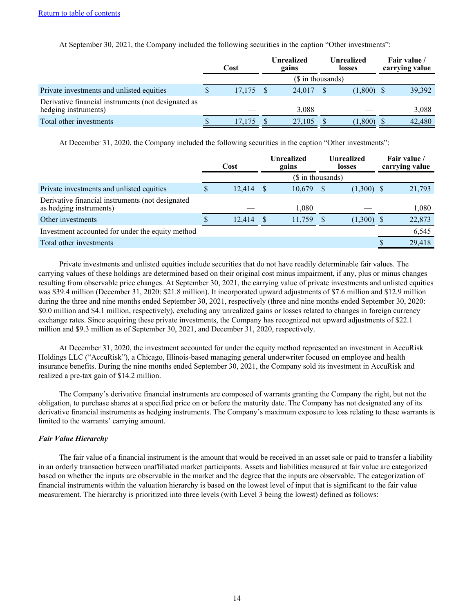At September 30, 2021, the Company included the following securities in the caption "Other investments":

|                                                                             | Cost |        |  | Unrealized<br>gains | <b>Unrealized</b><br>losses |              |  | Fair value /<br>carrying value |
|-----------------------------------------------------------------------------|------|--------|--|---------------------|-----------------------------|--------------|--|--------------------------------|
|                                                                             |      |        |  | (\$ in thousands)   |                             |              |  |                                |
| Private investments and unlisted equities                                   |      | 17,175 |  | 24,017              |                             | $(1,800)$ \$ |  | 39,392                         |
| Derivative financial instruments (not designated as<br>hedging instruments) |      |        |  | 3.088               |                             |              |  | 3,088                          |
| Total other investments                                                     |      | 17,175 |  | 27,105              |                             | 1,800        |  | 42,480                         |

At December 31, 2020, the Company included the following securities in the caption "Other investments":

|                                                                             | Cost   |     | <b>Unrealized</b><br>gains |     | <b>Unrealized</b><br><b>losses</b> |  | Fair value /<br>carrying value |
|-----------------------------------------------------------------------------|--------|-----|----------------------------|-----|------------------------------------|--|--------------------------------|
|                                                                             |        |     | (\$ in thousands)          |     |                                    |  |                                |
| Private investments and unlisted equities                                   | 12,414 | - S | 10,679                     | - S | $(1,300)$ \$                       |  | 21,793                         |
| Derivative financial instruments (not designated<br>as hedging instruments) |        |     | 1,080                      |     |                                    |  | 1,080                          |
| Other investments                                                           | 12,414 |     | 11,759                     |     | $(1,300)$ \$                       |  | 22,873                         |
| Investment accounted for under the equity method                            |        |     |                            |     |                                    |  | 6,545                          |
| Total other investments                                                     |        |     |                            |     |                                    |  | 29,418                         |

Private investments and unlisted equities include securities that do not have readily determinable fair values. The carrying values of these holdings are determined based on their original cost minus impairment, if any, plus or minus changes resulting from observable price changes. At September 30, 2021, the carrying value of private investments and unlisted equities was \$39.4 million (December 31, 2020: \$21.8 million). It incorporated upward adjustments of \$7.6 million and \$12.9 million during the three and nine months ended September 30, 2021, respectively (three and nine months ended September 30, 2020: \$0.0 million and \$4.1 million, respectively), excluding any unrealized gains or losses related to changes in foreign currency exchange rates. Since acquiring these private investments, the Company has recognized net upward adjustments of \$22.1 million and \$9.3 million as of September 30, 2021, and December 31, 2020, respectively.

At December 31, 2020, the investment accounted for under the equity method represented an investment in AccuRisk Holdings LLC ("AccuRisk"), a Chicago, Illinois-based managing general underwriter focused on employee and health insurance benefits. During the nine months ended September 30, 2021, the Company sold its investment in AccuRisk and realized a pre-tax gain of \$14.2 million.

The Company's derivative financial instruments are composed of warrants granting the Company the right, but not the obligation, to purchase shares at a specified price on or before the maturity date. The Company has not designated any of its derivative financial instruments as hedging instruments. The Company's maximum exposure to loss relating to these warrants is limited to the warrants' carrying amount.

## *Fair Value Hierarchy*

The fair value of a financial instrument is the amount that would be received in an asset sale or paid to transfer a liability in an orderly transaction between unaffiliated market participants. Assets and liabilities measured at fair value are categorized based on whether the inputs are observable in the market and the degree that the inputs are observable. The categorization of financial instruments within the valuation hierarchy is based on the lowest level of input that is significant to the fair value measurement. The hierarchy is prioritized into three levels (with Level 3 being the lowest) defined as follows: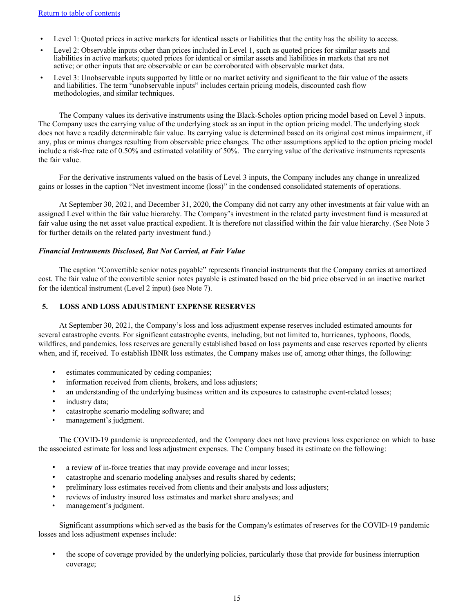- Level 1: Quoted prices in active markets for identical assets or liabilities that the entity has the ability to access.
- Level 2: Observable inputs other than prices included in Level 1, such as quoted prices for similar assets and liabilities in active markets; quoted prices for identical or similar assets and liabilities in markets that are not active; or other inputs that are observable or can be corroborated with observable market data.
- Level 3: Unobservable inputs supported by little or no market activity and significant to the fair value of the assets and liabilities. The term "unobservable inputs" includes certain pricing models, discounted cash flow methodologies, and similar techniques.

The Company values its derivative instruments using the Black-Scholes option pricing model based on Level 3 inputs. The Company uses the carrying value of the underlying stock as an input in the option pricing model. The underlying stock does not have a readily determinable fair value. Its carrying value is determined based on its original cost minus impairment, if any, plus or minus changes resulting from observable price changes. The other assumptions applied to the option pricing model include a risk-free rate of 0.50% and estimated volatility of 50%. The carrying value of the derivative instruments represents the fair value.

For the derivative instruments valued on the basis of Level 3 inputs, the Company includes any change in unrealized gains or losses in the caption "Net investment income (loss)" in the condensed consolidated statements of operations.

At September 30, 2021, and December 31, 2020, the Company did not carry any other investments at fair value with an assigned Level within the fair value hierarchy. The Company's investment in the related party investment fund is measured at fair value using the net asset value practical expedient. It is therefore not classified within the fair value hierarchy. (See Note 3 for further details on the related party investment fund.)

## *Financial Instruments Disclosed, But Not Carried, at Fair Value*

The caption "Convertible senior notes payable" represents financial instruments that the Company carries at amortized cost. The fair value of the convertible senior notes payable is estimated based on the bid price observed in an inactive market for the identical instrument (Level 2 input) (see Note 7).

## **5. LOSS AND LOSS ADJUSTMENT EXPENSE RESERVES**

At September 30, 2021, the Company's loss and loss adjustment expense reserves included estimated amounts for several catastrophe events. For significant catastrophe events, including, but not limited to, hurricanes, typhoons, floods, wildfires, and pandemics, loss reserves are generally established based on loss payments and case reserves reported by clients when, and if, received. To establish IBNR loss estimates, the Company makes use of, among other things, the following:

- estimates communicated by ceding companies;
- information received from clients, brokers, and loss adjusters;
- an understanding of the underlying business written and its exposures to catastrophe event-related losses;
- industry data;
- catastrophe scenario modeling software; and
- management's judgment.

The COVID-19 pandemic is unprecedented, and the Company does not have previous loss experience on which to base the associated estimate for loss and loss adjustment expenses. The Company based its estimate on the following:

- a review of in-force treaties that may provide coverage and incur losses;
- catastrophe and scenario modeling analyses and results shared by cedents;
- preliminary loss estimates received from clients and their analysts and loss adjusters;
- reviews of industry insured loss estimates and market share analyses; and
- management's judgment.

Significant assumptions which served as the basis for the Company's estimates of reserves for the COVID-19 pandemic losses and loss adjustment expenses include:

• the scope of coverage provided by the underlying policies, particularly those that provide for business interruption coverage;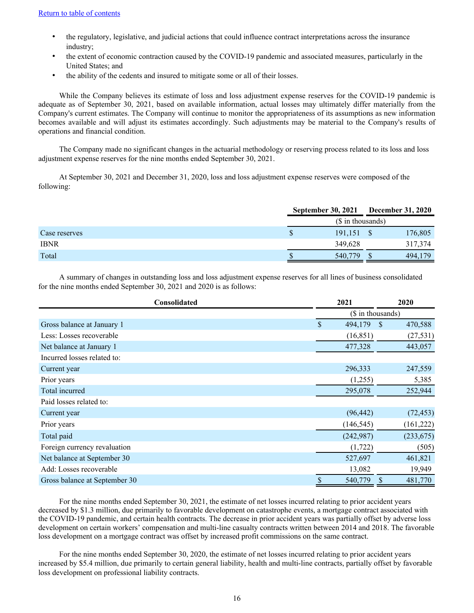- the regulatory, legislative, and judicial actions that could influence contract interpretations across the insurance industry;
- the extent of economic contraction caused by the COVID-19 pandemic and associated measures, particularly in the United States; and
- the ability of the cedents and insured to mitigate some or all of their losses.

While the Company believes its estimate of loss and loss adjustment expense reserves for the COVID-19 pandemic is adequate as of September 30, 2021, based on available information, actual losses may ultimately differ materially from the Company's current estimates. The Company will continue to monitor the appropriateness of its assumptions as new information becomes available and will adjust its estimates accordingly. Such adjustments may be material to the Company's results of operations and financial condition.

The Company made no significant changes in the actuarial methodology or reserving process related to its loss and loss adjustment expense reserves for the nine months ended September 30, 2021.

At September 30, 2021 and December 31, 2020, loss and loss adjustment expense reserves were composed of the following:

|               | <b>September 30, 2021</b> |  | <b>December 31, 2020</b> |  |  |  |
|---------------|---------------------------|--|--------------------------|--|--|--|
|               | (\$ in thousands)         |  |                          |  |  |  |
| Case reserves | 191,151                   |  | 176,805                  |  |  |  |
| <b>IBNR</b>   | 349,628                   |  | 317,374                  |  |  |  |
| Total         | 540,779                   |  | 494,179                  |  |  |  |

A summary of changes in outstanding loss and loss adjustment expense reserves for all lines of business consolidated for the nine months ended September 30, 2021 and 2020 is as follows:

| Consolidated                  | 2021          | 2020                     |  |  |
|-------------------------------|---------------|--------------------------|--|--|
|                               |               | (\$ in thousands)        |  |  |
| Gross balance at January 1    | \$<br>494,179 | <sup>\$</sup><br>470,588 |  |  |
| Less: Losses recoverable      | (16, 851)     | (27, 531)                |  |  |
| Net balance at January 1      | 477,328       | 443,057                  |  |  |
| Incurred losses related to:   |               |                          |  |  |
| Current year                  | 296,333       | 247,559                  |  |  |
| Prior years                   | (1,255)       | 5,385                    |  |  |
| Total incurred                | 295,078       | 252,944                  |  |  |
| Paid losses related to:       |               |                          |  |  |
| Current year                  | (96, 442)     | (72, 453)                |  |  |
| Prior years                   | (146, 545)    | (161, 222)               |  |  |
| Total paid                    | (242,987)     | (233, 675)               |  |  |
| Foreign currency revaluation  | (1,722)       | (505)                    |  |  |
| Net balance at September 30   | 527,697       | 461,821                  |  |  |
| Add: Losses recoverable       | 13,082        | 19,949                   |  |  |
| Gross balance at September 30 | 540,779       | 481,770<br><sup>S</sup>  |  |  |

For the nine months ended September 30, 2021, the estimate of net losses incurred relating to prior accident years decreased by \$1.3 million, due primarily to favorable development on catastrophe events, a mortgage contract associated with the COVID-19 pandemic, and certain health contracts. The decrease in prior accident years was partially offset by adverse loss development on certain workers' compensation and multi-line casualty contracts written between 2014 and 2018. The favorable loss development on a mortgage contract was offset by increased profit commissions on the same contract.

For the nine months ended September 30, 2020, the estimate of net losses incurred relating to prior accident years increased by \$5.4 million, due primarily to certain general liability, health and multi-line contracts, partially offset by favorable loss development on professional liability contracts.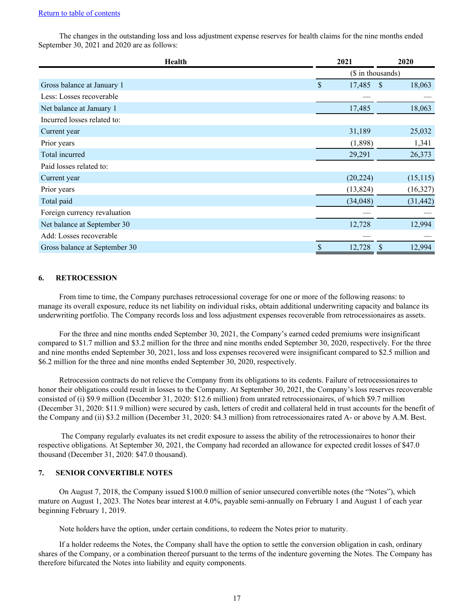The changes in the outstanding loss and loss adjustment expense reserves for health claims for the nine months ended September 30, 2021 and 2020 are as follows:

| Health                        | 2021         | 2020                    |  |  |
|-------------------------------|--------------|-------------------------|--|--|
|                               |              | (\$ in thousands)       |  |  |
| Gross balance at January 1    | \$<br>17,485 | 18,063<br><sup>\$</sup> |  |  |
| Less: Losses recoverable      |              |                         |  |  |
| Net balance at January 1      | 17,485       | 18,063                  |  |  |
| Incurred losses related to:   |              |                         |  |  |
| Current year                  | 31,189       | 25,032                  |  |  |
| Prior years                   | (1,898)      | 1,341                   |  |  |
| Total incurred                | 29,291       | 26,373                  |  |  |
| Paid losses related to:       |              |                         |  |  |
| Current year                  | (20, 224)    | (15, 115)               |  |  |
| Prior years                   | (13,824)     | (16,327)                |  |  |
| Total paid                    | (34, 048)    | (31, 442)               |  |  |
| Foreign currency revaluation  |              |                         |  |  |
| Net balance at September 30   | 12,728       | 12,994                  |  |  |
| Add: Losses recoverable       |              |                         |  |  |
| Gross balance at September 30 | \$<br>12,728 | \$<br>12,994            |  |  |

#### **6. RETROCESSION**

From time to time, the Company purchases retrocessional coverage for one or more of the following reasons: to manage its overall exposure, reduce its net liability on individual risks, obtain additional underwriting capacity and balance its underwriting portfolio. The Company records loss and loss adjustment expenses recoverable from retrocessionaires as assets.

For the three and nine months ended September 30, 2021, the Company's earned ceded premiums were insignificant compared to \$1.7 million and \$3.2 million for the three and nine months ended September 30, 2020, respectively. For the three and nine months ended September 30, 2021, loss and loss expenses recovered were insignificant compared to \$2.5 million and \$6.2 million for the three and nine months ended September 30, 2020, respectively.

Retrocession contracts do not relieve the Company from its obligations to its cedents. Failure of retrocessionaires to honor their obligations could result in losses to the Company. At September 30, 2021, the Company's loss reserves recoverable consisted of (i) \$9.9 million (December 31, 2020: \$12.6 million) from unrated retrocessionaires, of which \$9.7 million (December 31, 2020: \$11.9 million) were secured by cash, letters of credit and collateral held in trust accounts for the benefit of the Company and (ii) \$3.2 million (December 31, 2020: \$4.3 million) from retrocessionaires rated A- or above by A.M. Best.

 The Company regularly evaluates its net credit exposure to assess the ability of the retrocessionaires to honor their respective obligations. At September 30, 2021, the Company had recorded an allowance for expected credit losses of \$47.0 thousand (December 31, 2020: \$47.0 thousand).

## **7. SENIOR CONVERTIBLE NOTES**

On August 7, 2018, the Company issued \$100.0 million of senior unsecured convertible notes (the "Notes"), which mature on August 1, 2023. The Notes bear interest at 4.0%, payable semi-annually on February 1 and August 1 of each year beginning February 1, 2019.

Note holders have the option, under certain conditions, to redeem the Notes prior to maturity.

If a holder redeems the Notes, the Company shall have the option to settle the conversion obligation in cash, ordinary shares of the Company, or a combination thereof pursuant to the terms of the indenture governing the Notes. The Company has therefore bifurcated the Notes into liability and equity components.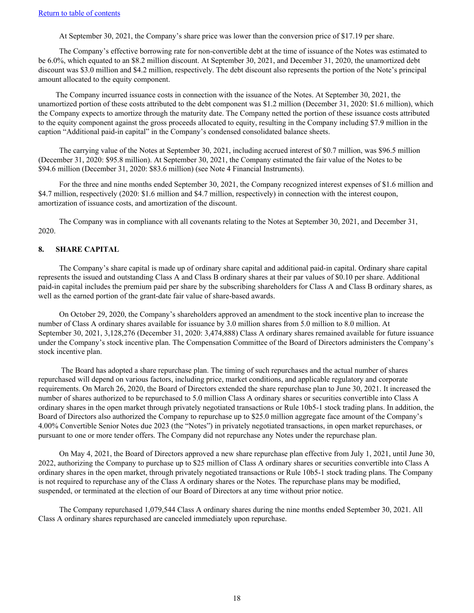At September 30, 2021, the Company's share price was lower than the conversion price of \$17.19 per share.

The Company's effective borrowing rate for non-convertible debt at the time of issuance of the Notes was estimated to be 6.0%, which equated to an \$8.2 million discount. At September 30, 2021, and December 31, 2020, the unamortized debt discount was \$3.0 million and \$4.2 million, respectively. The debt discount also represents the portion of the Note's principal amount allocated to the equity component.

The Company incurred issuance costs in connection with the issuance of the Notes. At September 30, 2021, the unamortized portion of these costs attributed to the debt component was \$1.2 million (December 31, 2020: \$1.6 million), which the Company expects to amortize through the maturity date. The Company netted the portion of these issuance costs attributed to the equity component against the gross proceeds allocated to equity, resulting in the Company including \$7.9 million in the caption "Additional paid-in capital" in the Company's condensed consolidated balance sheets.

The carrying value of the Notes at September 30, 2021, including accrued interest of \$0.7 million, was \$96.5 million (December 31, 2020: \$95.8 million). At September 30, 2021, the Company estimated the fair value of the Notes to be \$94.6 million (December 31, 2020: \$83.6 million) (see Note 4 Financial Instruments).

For the three and nine months ended September 30, 2021, the Company recognized interest expenses of \$1.6 million and \$4.7 million, respectively (2020: \$1.6 million and \$4.7 million, respectively) in connection with the interest coupon, amortization of issuance costs, and amortization of the discount.

The Company was in compliance with all covenants relating to the Notes at September 30, 2021, and December 31, 2020.

#### **8. SHARE CAPITAL**

The Company's share capital is made up of ordinary share capital and additional paid-in capital. Ordinary share capital represents the issued and outstanding Class A and Class B ordinary shares at their par values of \$0.10 per share. Additional paid-in capital includes the premium paid per share by the subscribing shareholders for Class A and Class B ordinary shares, as well as the earned portion of the grant-date fair value of share-based awards.

On October 29, 2020, the Company's shareholders approved an amendment to the stock incentive plan to increase the number of Class A ordinary shares available for issuance by 3.0 million shares from 5.0 million to 8.0 million. At September 30, 2021, 3,128,276 (December 31, 2020: 3,474,888) Class A ordinary shares remained available for future issuance under the Company's stock incentive plan. The Compensation Committee of the Board of Directors administers the Company's stock incentive plan.

 The Board has adopted a share repurchase plan. The timing of such repurchases and the actual number of shares repurchased will depend on various factors, including price, market conditions, and applicable regulatory and corporate requirements. On March 26, 2020, the Board of Directors extended the share repurchase plan to June 30, 2021. It increased the number of shares authorized to be repurchased to 5.0 million Class A ordinary shares or securities convertible into Class A ordinary shares in the open market through privately negotiated transactions or Rule 10b5-1 stock trading plans. In addition, the Board of Directors also authorized the Company to repurchase up to \$25.0 million aggregate face amount of the Company's 4.00% Convertible Senior Notes due 2023 (the "Notes") in privately negotiated transactions, in open market repurchases, or pursuant to one or more tender offers. The Company did not repurchase any Notes under the repurchase plan.

On May 4, 2021, the Board of Directors approved a new share repurchase plan effective from July 1, 2021, until June 30, 2022, authorizing the Company to purchase up to \$25 million of Class A ordinary shares or securities convertible into Class A ordinary shares in the open market, through privately negotiated transactions or Rule 10b5-1 stock trading plans. The Company is not required to repurchase any of the Class A ordinary shares or the Notes. The repurchase plans may be modified, suspended, or terminated at the election of our Board of Directors at any time without prior notice.

The Company repurchased 1,079,544 Class A ordinary shares during the nine months ended September 30, 2021. All Class A ordinary shares repurchased are canceled immediately upon repurchase.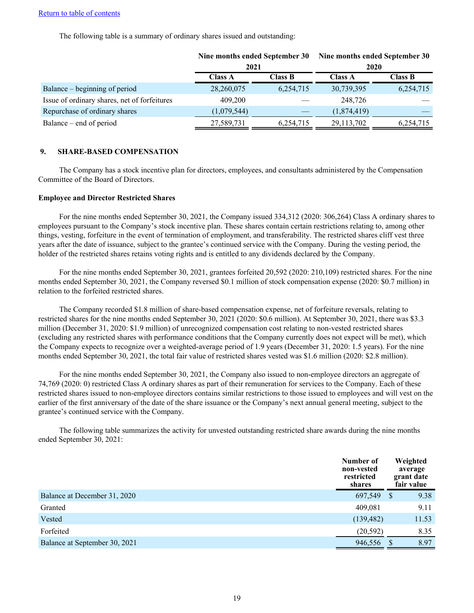The following table is a summary of ordinary shares issued and outstanding:

|                                              | Nine months ended September 30<br>2021 |                | Nine months ended September 30<br>2020 |                |  |  |  |
|----------------------------------------------|----------------------------------------|----------------|----------------------------------------|----------------|--|--|--|
|                                              | <b>Class A</b>                         | <b>Class B</b> | <b>Class A</b>                         | <b>Class B</b> |  |  |  |
| Balance – beginning of period                | 28,260,075                             | 6,254,715      | 30,739,395                             | 6,254,715      |  |  |  |
| Issue of ordinary shares, net of forfeitures | 409,200                                |                | 248,726                                |                |  |  |  |
| Repurchase of ordinary shares                | (1,079,544)                            |                | (1,874,419)                            |                |  |  |  |
| Balance – end of period                      | 27,589,731                             | 6,254,715      | 29,113,702                             | 6,254,715      |  |  |  |

#### **9. SHARE-BASED COMPENSATION**

The Company has a stock incentive plan for directors, employees, and consultants administered by the Compensation Committee of the Board of Directors.

#### **Employee and Director Restricted Shares**

For the nine months ended September 30, 2021, the Company issued 334,312 (2020: 306,264) Class A ordinary shares to employees pursuant to the Company's stock incentive plan. These shares contain certain restrictions relating to, among other things, vesting, forfeiture in the event of termination of employment, and transferability. The restricted shares cliff vest three years after the date of issuance, subject to the grantee's continued service with the Company. During the vesting period, the holder of the restricted shares retains voting rights and is entitled to any dividends declared by the Company.

For the nine months ended September 30, 2021, grantees forfeited 20,592 (2020: 210,109) restricted shares. For the nine months ended September 30, 2021, the Company reversed \$0.1 million of stock compensation expense (2020: \$0.7 million) in relation to the forfeited restricted shares.

The Company recorded \$1.8 million of share-based compensation expense, net of forfeiture reversals, relating to restricted shares for the nine months ended September 30, 2021 (2020: \$0.6 million). At September 30, 2021, there was \$3.3 million (December 31, 2020: \$1.9 million) of unrecognized compensation cost relating to non-vested restricted shares (excluding any restricted shares with performance conditions that the Company currently does not expect will be met), which the Company expects to recognize over a weighted-average period of 1.9 years (December 31, 2020: 1.5 years). For the nine months ended September 30, 2021, the total fair value of restricted shares vested was \$1.6 million (2020: \$2.8 million).

For the nine months ended September 30, 2021, the Company also issued to non-employee directors an aggregate of 74,769 (2020: 0) restricted Class A ordinary shares as part of their remuneration for services to the Company. Each of these restricted shares issued to non-employee directors contains similar restrictions to those issued to employees and will vest on the earlier of the first anniversary of the date of the share issuance or the Company's next annual general meeting, subject to the grantee's continued service with the Company.

The following table summarizes the activity for unvested outstanding restricted share awards during the nine months ended September 30, 2021:

|                               | Number of<br>non-vested<br>restricted<br>shares |              | Weighted<br>average<br>grant date<br>fair value |
|-------------------------------|-------------------------------------------------|--------------|-------------------------------------------------|
| Balance at December 31, 2020  | 697,549                                         | <sup>S</sup> | 9.38                                            |
| Granted                       | 409,081                                         |              | 9.11                                            |
| Vested                        | (139, 482)                                      |              | 11.53                                           |
| Forfeited                     | (20, 592)                                       |              | 8.35                                            |
| Balance at September 30, 2021 | 946,556                                         |              | 8.97                                            |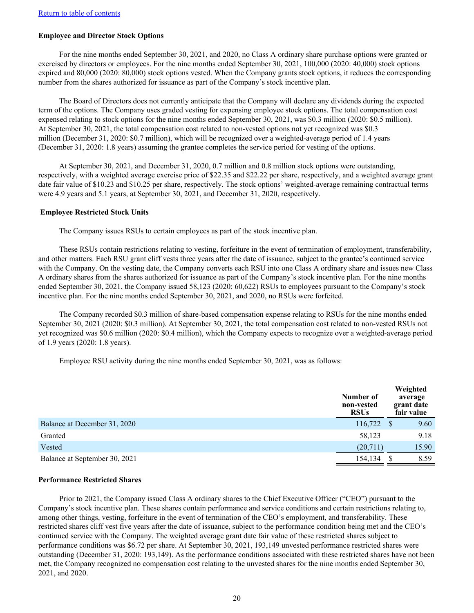## **Employee and Director Stock Options**

For the nine months ended September 30, 2021, and 2020, no Class A ordinary share purchase options were granted or exercised by directors or employees. For the nine months ended September 30, 2021, 100,000 (2020: 40,000) stock options expired and 80,000 (2020: 80,000) stock options vested. When the Company grants stock options, it reduces the corresponding number from the shares authorized for issuance as part of the Company's stock incentive plan.

The Board of Directors does not currently anticipate that the Company will declare any dividends during the expected term of the options. The Company uses graded vesting for expensing employee stock options. The total compensation cost expensed relating to stock options for the nine months ended September 30, 2021, was \$0.3 million (2020: \$0.5 million). At September 30, 2021, the total compensation cost related to non-vested options not yet recognized was \$0.3 million (December 31, 2020: \$0.7 million), which will be recognized over a weighted-average period of 1.4 years (December 31, 2020: 1.8 years) assuming the grantee completes the service period for vesting of the options.

At September 30, 2021, and December 31, 2020, 0.7 million and 0.8 million stock options were outstanding, respectively, with a weighted average exercise price of \$22.35 and \$22.22 per share, respectively, and a weighted average grant date fair value of \$10.23 and \$10.25 per share, respectively. The stock options' weighted-average remaining contractual terms were 4.9 years and 5.1 years, at September 30, 2021, and December 31, 2020, respectively.

#### **Employee Restricted Stock Units**

The Company issues RSUs to certain employees as part of the stock incentive plan.

These RSUs contain restrictions relating to vesting, forfeiture in the event of termination of employment, transferability, and other matters. Each RSU grant cliff vests three years after the date of issuance, subject to the grantee's continued service with the Company. On the vesting date, the Company converts each RSU into one Class A ordinary share and issues new Class A ordinary shares from the shares authorized for issuance as part of the Company's stock incentive plan. For the nine months ended September 30, 2021, the Company issued 58,123 (2020: 60,622) RSUs to employees pursuant to the Company's stock incentive plan. For the nine months ended September 30, 2021, and 2020, no RSUs were forfeited.

The Company recorded \$0.3 million of share-based compensation expense relating to RSUs for the nine months ended September 30, 2021 (2020: \$0.3 million). At September 30, 2021, the total compensation cost related to non-vested RSUs not yet recognized was \$0.6 million (2020: \$0.4 million), which the Company expects to recognize over a weighted-average period of 1.9 years (2020: 1.8 years).

Employee RSU activity during the nine months ended September 30, 2021, was as follows:

|                               | Number of<br>non-vested<br><b>RSUs</b> |   | Weighted<br>average<br>grant date<br>fair value |
|-------------------------------|----------------------------------------|---|-------------------------------------------------|
| Balance at December 31, 2020  | 116,722                                | S | 9.60                                            |
| Granted                       | 58,123                                 |   | 9.18                                            |
| Vested                        | (20,711)                               |   | 15.90                                           |
| Balance at September 30, 2021 | 154,134                                |   | 8.59                                            |

#### **Performance Restricted Shares**

Prior to 2021, the Company issued Class A ordinary shares to the Chief Executive Officer ("CEO") pursuant to the Company's stock incentive plan. These shares contain performance and service conditions and certain restrictions relating to, among other things, vesting, forfeiture in the event of termination of the CEO's employment, and transferability. These restricted shares cliff vest five years after the date of issuance, subject to the performance condition being met and the CEO's continued service with the Company. The weighted average grant date fair value of these restricted shares subject to performance conditions was \$6.72 per share. At September 30, 2021, 193,149 unvested performance restricted shares were outstanding (December 31, 2020: 193,149). As the performance conditions associated with these restricted shares have not been met, the Company recognized no compensation cost relating to the unvested shares for the nine months ended September 30, 2021, and 2020.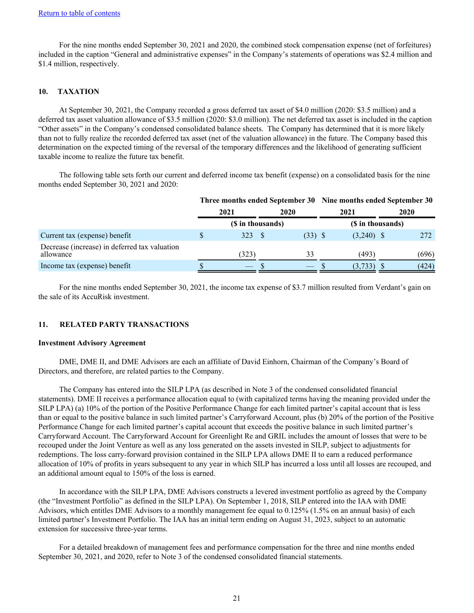For the nine months ended September 30, 2021 and 2020, the combined stock compensation expense (net of forfeitures) included in the caption "General and administrative expenses" in the Company's statements of operations was \$2.4 million and \$1.4 million, respectively.

## **10. TAXATION**

At September 30, 2021, the Company recorded a gross deferred tax asset of \$4.0 million (2020: \$3.5 million) and a deferred tax asset valuation allowance of \$3.5 million (2020: \$3.0 million). The net deferred tax asset is included in the caption "Other assets" in the Company's condensed consolidated balance sheets. The Company has determined that it is more likely than not to fully realize the recorded deferred tax asset (net of the valuation allowance) in the future. The Company based this determination on the expected timing of the reversal of the temporary differences and the likelihood of generating sufficient taxable income to realize the future tax benefit.

The following table sets forth our current and deferred income tax benefit (expense) on a consolidated basis for the nine months ended September 30, 2021 and 2020:

|                                                            | Three months ended September 30 Nine months ended September 30 |                   |  |           |  |                   |      |       |
|------------------------------------------------------------|----------------------------------------------------------------|-------------------|--|-----------|--|-------------------|------|-------|
|                                                            |                                                                | 2021<br>2020      |  |           |  | 2021              | 2020 |       |
|                                                            |                                                                | (\$ in thousands) |  |           |  | (\$ in thousands) |      |       |
| Current tax (expense) benefit                              | S                                                              | 323 S             |  | $(33)$ \$ |  | $(3,240)$ \$      |      | 272   |
| Decrease (increase) in deferred tax valuation<br>allowance |                                                                | (323)             |  | 33        |  | (493)             |      | (696) |
| Income tax (expense) benefit                               |                                                                |                   |  |           |  | (3, 733)          |      | (424) |

For the nine months ended September 30, 2021, the income tax expense of \$3.7 million resulted from Verdant's gain on the sale of its AccuRisk investment.

## **11. RELATED PARTY TRANSACTIONS**

#### **Investment Advisory Agreement**

DME, DME II, and DME Advisors are each an affiliate of David Einhorn, Chairman of the Company's Board of Directors, and therefore, are related parties to the Company.

The Company has entered into the SILP LPA (as described in Note 3 of the condensed consolidated financial statements). DME II receives a performance allocation equal to (with capitalized terms having the meaning provided under the SILP LPA) (a) 10% of the portion of the Positive Performance Change for each limited partner's capital account that is less than or equal to the positive balance in such limited partner's Carryforward Account, plus (b) 20% of the portion of the Positive Performance Change for each limited partner's capital account that exceeds the positive balance in such limited partner's Carryforward Account. The Carryforward Account for Greenlight Re and GRIL includes the amount of losses that were to be recouped under the Joint Venture as well as any loss generated on the assets invested in SILP, subject to adjustments for redemptions. The loss carry-forward provision contained in the SILP LPA allows DME II to earn a reduced performance allocation of 10% of profits in years subsequent to any year in which SILP has incurred a loss until all losses are recouped, and an additional amount equal to 150% of the loss is earned.

In accordance with the SILP LPA, DME Advisors constructs a levered investment portfolio as agreed by the Company (the "Investment Portfolio" as defined in the SILP LPA). On September 1, 2018, SILP entered into the IAA with DME Advisors, which entitles DME Advisors to a monthly management fee equal to 0.125% (1.5% on an annual basis) of each limited partner's Investment Portfolio. The IAA has an initial term ending on August 31, 2023, subject to an automatic extension for successive three-year terms.

For a detailed breakdown of management fees and performance compensation for the three and nine months ended September 30, 2021, and 2020, refer to Note 3 of the condensed consolidated financial statements.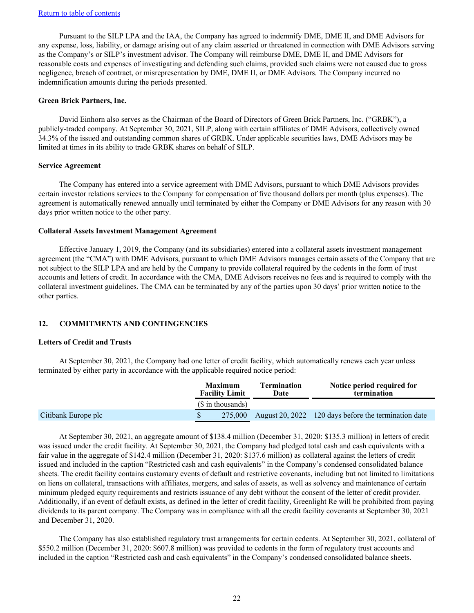Pursuant to the SILP LPA and the IAA, the Company has agreed to indemnify DME, DME II, and DME Advisors for any expense, loss, liability, or damage arising out of any claim asserted or threatened in connection with DME Advisors serving as the Company's or SILP's investment advisor. The Company will reimburse DME, DME II, and DME Advisors for reasonable costs and expenses of investigating and defending such claims, provided such claims were not caused due to gross negligence, breach of contract, or misrepresentation by DME, DME II, or DME Advisors. The Company incurred no indemnification amounts during the periods presented.

#### **Green Brick Partners, Inc.**

David Einhorn also serves as the Chairman of the Board of Directors of Green Brick Partners, Inc. ("GRBK"), a publicly-traded company. At September 30, 2021, SILP, along with certain affiliates of DME Advisors, collectively owned 34.3% of the issued and outstanding common shares of GRBK. Under applicable securities laws, DME Advisors may be limited at times in its ability to trade GRBK shares on behalf of SILP.

#### **Service Agreement**

The Company has entered into a service agreement with DME Advisors, pursuant to which DME Advisors provides certain investor relations services to the Company for compensation of five thousand dollars per month (plus expenses). The agreement is automatically renewed annually until terminated by either the Company or DME Advisors for any reason with 30 days prior written notice to the other party.

#### **Collateral Assets Investment Management Agreement**

Effective January 1, 2019, the Company (and its subsidiaries) entered into a collateral assets investment management agreement (the "CMA") with DME Advisors, pursuant to which DME Advisors manages certain assets of the Company that are not subject to the SILP LPA and are held by the Company to provide collateral required by the cedents in the form of trust accounts and letters of credit. In accordance with the CMA, DME Advisors receives no fees and is required to comply with the collateral investment guidelines. The CMA can be terminated by any of the parties upon 30 days' prior written notice to the other parties.

## **12. COMMITMENTS AND CONTINGENCIES**

## **Letters of Credit and Trusts**

At September 30, 2021, the Company had one letter of credit facility, which automatically renews each year unless terminated by either party in accordance with the applicable required notice period:

|                     | <b>Maximum</b><br><b>Facility Limit</b> | <b>Termination</b><br>Date | Notice period required for<br>termination            |
|---------------------|-----------------------------------------|----------------------------|------------------------------------------------------|
|                     | (\$ in thousands)                       |                            |                                                      |
| Citibank Europe plc | S<br>275,000                            |                            | August 20, 2022 120 days before the termination date |

At September 30, 2021, an aggregate amount of \$138.4 million (December 31, 2020: \$135.3 million) in letters of credit was issued under the credit facility. At September 30, 2021, the Company had pledged total cash and cash equivalents with a fair value in the aggregate of \$142.4 million (December 31, 2020: \$137.6 million) as collateral against the letters of credit issued and included in the caption "Restricted cash and cash equivalents" in the Company's condensed consolidated balance sheets. The credit facility contains customary events of default and restrictive covenants, including but not limited to limitations on liens on collateral, transactions with affiliates, mergers, and sales of assets, as well as solvency and maintenance of certain minimum pledged equity requirements and restricts issuance of any debt without the consent of the letter of credit provider. Additionally, if an event of default exists, as defined in the letter of credit facility, Greenlight Re will be prohibited from paying dividends to its parent company. The Company was in compliance with all the credit facility covenants at September 30, 2021 and December 31, 2020.

The Company has also established regulatory trust arrangements for certain cedents. At September 30, 2021, collateral of \$550.2 million (December 31, 2020: \$607.8 million) was provided to cedents in the form of regulatory trust accounts and included in the caption "Restricted cash and cash equivalents" in the Company's condensed consolidated balance sheets.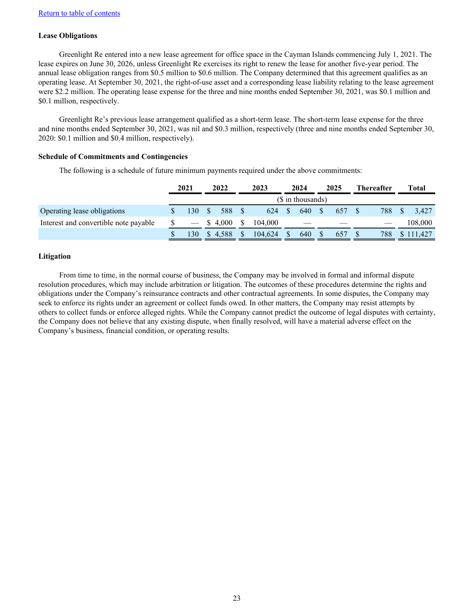## **Lease Obligations**

Greenlight Re entered into a new lease agreement for office space in the Cayman Islands commencing July 1, 2021. The lease expires on June 30, 2026, unless Greenlight Re exercises its right to renew the lease for another five-year period. The annual lease obligation ranges from \$0.5 million to \$0.6 million. The Company determined that this agreement qualifies as an operating lease. At September 30, 2021, the right-of-use asset and a corresponding lease liability relating to the lease agreement were \$2.2 million. The operating lease expense for the three and nine months ended September 30, 2021, was \$0.1 million and \$0.1 million, respectively.

Greenlight Re's previous lease arrangement qualified as a short-term lease. The short-term lease expense for the three and nine months ended September 30, 2021, was nil and \$0.3 million, respectively (three and nine months ended September 30, 2020: \$0.1 million and \$0.4 million, respectively).

## **Schedule of Commitments and Contingencies**

The following is a schedule of future minimum payments required under the above commitments:

|                                       | 2021 |              | 2022    | 2023    | 2024               | 2025 | <b>Thereafter</b> | Total   |
|---------------------------------------|------|--------------|---------|---------|--------------------|------|-------------------|---------|
|                                       |      |              |         |         | $($$ in thousands) |      |                   |         |
| Operating lease obligations           | 130  | <sup>S</sup> | 588     | 624     | 640                | 657  | 788               | 3.427   |
| Interest and convertible note payable |      |              | \$4.000 | 104.000 |                    |      |                   | 108,000 |
|                                       | .30  | D.           | 4,588   | 104.624 | 640                | 657  | 788               | 11.427  |

## **Litigation**

From time to time, in the normal course of business, the Company may be involved in formal and informal dispute resolution procedures, which may include arbitration or litigation. The outcomes of these procedures determine the rights and obligations under the Company's reinsurance contracts and other contractual agreements. In some disputes, the Company may seek to enforce its rights under an agreement or collect funds owed. In other matters, the Company may resist attempts by others to collect funds or enforce alleged rights. While the Company cannot predict the outcome of legal disputes with certainty, the Company does not believe that any existing dispute, when finally resolved, will have a material adverse effect on the Company's business, financial condition, or operating results.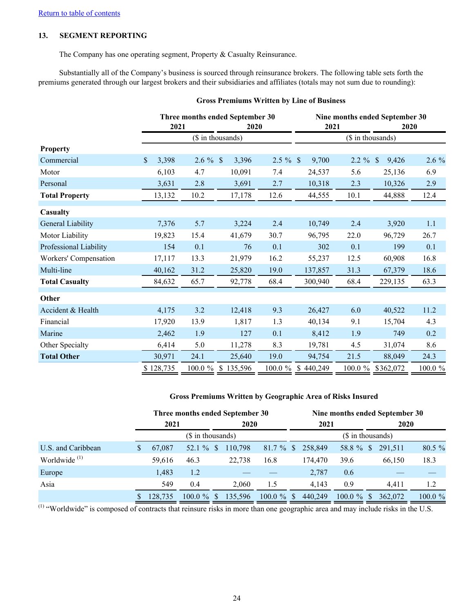## **13. SEGMENT REPORTING**

The Company has one operating segment, Property & Casualty Reinsurance.

Substantially all of the Company's business is sourced through reinsurance brokers. The following table sets forth the premiums generated through our largest brokers and their subsidiaries and affiliates (totals may not sum due to rounding):

|                        | 2021        |             | Three months ended September 30<br>2020 |             | Nine months ended September 30<br>2021<br>2020<br>(\$ in thousands) |            |                        |         |  |
|------------------------|-------------|-------------|-----------------------------------------|-------------|---------------------------------------------------------------------|------------|------------------------|---------|--|
|                        |             |             | (\$ in thousands)                       |             |                                                                     |            |                        |         |  |
| <b>Property</b>        |             |             |                                         |             |                                                                     |            |                        |         |  |
| Commercial             | \$<br>3,398 | $2.6 \%$ \$ | 3,396                                   | $2.5 \%$ \$ | 9,700                                                               | $2.2 \%$   | <sup>\$</sup><br>9,426 | 2.6 %   |  |
| Motor                  | 6,103       | 4.7         | 10,091                                  | 7.4         | 24,537                                                              | 5.6        | 25,136                 | 6.9     |  |
| Personal               | 3,631       | 2.8         | 3,691                                   | 2.7         | 10,318                                                              | 2.3        | 10,326                 | 2.9     |  |
| <b>Total Property</b>  | 13,132      | 10.2        | 17,178                                  | 12.6        | 44,555                                                              | 10.1       | 44,888                 | 12.4    |  |
| Casualty               |             |             |                                         |             |                                                                     |            |                        |         |  |
| General Liability      | 7,376       | 5.7         | 3,224                                   | 2.4         | 10,749                                                              | 2.4        | 3,920                  | 1.1     |  |
| Motor Liability        | 19,823      | 15.4        | 41,679                                  | 30.7        | 96,795                                                              | 22.0       | 96,729                 | 26.7    |  |
| Professional Liability | 154         | 0.1         | 76                                      | 0.1         | 302                                                                 | 0.1        | 199                    | 0.1     |  |
| Workers' Compensation  | 17,117      | 13.3        | 21,979                                  | 16.2        | 55,237                                                              | 12.5       | 60,908                 | 16.8    |  |
| Multi-line             | 40,162      | 31.2        | 25,820                                  | 19.0        | 137,857                                                             | 31.3       | 67,379                 | 18.6    |  |
| <b>Total Casualty</b>  | 84,632      | 65.7        | 92,778                                  | 68.4        | 300,940                                                             | 68.4       | 229,135                | 63.3    |  |
| Other                  |             |             |                                         |             |                                                                     |            |                        |         |  |
| Accident & Health      | 4,175       | 3.2         | 12,418                                  | 9.3         | 26,427                                                              | 6.0        | 40,522                 | 11.2    |  |
| Financial              | 17,920      | 13.9        | 1,817                                   | 1.3         | 40,134                                                              | 9.1        | 15,704                 | 4.3     |  |
| Marine                 | 2,462       | 1.9         | 127                                     | 0.1         | 8,412                                                               | 1.9        | 749                    | 0.2     |  |
| Other Specialty        | 6,414       | 5.0         | 11,278                                  | 8.3         | 19,781                                                              | 4.5        | 31,074                 | 8.6     |  |
| <b>Total Other</b>     | 30,971      | 24.1        | 25,640                                  | 19.0        | 94,754                                                              | 21.5       | 88,049                 | 24.3    |  |
|                        | \$128,735   | 100.0 %     | \$135,596                               | $100.0 \%$  | 440,249<br>\$                                                       | $100.0 \%$ | \$362,072              | 100.0 % |  |

#### **Gross Premiums Written by Line of Business**

## **Gross Premiums Written by Geographic Area of Risks Insured**

|                          |                   |               |              |  | Three months ended September 30 |               |                    |                   |               |      | Nine months ended September 30 |            |
|--------------------------|-------------------|---------------|--------------|--|---------------------------------|---------------|--------------------|-------------------|---------------|------|--------------------------------|------------|
|                          | 2021<br>2020      |               |              |  |                                 |               | 2021               |                   |               | 2020 |                                |            |
|                          | (\$ in thousands) |               |              |  |                                 |               | $($$ in thousands) |                   |               |      |                                |            |
| U.S. and Caribbean       | \$<br>67,087      |               | 52.1 $\%$ \$ |  | 110,798                         |               |                    | 81.7 % \$ 258,849 |               |      | 58.8 % \$ 291,511              | 80.5 %     |
| Worldwide <sup>(1)</sup> | 59,616            | 46.3          |              |  | 22.738                          | 16.8          |                    | 174.470           | 39.6          |      | 66.150                         | 18.3       |
| Europe                   | 1.483             | 1.2           |              |  |                                 |               |                    | 2,787             | 0.6           |      |                                |            |
| Asia                     | 549               | 0.4           |              |  | 2.060                           | 1.5           |                    | 4,143             | 0.9           |      | 4,411                          | 1.2        |
|                          | 128.735           | $100.0 \%$ \$ |              |  | 135,596                         | $100.0 \%$ \$ |                    | 440,249           | $100.0 \%$ \$ |      | 362,072                        | $100.0 \%$ |

(1) "Worldwide" is composed of contracts that reinsure risks in more than one geographic area and may include risks in the U.S.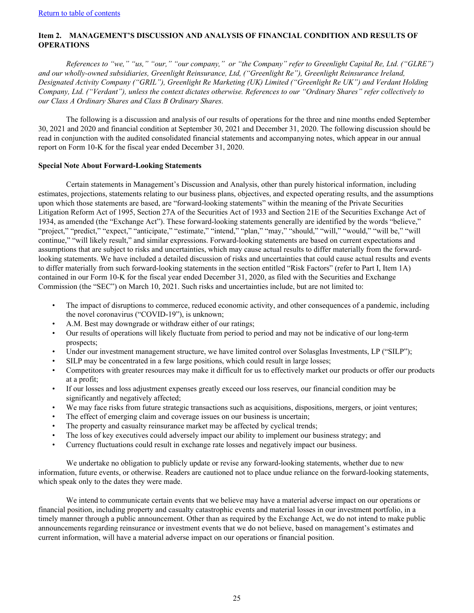## <span id="page-25-0"></span>**Item 2. MANAGEMENT'S DISCUSSION AND ANALYSIS OF FINANCIAL CONDITION AND RESULTS OF OPERATIONS**

*References to "we," "us," "our," "our company," or "the Company" refer to Greenlight Capital Re, Ltd. ("GLRE") and our wholly-owned subsidiaries, Greenlight Reinsurance, Ltd, ("Greenlight Re"), Greenlight Reinsurance Ireland, Designated Activity Company ("GRIL"), Greenlight Re Marketing (UK) Limited ("Greenlight Re UK") and Verdant Holding Company, Ltd. ("Verdant"), unless the context dictates otherwise. References to our "Ordinary Shares" refer collectively to our Class A Ordinary Shares and Class B Ordinary Shares.*

The following is a discussion and analysis of our results of operations for the three and nine months ended September 30, 2021 and 2020 and financial condition at September 30, 2021 and December 31, 2020. The following discussion should be read in conjunction with the audited consolidated financial statements and accompanying notes, which appear in our annual report on Form 10-K for the fiscal year ended December 31, 2020.

### **Special Note About Forward-Looking Statements**

Certain statements in Management's Discussion and Analysis, other than purely historical information, including estimates, projections, statements relating to our business plans, objectives, and expected operating results, and the assumptions upon which those statements are based, are "forward-looking statements" within the meaning of the Private Securities Litigation Reform Act of 1995, Section 27A of the Securities Act of 1933 and Section 21E of the Securities Exchange Act of 1934, as amended (the "Exchange Act"). These forward-looking statements generally are identified by the words "believe," "project," "predict," "expect," "anticipate," "estimate," "intend," "plan," "may," "should," "will," "would," "will be," "will continue," "will likely result," and similar expressions. Forward-looking statements are based on current expectations and assumptions that are subject to risks and uncertainties, which may cause actual results to differ materially from the forwardlooking statements. We have included a detailed discussion of risks and uncertainties that could cause actual results and events to differ materially from such forward-looking statements in the section entitled "Risk Factors" (refer to Part I, Item 1A) contained in our Form 10-K for the fiscal year ended December 31, 2020, as filed with the Securities and Exchange Commission (the "SEC") on March 10, 2021. Such risks and uncertainties include, but are not limited to:

- The impact of disruptions to commerce, reduced economic activity, and other consequences of a pandemic, including the novel coronavirus ("COVID-19"), is unknown;
- A.M. Best may downgrade or withdraw either of our ratings;
- Our results of operations will likely fluctuate from period to period and may not be indicative of our long-term prospects;
- Under our investment management structure, we have limited control over Solasglas Investments, LP ("SILP");
- SILP may be concentrated in a few large positions, which could result in large losses;
- Competitors with greater resources may make it difficult for us to effectively market our products or offer our products at a profit;
- If our losses and loss adjustment expenses greatly exceed our loss reserves, our financial condition may be significantly and negatively affected;
- We may face risks from future strategic transactions such as acquisitions, dispositions, mergers, or joint ventures;
- The effect of emerging claim and coverage issues on our business is uncertain;
- The property and casualty reinsurance market may be affected by cyclical trends;
- The loss of key executives could adversely impact our ability to implement our business strategy; and
- Currency fluctuations could result in exchange rate losses and negatively impact our business.

We undertake no obligation to publicly update or revise any forward-looking statements, whether due to new information, future events, or otherwise. Readers are cautioned not to place undue reliance on the forward-looking statements, which speak only to the dates they were made.

We intend to communicate certain events that we believe may have a material adverse impact on our operations or financial position, including property and casualty catastrophic events and material losses in our investment portfolio, in a timely manner through a public announcement. Other than as required by the Exchange Act, we do not intend to make public announcements regarding reinsurance or investment events that we do not believe, based on management's estimates and current information, will have a material adverse impact on our operations or financial position.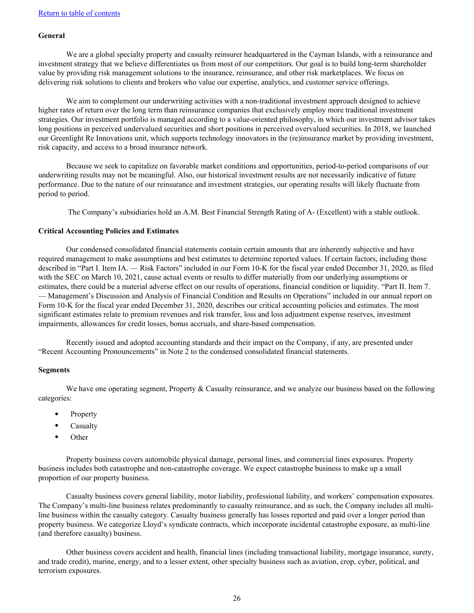## **General**

We are a global specialty property and casualty reinsurer headquartered in the Cayman Islands, with a reinsurance and investment strategy that we believe differentiates us from most of our competitors. Our goal is to build long-term shareholder value by providing risk management solutions to the insurance, reinsurance, and other risk marketplaces. We focus on delivering risk solutions to clients and brokers who value our expertise, analytics, and customer service offerings.

We aim to complement our underwriting activities with a non-traditional investment approach designed to achieve higher rates of return over the long term than reinsurance companies that exclusively employ more traditional investment strategies. Our investment portfolio is managed according to a value-oriented philosophy, in which our investment advisor takes long positions in perceived undervalued securities and short positions in perceived overvalued securities. In 2018, we launched our Greenlight Re Innovations unit, which supports technology innovators in the (re)insurance market by providing investment, risk capacity, and access to a broad insurance network.

Because we seek to capitalize on favorable market conditions and opportunities, period-to-period comparisons of our underwriting results may not be meaningful. Also, our historical investment results are not necessarily indicative of future performance. Due to the nature of our reinsurance and investment strategies, our operating results will likely fluctuate from period to period.

The Company's subsidiaries hold an A.M. Best Financial Strength Rating of A- (Excellent) with a stable outlook.

#### **Critical Accounting Policies and Estimates**

Our condensed consolidated financial statements contain certain amounts that are inherently subjective and have required management to make assumptions and best estimates to determine reported values. If certain factors, including those described in "Part I. Item IA. — Risk Factors" included in our Form 10-K for the fiscal year ended December 31, 2020, as filed with the SEC on March 10, 2021, cause actual events or results to differ materially from our underlying assumptions or estimates, there could be a material adverse effect on our results of operations, financial condition or liquidity. "Part II. Item 7. — Management's Discussion and Analysis of Financial Condition and Results on Operations" included in our annual report on Form 10-K for the fiscal year ended December 31, 2020, describes our critical accounting policies and estimates. The most significant estimates relate to premium revenues and risk transfer, loss and loss adjustment expense reserves, investment impairments, allowances for credit losses, bonus accruals, and share-based compensation.

Recently issued and adopted accounting standards and their impact on the Company, if any, are presented under "Recent Accounting Pronouncements" in Note 2 to the condensed consolidated financial statements.

## **Segments**

We have one operating segment, Property  $&$  Casualty reinsurance, and we analyze our business based on the following categories:

- Property
- Casualty
- Other

Property business covers automobile physical damage, personal lines, and commercial lines exposures. Property business includes both catastrophe and non-catastrophe coverage. We expect catastrophe business to make up a small proportion of our property business.

Casualty business covers general liability, motor liability, professional liability, and workers' compensation exposures. The Company's multi-line business relates predominantly to casualty reinsurance, and as such, the Company includes all multiline business within the casualty category. Casualty business generally has losses reported and paid over a longer period than property business. We categorize Lloyd's syndicate contracts, which incorporate incidental catastrophe exposure, as multi-line (and therefore casualty) business.

Other business covers accident and health, financial lines (including transactional liability, mortgage insurance, surety, and trade credit), marine, energy, and to a lesser extent, other specialty business such as aviation, crop, cyber, political, and terrorism exposures.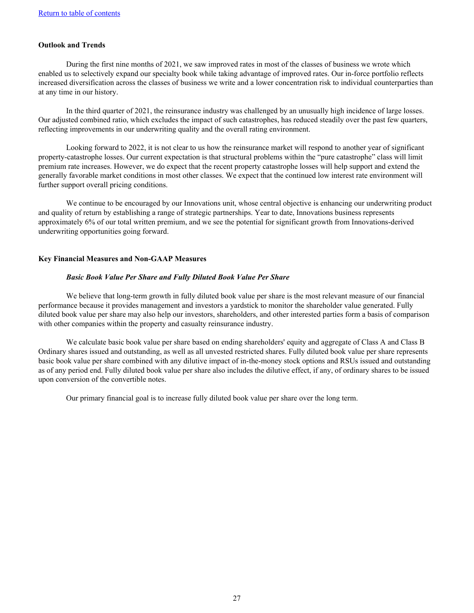## **Outlook and Trends**

During the first nine months of 2021, we saw improved rates in most of the classes of business we wrote which enabled us to selectively expand our specialty book while taking advantage of improved rates. Our in-force portfolio reflects increased diversification across the classes of business we write and a lower concentration risk to individual counterparties than at any time in our history.

In the third quarter of 2021, the reinsurance industry was challenged by an unusually high incidence of large losses. Our adjusted combined ratio, which excludes the impact of such catastrophes, has reduced steadily over the past few quarters, reflecting improvements in our underwriting quality and the overall rating environment.

Looking forward to 2022, it is not clear to us how the reinsurance market will respond to another year of significant property-catastrophe losses. Our current expectation is that structural problems within the "pure catastrophe" class will limit premium rate increases. However, we do expect that the recent property catastrophe losses will help support and extend the generally favorable market conditions in most other classes. We expect that the continued low interest rate environment will further support overall pricing conditions.

We continue to be encouraged by our Innovations unit, whose central objective is enhancing our underwriting product and quality of return by establishing a range of strategic partnerships. Year to date, Innovations business represents approximately 6% of our total written premium, and we see the potential for significant growth from Innovations-derived underwriting opportunities going forward.

#### **Key Financial Measures and Non-GAAP Measures**

#### *Basic Book Value Per Share and Fully Diluted Book Value Per Share*

We believe that long-term growth in fully diluted book value per share is the most relevant measure of our financial performance because it provides management and investors a yardstick to monitor the shareholder value generated. Fully diluted book value per share may also help our investors, shareholders, and other interested parties form a basis of comparison with other companies within the property and casualty reinsurance industry.

We calculate basic book value per share based on ending shareholders' equity and aggregate of Class A and Class B Ordinary shares issued and outstanding, as well as all unvested restricted shares. Fully diluted book value per share represents basic book value per share combined with any dilutive impact of in-the-money stock options and RSUs issued and outstanding as of any period end. Fully diluted book value per share also includes the dilutive effect, if any, of ordinary shares to be issued upon conversion of the convertible notes.

Our primary financial goal is to increase fully diluted book value per share over the long term.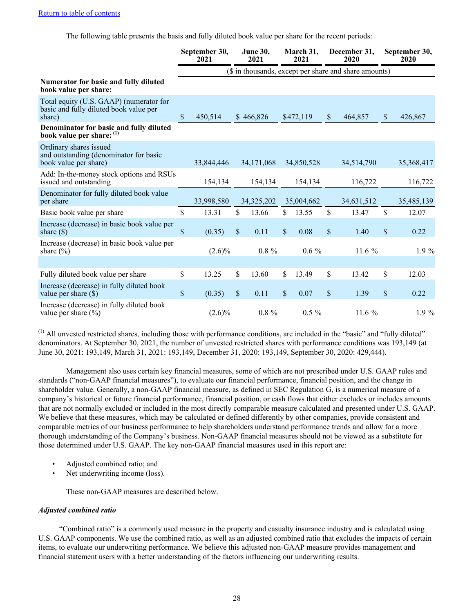The following table presents the basis and fully diluted book value per share for the recent periods:

|                                                                                             | September 30,<br>2021 |                                                       | <b>June 30,</b><br>2021 |               | March 31,<br>2021 |                           | December 31,<br>2020 |    | September 30,<br>2020 |
|---------------------------------------------------------------------------------------------|-----------------------|-------------------------------------------------------|-------------------------|---------------|-------------------|---------------------------|----------------------|----|-----------------------|
|                                                                                             |                       | (\$ in thousands, except per share and share amounts) |                         |               |                   |                           |                      |    |                       |
| Numerator for basic and fully diluted<br>book value per share:                              |                       |                                                       |                         |               |                   |                           |                      |    |                       |
| Total equity (U.S. GAAP) (numerator for<br>basic and fully diluted book value per<br>share) | \$<br>450,514         |                                                       | \$466,826               |               | \$472,119         | $\boldsymbol{\mathsf{S}}$ | 464,857              | \$ | 426,867               |
| Denominator for basic and fully diluted<br>book value per share: (1)                        |                       |                                                       |                         |               |                   |                           |                      |    |                       |
| Ordinary shares issued<br>and outstanding (denominator for basic<br>book value per share)   | 33,844,446            |                                                       | 34,171,068              |               | 34,850,528        |                           | 34,514,790           |    | 35,368,417            |
| Add: In-the-money stock options and RSUs<br>issued and outstanding                          | 154,134               |                                                       | 154,134                 |               | 154,134           |                           | 116,722              |    | 116,722               |
| Denominator for fully diluted book value<br>per share                                       | 33,998,580            |                                                       | 34,325,202              |               | 35,004,662        |                           | 34,631,512           |    | 35,485,139            |
| Basic book value per share                                                                  | \$<br>13.31           | \$                                                    | 13.66                   | \$            | 13.55             | $\mathsf{\$}$             | 13.47                | \$ | 12.07                 |
| Increase (decrease) in basic book value per<br>share $(\$)$                                 | \$<br>(0.35)          | \$                                                    | 0.11                    | $\mathsf{\$}$ | 0.08              | \$                        | 1.40                 | \$ | 0.22                  |
| Increase (decrease) in basic book value per<br>share $(\% )$                                | $(2.6)\%$             |                                                       | $0.8 \%$                |               | $0.6\%$           |                           | 11.6 $%$             |    | $1.9\%$               |
|                                                                                             |                       |                                                       |                         |               |                   |                           |                      |    |                       |
| Fully diluted book value per share                                                          | \$<br>13.25           | \$                                                    | 13.60                   | \$            | 13.49             | \$                        | 13.42                | \$ | 12.03                 |
| Increase (decrease) in fully diluted book<br>value per share $(\$)$                         | \$<br>(0.35)          | $\mathcal{S}$                                         | 0.11                    | $\mathsf{\$}$ | 0.07              | $\mathsf{\$}$             | 1.39                 | \$ | 0.22                  |
| Increase (decrease) in fully diluted book<br>value per share $(\% )$                        | $(2.6)\%$             |                                                       | $0.8 \%$                |               | $0.5 \%$          |                           | 11.6 %               |    | $1.9\%$               |

(1) All unvested restricted shares, including those with performance conditions, are included in the "basic" and "fully diluted" denominators. At September 30, 2021, the number of unvested restricted shares with performance conditions was 193,149 (at June 30, 2021: 193,149, March 31, 2021: 193,149, December 31, 2020: 193,149, September 30, 2020: 429,444).

Management also uses certain key financial measures, some of which are not prescribed under U.S. GAAP rules and standards ("non-GAAP financial measures"), to evaluate our financial performance, financial position, and the change in shareholder value. Generally, a non-GAAP financial measure, as defined in SEC Regulation G, is a numerical measure of a company's historical or future financial performance, financial position, or cash flows that either excludes or includes amounts that are not normally excluded or included in the most directly comparable measure calculated and presented under U.S. GAAP. We believe that these measures, which may be calculated or defined differently by other companies, provide consistent and comparable metrics of our business performance to help shareholders understand performance trends and allow for a more thorough understanding of the Company's business. Non-GAAP financial measures should not be viewed as a substitute for those determined under U.S. GAAP. The key non-GAAP financial measures used in this report are:

- Adjusted combined ratio; and
- Net underwriting income (loss).

These non-GAAP measures are described below.

#### *Adjusted combined ratio*

"Combined ratio" is a commonly used measure in the property and casualty insurance industry and is calculated using U.S. GAAP components. We use the combined ratio, as well as an adjusted combined ratio that excludes the impacts of certain items, to evaluate our underwriting performance. We believe this adjusted non-GAAP measure provides management and financial statement users with a better understanding of the factors influencing our underwriting results.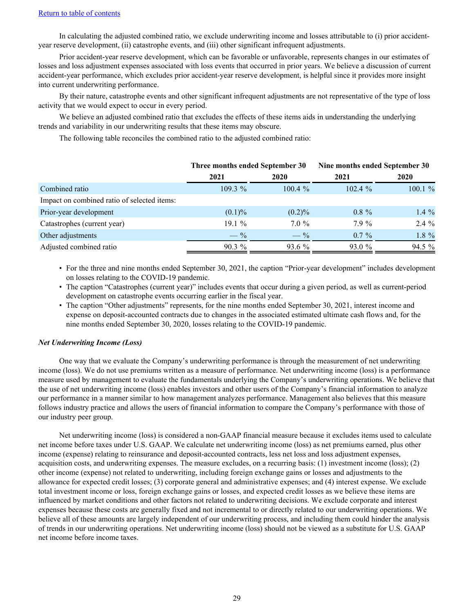In calculating the adjusted combined ratio, we exclude underwriting income and losses attributable to (i) prior accidentyear reserve development, (ii) catastrophe events, and (iii) other significant infrequent adjustments.

Prior accident-year reserve development, which can be favorable or unfavorable, represents changes in our estimates of losses and loss adjustment expenses associated with loss events that occurred in prior years. We believe a discussion of current accident-year performance, which excludes prior accident-year reserve development, is helpful since it provides more insight into current underwriting performance.

By their nature, catastrophe events and other significant infrequent adjustments are not representative of the type of loss activity that we would expect to occur in every period.

We believe an adjusted combined ratio that excludes the effects of these items aids in understanding the underlying trends and variability in our underwriting results that these items may obscure.

The following table reconciles the combined ratio to the adjusted combined ratio:

|                                             | Three months ended September 30 |                 | Nine months ended September 30 |             |  |
|---------------------------------------------|---------------------------------|-----------------|--------------------------------|-------------|--|
|                                             | 2021                            | 2020            | 2021                           | <b>2020</b> |  |
| Combined ratio                              | $109.3\%$                       | $100.4 \%$      | $102.4 \%$                     | $100.1 \%$  |  |
| Impact on combined ratio of selected items: |                                 |                 |                                |             |  |
| Prior-year development                      | $(0.1)\%$                       | $(0.2)\%$       | $0.8 \%$                       | $1.4\%$     |  |
| Catastrophes (current year)                 | 19.1%                           | $7.0 \%$        | $7.9\%$                        | $2.4\%$     |  |
| Other adjustments                           | $- \frac{9}{6}$                 | $- \frac{9}{6}$ | $0.7\%$                        | 1.8 %       |  |
| Adjusted combined ratio                     | $90.3\%$                        | $93.6\%$        | 93.0 %                         | 94.5 %      |  |

• For the three and nine months ended September 30, 2021, the caption "Prior-year development" includes development on losses relating to the COVID-19 pandemic.

- The caption "Catastrophes (current year)" includes events that occur during a given period, as well as current-period development on catastrophe events occurring earlier in the fiscal year.
- The caption "Other adjustments" represents, for the nine months ended September 30, 2021, interest income and expense on deposit-accounted contracts due to changes in the associated estimated ultimate cash flows and, for the nine months ended September 30, 2020, losses relating to the COVID-19 pandemic.

## *Net Underwriting Income (Loss)*

One way that we evaluate the Company's underwriting performance is through the measurement of net underwriting income (loss). We do not use premiums written as a measure of performance. Net underwriting income (loss) is a performance measure used by management to evaluate the fundamentals underlying the Company's underwriting operations. We believe that the use of net underwriting income (loss) enables investors and other users of the Company's financial information to analyze our performance in a manner similar to how management analyzes performance. Management also believes that this measure follows industry practice and allows the users of financial information to compare the Company's performance with those of our industry peer group.

Net underwriting income (loss) is considered a non-GAAP financial measure because it excludes items used to calculate net income before taxes under U.S. GAAP. We calculate net underwriting income (loss) as net premiums earned, plus other income (expense) relating to reinsurance and deposit-accounted contracts, less net loss and loss adjustment expenses, acquisition costs, and underwriting expenses. The measure excludes, on a recurring basis: (1) investment income (loss); (2) other income (expense) not related to underwriting, including foreign exchange gains or losses and adjustments to the allowance for expected credit losses; (3) corporate general and administrative expenses; and (4) interest expense. We exclude total investment income or loss, foreign exchange gains or losses, and expected credit losses as we believe these items are influenced by market conditions and other factors not related to underwriting decisions. We exclude corporate and interest expenses because these costs are generally fixed and not incremental to or directly related to our underwriting operations. We believe all of these amounts are largely independent of our underwriting process, and including them could hinder the analysis of trends in our underwriting operations. Net underwriting income (loss) should not be viewed as a substitute for U.S. GAAP net income before income taxes.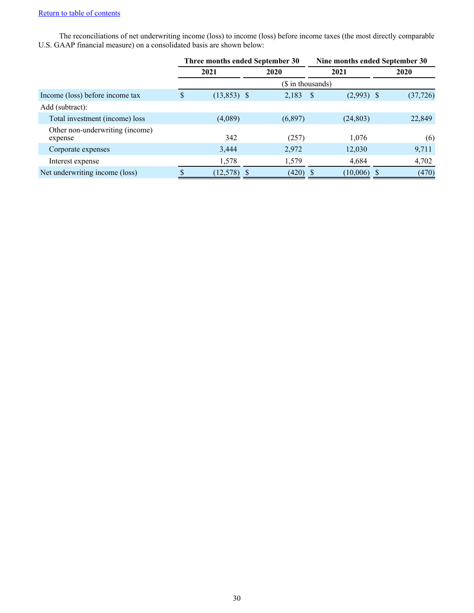## [Return to table of contents](#page-2-0)

The reconciliations of net underwriting income (loss) to income (loss) before income taxes (the most directly comparable U.S. GAAP financial measure) on a consolidated basis are shown below:

|                                            |      | Three months ended September 30 |  |                   | Nine months ended September 30 |              |  |           |
|--------------------------------------------|------|---------------------------------|--|-------------------|--------------------------------|--------------|--|-----------|
|                                            | 2021 |                                 |  | 2020              |                                | 2021         |  | 2020      |
|                                            |      |                                 |  | (\$ in thousands) |                                |              |  |           |
| Income (loss) before income tax            | D    | $(13,853)$ \$                   |  | 2,183             | <sup>S</sup>                   | $(2,993)$ \$ |  | (37, 726) |
| Add (subtract):                            |      |                                 |  |                   |                                |              |  |           |
| Total investment (income) loss             |      | (4,089)                         |  | (6,897)           |                                | (24, 803)    |  | 22,849    |
| Other non-underwriting (income)<br>expense |      | 342                             |  | (257)             |                                | 1,076        |  | (6)       |
| Corporate expenses                         |      | 3,444                           |  | 2,972             |                                | 12,030       |  | 9,711     |
| Interest expense                           |      | 1,578                           |  | 1,579             |                                | 4,684        |  | 4,702     |
| Net underwriting income (loss)             |      | (12, 578)                       |  | (420)             |                                | (10,006)     |  | (470)     |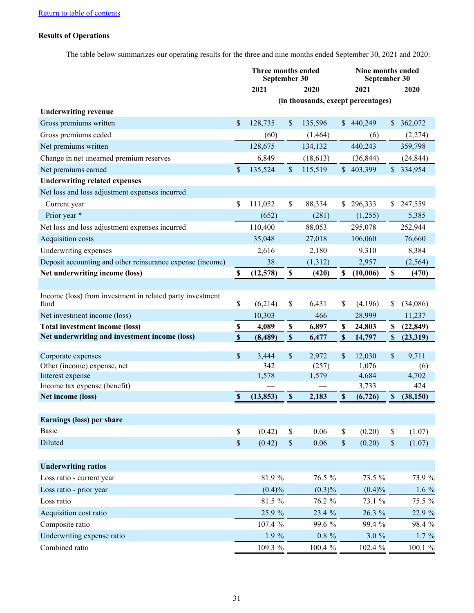## **Results of Operations**

The table below summarizes our operating results for the three and nine months ended September 30, 2021 and 2020:

|                                                           | Three months ended<br>September 30 |              |                           |                |                           | Nine months ended<br>September 30  |                           |              |  |
|-----------------------------------------------------------|------------------------------------|--------------|---------------------------|----------------|---------------------------|------------------------------------|---------------------------|--------------|--|
|                                                           |                                    | 2021         |                           | 2020           |                           | 2021                               |                           | 2020         |  |
|                                                           |                                    |              |                           |                |                           | (in thousands, except percentages) |                           |              |  |
| <b>Underwriting revenue</b>                               |                                    |              |                           |                |                           |                                    |                           |              |  |
| Gross premiums written                                    | \$                                 | 128,735      | \$                        | 135,596        |                           | \$440,249                          |                           | \$362,072    |  |
| Gross premiums ceded                                      |                                    | (60)         |                           | (1, 464)       |                           | (6)                                |                           | (2,274)      |  |
| Net premiums written                                      |                                    | 128,675      |                           | 134,132        |                           | 440,243                            |                           | 359,798      |  |
| Change in net unearned premium reserves                   |                                    | 6,849        |                           | (18, 613)      |                           | (36, 844)                          |                           | (24, 844)    |  |
| Net premiums earned                                       | $\mathcal{S}$                      | 135,524      | $\mathsf{\$}$             | 115,519        |                           | \$403,399                          |                           | \$334,954    |  |
| <b>Underwriting related expenses</b>                      |                                    |              |                           |                |                           |                                    |                           |              |  |
| Net loss and loss adjustment expenses incurred            |                                    |              |                           |                |                           |                                    |                           |              |  |
| Current year                                              | \$                                 | 111,052      | \$                        | 88,334         | \$                        | 296,333                            | \$                        | 247,559      |  |
| Prior year *                                              |                                    | (652)        |                           | (281)          |                           | (1,255)                            |                           | 5,385        |  |
| Net loss and loss adjustment expenses incurred            |                                    | 110,400      |                           | 88,053         |                           | 295,078                            |                           | 252,944      |  |
| Acquisition costs                                         |                                    | 35,048       |                           | 27,018         |                           | 106,060                            |                           | 76,660       |  |
| Underwriting expenses                                     |                                    | 2,616        |                           | 2,180          |                           | 9,310                              |                           | 8,384        |  |
| Deposit accounting and other reinsurance expense (income) |                                    | 38           |                           | (1,312)        |                           | 2,957                              |                           | (2, 564)     |  |
| Net underwriting income (loss)                            | $\mathbf S$                        | (12,578)     | $\mathbb S$               | (420)          | \$                        | (10,006)                           | $\mathbb S$               | (470)        |  |
|                                                           |                                    |              |                           |                |                           |                                    |                           |              |  |
| Income (loss) from investment in related party investment |                                    |              |                           |                |                           |                                    |                           |              |  |
| fund                                                      | \$                                 | (6,214)      | \$                        | 6,431          | \$                        | (4,196)                            | \$                        | (34,086)     |  |
| Net investment income (loss)                              |                                    | 10,303       |                           | 466            |                           | 28,999                             |                           | 11,237       |  |
| Total investment income (loss)                            | $\mathbb S$                        | 4,089        | \$                        | 6,897          | \$                        | 24,803                             | S                         | (22, 849)    |  |
| Net underwriting and investment income (loss)             | $\boldsymbol{\mathsf{S}}$          | (8, 489)     | $\mathbf{\$}$             | 6,477          | $\boldsymbol{\mathsf{S}}$ | 14,797                             | $\mathbf{\$}$             | (23,319)     |  |
|                                                           |                                    |              |                           |                |                           |                                    |                           |              |  |
| Corporate expenses                                        | \$                                 | 3,444        | \$                        | 2,972          | \$                        | 12,030                             | \$                        | 9,711        |  |
| Other (income) expense, net<br>Interest expense           |                                    | 342<br>1,578 |                           | (257)<br>1,579 |                           | 1,076<br>4,684                     |                           | (6)<br>4,702 |  |
| Income tax expense (benefit)                              |                                    |              |                           |                |                           | 3,733                              |                           | 424          |  |
| Net income (loss)                                         | $\boldsymbol{\mathsf{s}}$          | (13, 853)    | $\boldsymbol{\mathsf{S}}$ | 2,183          | $\boldsymbol{\mathsf{S}}$ | (6, 726)                           | $\boldsymbol{\mathsf{S}}$ | (38, 150)    |  |
|                                                           |                                    |              |                           |                |                           |                                    |                           |              |  |
| Earnings (loss) per share                                 |                                    |              |                           |                |                           |                                    |                           |              |  |
| <b>Basic</b>                                              | \$                                 | (0.42)       | \$                        | 0.06           | \$                        | (0.20)                             | \$                        | (1.07)       |  |
| Diluted                                                   | \$                                 | (0.42)       | $\mathbb S$               | 0.06           | $\$$                      | (0.20)                             | $\$$                      | (1.07)       |  |
|                                                           |                                    |              |                           |                |                           |                                    |                           |              |  |
| <b>Underwriting ratios</b>                                |                                    |              |                           |                |                           |                                    |                           |              |  |
| Loss ratio - current year                                 |                                    | 81.9%        |                           | 76.5 %         |                           | 73.5 %                             |                           | 73.9 %       |  |
|                                                           |                                    |              |                           |                |                           |                                    |                           |              |  |
| Loss ratio - prior year                                   |                                    | $(0.4)\%$    |                           | $(0.3)\%$      |                           | (0.4)%                             |                           | $1.6\%$      |  |
| Loss ratio                                                |                                    | 81.5 %       |                           | 76.2 %         |                           | 73.1 %                             |                           | 75.5 %       |  |
| Acquisition cost ratio                                    |                                    | 25.9 %       |                           | 23.4 %         |                           | 26.3 %                             |                           | 22.9 %       |  |
| Composite ratio                                           |                                    | 107.4 %      |                           | 99.6 %         |                           | 99.4 %                             |                           | 98.4 %       |  |
| Underwriting expense ratio                                |                                    | $1.9 \%$     |                           | $0.8\ \%$      |                           | $3.0 \%$                           |                           | $1.7\%$      |  |
| Combined ratio                                            |                                    | 109.3 %      |                           | 100.4 %        |                           | 102.4 %                            |                           | 100.1%       |  |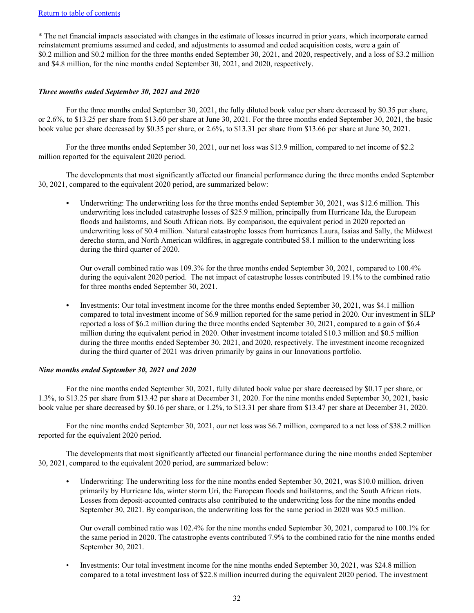## [Return to table of contents](#page-2-0)

\* The net financial impacts associated with changes in the estimate of losses incurred in prior years, which incorporate earned reinstatement premiums assumed and ceded, and adjustments to assumed and ceded acquisition costs, were a gain of \$0.2 million and \$0.2 million for the three months ended September 30, 2021, and 2020, respectively, and a loss of \$3.2 million and \$4.8 million, for the nine months ended September 30, 2021, and 2020, respectively.

## *Three months ended September 30, 2021 and 2020*

For the three months ended September 30, 2021, the fully diluted book value per share decreased by \$0.35 per share, or 2.6%, to \$13.25 per share from \$13.60 per share at June 30, 2021. For the three months ended September 30, 2021, the basic book value per share decreased by \$0.35 per share, or 2.6%, to \$13.31 per share from \$13.66 per share at June 30, 2021.

For the three months ended September 30, 2021, our net loss was \$13.9 million, compared to net income of \$2.2 million reported for the equivalent 2020 period.

The developments that most significantly affected our financial performance during the three months ended September 30, 2021, compared to the equivalent 2020 period, are summarized below:

Underwriting: The underwriting loss for the three months ended September 30, 2021, was \$12.6 million. This underwriting loss included catastrophe losses of \$25.9 million, principally from Hurricane Ida, the European floods and hailstorms, and South African riots. By comparison, the equivalent period in 2020 reported an underwriting loss of \$0.4 million. Natural catastrophe losses from hurricanes Laura, Isaias and Sally, the Midwest derecho storm, and North American wildfires, in aggregate contributed \$8.1 million to the underwriting loss during the third quarter of 2020.

Our overall combined ratio was 109.3% for the three months ended September 30, 2021, compared to 100.4% during the equivalent 2020 period. The net impact of catastrophe losses contributed 19.1% to the combined ratio for three months ended September 30, 2021.

• Investments: Our total investment income for the three months ended September 30, 2021, was \$4.1 million compared to total investment income of \$6.9 million reported for the same period in 2020. Our investment in SILP reported a loss of \$6.2 million during the three months ended September 30, 2021, compared to a gain of \$6.4 million during the equivalent period in 2020. Other investment income totaled \$10.3 million and \$0.5 million during the three months ended September 30, 2021, and 2020, respectively. The investment income recognized during the third quarter of 2021 was driven primarily by gains in our Innovations portfolio.

## *Nine months ended September 30, 2021 and 2020*

For the nine months ended September 30, 2021, fully diluted book value per share decreased by \$0.17 per share, or 1.3%, to \$13.25 per share from \$13.42 per share at December 31, 2020. For the nine months ended September 30, 2021, basic book value per share decreased by \$0.16 per share, or 1.2%, to \$13.31 per share from \$13.47 per share at December 31, 2020.

For the nine months ended September 30, 2021, our net loss was \$6.7 million, compared to a net loss of \$38.2 million reported for the equivalent 2020 period.

The developments that most significantly affected our financial performance during the nine months ended September 30, 2021, compared to the equivalent 2020 period, are summarized below:

Underwriting: The underwriting loss for the nine months ended September 30, 2021, was \$10.0 million, driven primarily by Hurricane Ida, winter storm Uri, the European floods and hailstorms, and the South African riots. Losses from deposit-accounted contracts also contributed to the underwriting loss for the nine months ended September 30, 2021. By comparison, the underwriting loss for the same period in 2020 was \$0.5 million.

Our overall combined ratio was 102.4% for the nine months ended September 30, 2021, compared to 100.1% for the same period in 2020. The catastrophe events contributed 7.9% to the combined ratio for the nine months ended September 30, 2021.

• Investments: Our total investment income for the nine months ended September 30, 2021, was \$24.8 million compared to a total investment loss of \$22.8 million incurred during the equivalent 2020 period. The investment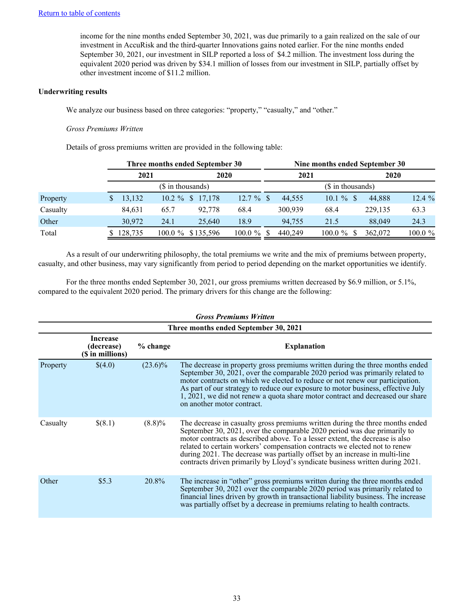income for the nine months ended September 30, 2021, was due primarily to a gain realized on the sale of our investment in AccuRisk and the third-quarter Innovations gains noted earlier. For the nine months ended September 30, 2021, our investment in SILP reported a loss of \$4.2 million. The investment loss during the equivalent 2020 period was driven by \$34.1 million of losses from our investment in SILP, partially offset by other investment income of \$11.2 million.

## **Underwriting results**

We analyze our business based on three categories: "property," "casualty," and "other."

## *Gross Premiums Written*

Details of gross premiums written are provided in the following table:

|          | Three months ended September 30 |                    |                     |              |   | Nine months ended September 30 |                   |         |            |  |  |  |
|----------|---------------------------------|--------------------|---------------------|--------------|---|--------------------------------|-------------------|---------|------------|--|--|--|
|          | 2021<br>2020                    |                    |                     | 2021         |   |                                | 2020              |         |            |  |  |  |
|          |                                 | $($$ in thousands) |                     |              |   |                                | (\$ in thousands) |         |            |  |  |  |
| Property | 13,132                          |                    | $10.2 \%$ \$ 17,178 | $12.7 \%$ \$ |   | 44.555                         | $10.1 \%$ \$      | 44.888  | $12.4\%$   |  |  |  |
| Casualty | 84,631                          | 65.7               | 92.778              | 68.4         |   | 300.939                        | 68.4              | 229,135 | 63.3       |  |  |  |
| Other    | 30,972                          | 24.1               | 25,640              | 18.9         |   | 94.755                         | 21.5              | 88.049  | 24.3       |  |  |  |
| Total    | 128,735                         |                    | 100.0 % \$135,596   | $100.0 \%$   | S | 440.249                        | $100.0 \%$ \$     | 362,072 | $100.0 \%$ |  |  |  |

As a result of our underwriting philosophy, the total premiums we write and the mix of premiums between property, casualty, and other business, may vary significantly from period to period depending on the market opportunities we identify.

For the three months ended September 30, 2021, our gross premiums written decreased by \$6.9 million, or 5.1%, compared to the equivalent 2020 period. The primary drivers for this change are the following:

|          | <b>Gross Premiums Written</b>                     |            |                                                                                                                                                                                                                                                                                                                                                                                                                                                                                         |  |  |  |  |  |  |  |  |
|----------|---------------------------------------------------|------------|-----------------------------------------------------------------------------------------------------------------------------------------------------------------------------------------------------------------------------------------------------------------------------------------------------------------------------------------------------------------------------------------------------------------------------------------------------------------------------------------|--|--|--|--|--|--|--|--|
|          | Three months ended September 30, 2021             |            |                                                                                                                                                                                                                                                                                                                                                                                                                                                                                         |  |  |  |  |  |  |  |  |
|          | <b>Increase</b><br>(decrease)<br>(\$ in millions) | % change   | <b>Explanation</b>                                                                                                                                                                                                                                                                                                                                                                                                                                                                      |  |  |  |  |  |  |  |  |
| Property | \$(4.0)                                           | $(23.6)\%$ | The decrease in property gross premiums written during the three months ended<br>September 30, 2021, over the comparable 2020 period was primarily related to<br>motor contracts on which we elected to reduce or not renew our participation.<br>As part of our strategy to reduce our exposure to motor business, effective July<br>1, 2021, we did not renew a quota share motor contract and decreased our share<br>on another motor contract.                                      |  |  |  |  |  |  |  |  |
| Casualty | \$(8.1)                                           | $(8.8)\%$  | The decrease in casualty gross premiums written during the three months ended<br>September 30, 2021, over the comparable 2020 period was due primarily to<br>motor contracts as described above. To a lesser extent, the decrease is also<br>related to certain workers' compensation contracts we elected not to renew<br>during 2021. The decrease was partially offset by an increase in multi-line<br>contracts driven primarily by Lloyd's syndicate business written during 2021. |  |  |  |  |  |  |  |  |
| Other    | \$5.3                                             | 20.8%      | The increase in "other" gross premiums written during the three months ended<br>September 30, 2021 over the comparable 2020 period was primarily related to<br>financial lines driven by growth in transactional liability business. The increase<br>was partially offset by a decrease in premiums relating to health contracts.                                                                                                                                                       |  |  |  |  |  |  |  |  |

# 33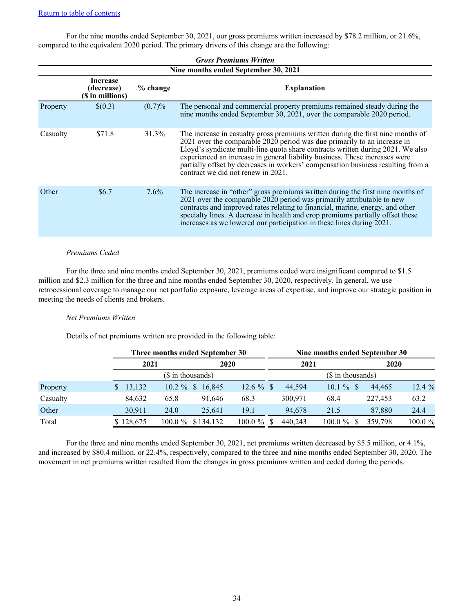For the nine months ended September 30, 2021, our gross premiums written increased by \$78.2 million, or 21.6%, compared to the equivalent 2020 period. The primary drivers of this change are the following:

|          |                                                                                     |         | <b>Gross Premiums Written</b><br>Nine months ended September 30, 2021                                                                                                                                                                                                                                                                                                                                                                                       |  |  |  |  |  |  |  |  |  |
|----------|-------------------------------------------------------------------------------------|---------|-------------------------------------------------------------------------------------------------------------------------------------------------------------------------------------------------------------------------------------------------------------------------------------------------------------------------------------------------------------------------------------------------------------------------------------------------------------|--|--|--|--|--|--|--|--|--|
|          | <b>Increase</b><br><b>Explanation</b><br>% change<br>(decrease)<br>(\$ in millions) |         |                                                                                                                                                                                                                                                                                                                                                                                                                                                             |  |  |  |  |  |  |  |  |  |
| Property | \$(0.3)                                                                             | (0.7)%  | The personal and commercial property premiums remained steady during the<br>nine months ended September 30, 2021, over the comparable 2020 period.                                                                                                                                                                                                                                                                                                          |  |  |  |  |  |  |  |  |  |
| Casualty | \$71.8                                                                              | 31.3%   | The increase in casualty gross premiums written during the first nine months of<br>$2021$ over the comparable $2020$ period was due primarily to an increase in<br>Lloyd's syndicate multi-line quota share contracts written during 2021. We also<br>experienced an increase in general liability business. These increases were<br>partially offset by decreases in workers' compensation business resulting from a<br>contract we did not renew in 2021. |  |  |  |  |  |  |  |  |  |
| Other    | \$6.7                                                                               | $7.6\%$ | The increase in "other" gross premiums written during the first nine months of<br>$2021$ over the comparable $2020$ period was primarily attributable to new<br>contracts and improved rates relating to financial, marine, energy, and other<br>specialty lines. A decrease in health and crop premiums partially offset these<br>increases as we lowered our participation in these lines during 2021.                                                    |  |  |  |  |  |  |  |  |  |

### *Premiums Ceded*

For the three and nine months ended September 30, 2021, premiums ceded were insignificant compared to \$1.5 million and \$2.3 million for the three and nine months ended September 30, 2020, respectively. In general, we use retrocessional coverage to manage our net portfolio exposure, leverage areas of expertise, and improve our strategic position in meeting the needs of clients and brokers.

## *Net Premiums Written*

Details of net premiums written are provided in the following table:

|          |           | Three months ended September 30 |                   |  | Nine months ended September 30 |  |         |            |  |
|----------|-----------|---------------------------------|-------------------|--|--------------------------------|--|---------|------------|--|
|          |           | 2021<br>2020                    |                   |  | 2021                           |  | 2020    |            |  |
|          |           | (\$ in thousands)               | (\$ in thousands) |  |                                |  |         |            |  |
| Property | 13,132    | $10.2 \%$<br>\$16,845           | $12.6 \%$ \$      |  | $10.1 \%$ \$<br>44.594         |  | 44,465  | 12.4%      |  |
| Casualty | 84,632    | 65.8<br>91.646                  | 68.3              |  | 300.971<br>68.4                |  | 227.453 | 63.2       |  |
| Other    | 30.911    | 24.0<br>25,641                  | 19.1              |  | 94.678<br>21.5                 |  | 87,880  | 24.4       |  |
| Total    | \$128,675 | $100.0 \%$<br>\$134,132         | $100.0 \%$ \$     |  | $100.0 \%$<br>440.243          |  | 359.798 | $100.0 \%$ |  |

For the three and nine months ended September 30, 2021, net premiums written decreased by \$5.5 million, or 4.1%, and increased by \$80.4 million, or 22.4%, respectively, compared to the three and nine months ended September 30, 2020. The movement in net premiums written resulted from the changes in gross premiums written and ceded during the periods.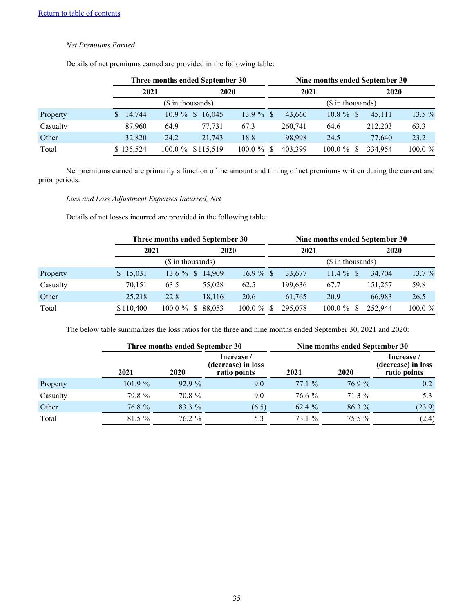## *Net Premiums Earned*

|          |           | Three months ended September 30    |              |         | Nine months ended September 30 |         |            |  |
|----------|-----------|------------------------------------|--------------|---------|--------------------------------|---------|------------|--|
|          | 2021      |                                    | 2020         |         | 2021                           | 2020    |            |  |
|          |           | (\$ in thousands)                  |              |         | (\$ in thousands)              |         |            |  |
| Property | 14,744    | $10.9\%$<br>16,045<br><sup>S</sup> | $13.9 \%$ \$ | 43,660  | $10.8 \%$ \$                   | 45,111  | 13.5 %     |  |
| Casualty | 87,960    | 77.731<br>64.9                     | 67.3         | 260,741 | 64.6                           | 212.203 | 63.3       |  |
| Other    | 32,820    | 24.2<br>21,743                     | 18.8         | 98.998  | 24.5                           | 77.640  | 23.2       |  |
| Total    | \$135,524 | 100.0 % \$115,519                  | $100.0 \%$   | 403.399 | $100.0 \%$                     | 334.954 | $100.0 \%$ |  |

Details of net premiums earned are provided in the following table:

Net premiums earned are primarily a function of the amount and timing of net premiums written during the current and prior periods.

## *Loss and Loss Adjustment Expenses Incurred, Net*

Details of net losses incurred are provided in the following table:

|          |           | Three months ended September 30 |        |              |      |                   | Nine months ended September 30 |             |            |
|----------|-----------|---------------------------------|--------|--------------|------|-------------------|--------------------------------|-------------|------------|
|          |           | 2021<br>2020                    |        |              | 2021 |                   |                                | <b>2020</b> |            |
|          |           | (\$ in thousands)               |        |              |      | (\$ in thousands) |                                |             |            |
| Property | \$15,031  | 13.6 % \$ 14,909                |        | $16.9 \%$ \$ |      | 33,677            | $11.4 \%$                      | 34,704      | 13.7%      |
| Casualty | 70,151    | 63.5                            | 55,028 | 62.5         |      | 199.636           | 67.7                           | 151.257     | 59.8       |
| Other    | 25,218    | 22.8                            | 18,116 | 20.6         |      | 61,765            | 20.9                           | 66,983      | 26.5       |
| Total    | \$110,400 | $100.0 \%$<br>-S                | 88.053 | $100.0 \%$   |      | 295,078           | $100.0 \%$                     | 252,944     | $100.0 \%$ |

The below table summarizes the loss ratios for the three and nine months ended September 30, 2021 and 2020:

|          |         | Three months ended September 30 |                                                  | Nine months ended September 30 |             |                                                  |  |  |  |
|----------|---------|---------------------------------|--------------------------------------------------|--------------------------------|-------------|--------------------------------------------------|--|--|--|
|          | 2021    | 2020                            | Increase /<br>(decrease) in loss<br>ratio points | 2021                           | <b>2020</b> | Increase /<br>(decrease) in loss<br>ratio points |  |  |  |
| Property | 101.9 % | 92.9%                           | 9.0                                              | 77.1%                          | 76.9 %      | 0.2                                              |  |  |  |
| Casualty | 79.8%   | 70.8 %                          | 9.0                                              | 76.6 %                         | 71.3 %      | 5.3                                              |  |  |  |
| Other    | 76.8 %  | 83.3 %                          | (6.5)                                            | 62.4 %                         | $86.3\%$    | (23.9)                                           |  |  |  |
| Total    | 81.5%   | 76.2 %                          | 5.3                                              | 73.1 %                         | $75.5\%$    | (2.4)                                            |  |  |  |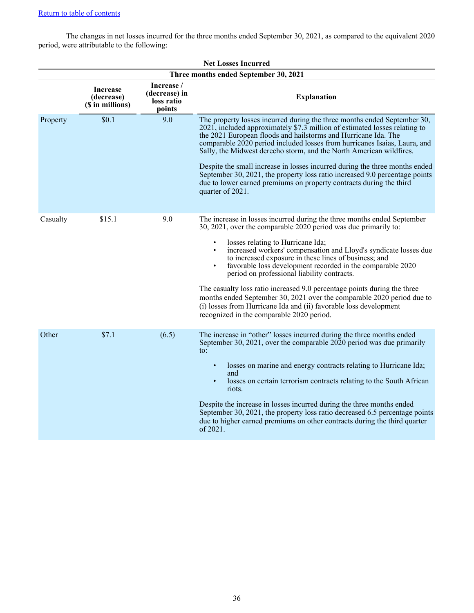The changes in net losses incurred for the three months ended September 30, 2021, as compared to the equivalent 2020 period, were attributable to the following:

| <b>Net Losses Incurred</b> |                                                   |                                                     |                                                                                                                                                                                                                                                                                                                                                                                                                                                                                                                                                                                                                                                                                                                             |  |  |  |  |  |  |  |
|----------------------------|---------------------------------------------------|-----------------------------------------------------|-----------------------------------------------------------------------------------------------------------------------------------------------------------------------------------------------------------------------------------------------------------------------------------------------------------------------------------------------------------------------------------------------------------------------------------------------------------------------------------------------------------------------------------------------------------------------------------------------------------------------------------------------------------------------------------------------------------------------------|--|--|--|--|--|--|--|
|                            |                                                   |                                                     | Three months ended September 30, 2021                                                                                                                                                                                                                                                                                                                                                                                                                                                                                                                                                                                                                                                                                       |  |  |  |  |  |  |  |
|                            | <b>Increase</b><br>(decrease)<br>(\$ in millions) | Increase /<br>(decrease) in<br>loss ratio<br>points | <b>Explanation</b>                                                                                                                                                                                                                                                                                                                                                                                                                                                                                                                                                                                                                                                                                                          |  |  |  |  |  |  |  |
| Property                   | \$0.1                                             | 9.0                                                 | The property losses incurred during the three months ended September 30,<br>2021, included approximately \$7.3 million of estimated losses relating to<br>the 2021 European floods and hailstorms and Hurricane Ida. The<br>comparable 2020 period included losses from hurricanes Isaias, Laura, and<br>Sally, the Midwest derecho storm, and the North American wildfires.<br>Despite the small increase in losses incurred during the three months ended<br>September 30, 2021, the property loss ratio increased 9.0 percentage points<br>due to lower earned premiums on property contracts during the third<br>quarter of 2021.                                                                                       |  |  |  |  |  |  |  |
| Casualty                   | \$15.1                                            | 9.0                                                 | The increase in losses incurred during the three months ended September<br>30, 2021, over the comparable 2020 period was due primarily to:<br>losses relating to Hurricane Ida;<br>$\bullet$<br>increased workers' compensation and Lloyd's syndicate losses due<br>to increased exposure in these lines of business; and<br>favorable loss development recorded in the comparable 2020<br>$\bullet$<br>period on professional liability contracts.<br>The casualty loss ratio increased 9.0 percentage points during the three<br>months ended September 30, 2021 over the comparable 2020 period due to<br>(i) losses from Hurricane Ida and (ii) favorable loss development<br>recognized in the comparable 2020 period. |  |  |  |  |  |  |  |
| Other                      | \$7.1                                             | (6.5)                                               | The increase in "other" losses incurred during the three months ended<br>September 30, 2021, over the comparable 2020 period was due primarily<br>$\mathfrak{t}$ .<br>losses on marine and energy contracts relating to Hurricane Ida;<br>$\bullet$<br>and<br>losses on certain terrorism contracts relating to the South African<br>$\bullet$<br>riots.<br>Despite the increase in losses incurred during the three months ended<br>September 30, 2021, the property loss ratio decreased 6.5 percentage points<br>due to higher earned premiums on other contracts during the third quarter<br>of 2021.                                                                                                                   |  |  |  |  |  |  |  |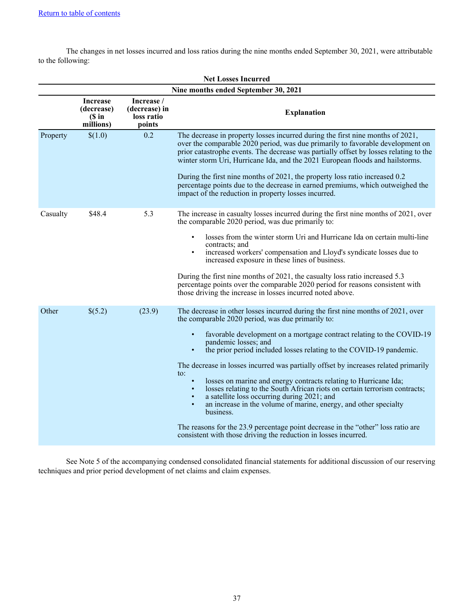The changes in net losses incurred and loss ratios during the nine months ended September 30, 2021, were attributable to the following:

| <b>Net Losses Incurred</b> |                                                    |                                                     |                                                                                                                                                                                                                                                                                                                                                                                                                                                                                                                                                                                                                                                                                                                                                                                                                                                                                                                       |  |  |  |  |  |  |  |
|----------------------------|----------------------------------------------------|-----------------------------------------------------|-----------------------------------------------------------------------------------------------------------------------------------------------------------------------------------------------------------------------------------------------------------------------------------------------------------------------------------------------------------------------------------------------------------------------------------------------------------------------------------------------------------------------------------------------------------------------------------------------------------------------------------------------------------------------------------------------------------------------------------------------------------------------------------------------------------------------------------------------------------------------------------------------------------------------|--|--|--|--|--|--|--|
|                            |                                                    |                                                     | Nine months ended September 30, 2021                                                                                                                                                                                                                                                                                                                                                                                                                                                                                                                                                                                                                                                                                                                                                                                                                                                                                  |  |  |  |  |  |  |  |
|                            | <b>Increase</b><br>(decrease)<br>(Sin<br>millions) | Increase /<br>(decrease) in<br>loss ratio<br>points | <b>Explanation</b>                                                                                                                                                                                                                                                                                                                                                                                                                                                                                                                                                                                                                                                                                                                                                                                                                                                                                                    |  |  |  |  |  |  |  |
| Property                   | \$(1.0)                                            | 0.2                                                 | The decrease in property losses incurred during the first nine months of 2021,<br>over the comparable 2020 period, was due primarily to favorable development on<br>prior catastrophe events. The decrease was partially offset by losses relating to the<br>winter storm Uri, Hurricane Ida, and the 2021 European floods and hailstorms.<br>During the first nine months of 2021, the property loss ratio increased 0.2<br>percentage points due to the decrease in earned premiums, which outweighed the<br>impact of the reduction in property losses incurred.                                                                                                                                                                                                                                                                                                                                                   |  |  |  |  |  |  |  |
| Casualty                   | \$48.4                                             | 5.3                                                 | The increase in casualty losses incurred during the first nine months of 2021, over<br>the comparable 2020 period, was due primarily to:<br>losses from the winter storm Uri and Hurricane Ida on certain multi-line<br>contracts: and<br>increased workers' compensation and Lloyd's syndicate losses due to<br>increased exposure in these lines of business.<br>During the first nine months of 2021, the casualty loss ratio increased 5.3<br>percentage points over the comparable 2020 period for reasons consistent with<br>those driving the increase in losses incurred noted above.                                                                                                                                                                                                                                                                                                                         |  |  |  |  |  |  |  |
| Other                      | \$(5.2)                                            | (23.9)                                              | The decrease in other losses incurred during the first nine months of 2021, over<br>the comparable 2020 period, was due primarily to:<br>favorable development on a mortgage contract relating to the COVID-19<br>pandemic losses; and<br>the prior period included losses relating to the COVID-19 pandemic.<br>$\bullet$<br>The decrease in losses incurred was partially offset by increases related primarily<br>to:<br>losses on marine and energy contracts relating to Hurricane Ida;<br>$\bullet$<br>losses relating to the South African riots on certain terrorism contracts;<br>$\bullet$<br>a satellite loss occurring during 2021; and<br>$\bullet$<br>an increase in the volume of marine, energy, and other specialty<br>$\bullet$<br>business.<br>The reasons for the 23.9 percentage point decrease in the "other" loss ratio are<br>consistent with those driving the reduction in losses incurred. |  |  |  |  |  |  |  |

See Note 5 of the accompanying condensed consolidated financial statements for additional discussion of our reserving techniques and prior period development of net claims and claim expenses.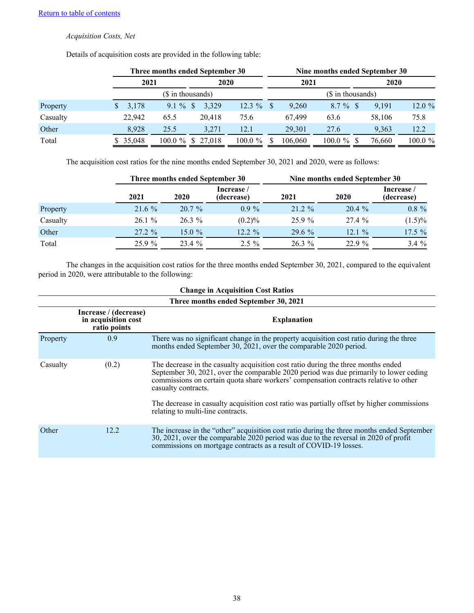## *Acquisition Costs, Net*

|          |        | Three months ended September 30  | Nine months ended September 30 |    |         |            |  |        |         |  |
|----------|--------|----------------------------------|--------------------------------|----|---------|------------|--|--------|---------|--|
|          | 2021   |                                  | 2020                           |    | 2021    |            |  | 2020   |         |  |
|          |        | (\$ in thousands)                | (\$ in thousands)              |    |         |            |  |        |         |  |
| Property | 3,178  | $9.1\%$<br>3,329<br><sup>S</sup> | 12.3 $%$                       | -S | 9,260   | 8.7 %      |  | 9.191  | 12.0%   |  |
| Casualty | 22,942 | 20.418<br>65.5                   | 75.6                           |    | 67.499  | 63.6       |  | 58,106 | 75.8    |  |
| Other    | 8.928  | 25.5<br>3.271                    | 12.1                           |    | 29.301  | 27.6       |  | 9,363  | 12.2    |  |
| Total    | 35,048 | $100.0 \%$<br>\$27,018           | $100.0 \%$                     |    | 106,060 | $100.0 \%$ |  | 76,660 | 100.0 % |  |

Details of acquisition costs are provided in the following table:

The acquisition cost ratios for the nine months ended September 30, 2021 and 2020, were as follows:

|          |           | Three months ended September 30 |                          | Nine months ended September 30 |          |                          |  |  |  |
|----------|-----------|---------------------------------|--------------------------|--------------------------------|----------|--------------------------|--|--|--|
|          | 2021      | 2020                            | Increase /<br>(decrease) | 2021                           | 2020     | Increase /<br>(decrease) |  |  |  |
| Property | $21.6\%$  | $20.7\%$                        | $0.9\%$                  | $21.2 \%$                      | $20.4\%$ | $0.8 \%$                 |  |  |  |
| Casualty | 26.1%     | $26.3\%$                        | $(0.2)\%$                | 25.9%                          | 27.4%    | $(1.5)\%$                |  |  |  |
| Other    | $27.2 \%$ | 15.0 $%$                        | $12.2 \%$                | $29.6\%$                       | 12.1%    | $17.5 \%$                |  |  |  |
| Total    | 25.9%     | 23.4 %                          | $2.5\%$                  | $26.3\%$                       | 22.9 %   | $3.4 \%$                 |  |  |  |

The changes in the acquisition cost ratios for the three months ended September 30, 2021, compared to the equivalent period in 2020, were attributable to the following:

|          | <b>Change in Acquisition Cost Ratios</b>                     |                                                                                                                                                                                                                                                                                           |  |  |  |  |  |  |  |  |
|----------|--------------------------------------------------------------|-------------------------------------------------------------------------------------------------------------------------------------------------------------------------------------------------------------------------------------------------------------------------------------------|--|--|--|--|--|--|--|--|
|          | Three months ended September 30, 2021                        |                                                                                                                                                                                                                                                                                           |  |  |  |  |  |  |  |  |
|          | Increase / (decrease)<br>in acquisition cost<br>ratio points | <b>Explanation</b>                                                                                                                                                                                                                                                                        |  |  |  |  |  |  |  |  |
| Property | 0.9                                                          | There was no significant change in the property acquisition cost ratio during the three<br>months ended September 30, 2021, over the comparable 2020 period.                                                                                                                              |  |  |  |  |  |  |  |  |
| Casualty | (0.2)                                                        | The decrease in the casualty acquisition cost ratio during the three months ended<br>September 30, 2021, over the comparable 2020 period was due primarily to lower ceding<br>commissions on certain quota share workers' compensation contracts relative to other<br>casualty contracts. |  |  |  |  |  |  |  |  |
|          |                                                              | The decrease in casualty acquisition cost ratio was partially offset by higher commissions<br>relating to multi-line contracts.                                                                                                                                                           |  |  |  |  |  |  |  |  |
| Other    | 12.2                                                         | The increase in the "other" acquisition cost ratio during the three months ended September<br>30, 2021, over the comparable 2020 period was due to the reversal in 2020 of profit<br>commissions on mortgage contracts as a result of COVID-19 losses.                                    |  |  |  |  |  |  |  |  |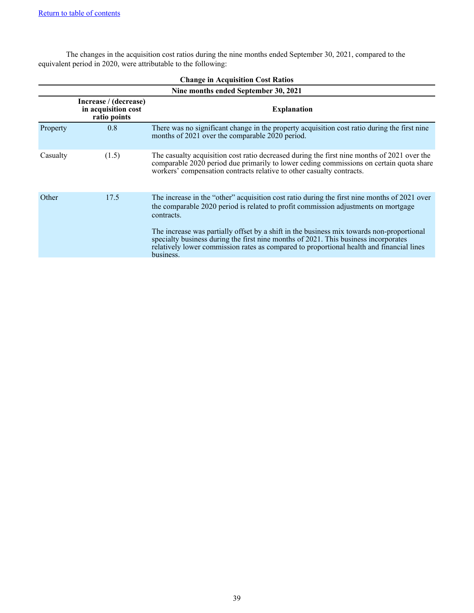The changes in the acquisition cost ratios during the nine months ended September 30, 2021, compared to the equivalent period in 2020, were attributable to the following:

|          | <b>Change in Acquisition Cost Ratios</b>                     |                                                                                                                                                                                                                                                                                           |  |  |  |  |  |  |  |  |
|----------|--------------------------------------------------------------|-------------------------------------------------------------------------------------------------------------------------------------------------------------------------------------------------------------------------------------------------------------------------------------------|--|--|--|--|--|--|--|--|
|          | Nine months ended September 30, 2021                         |                                                                                                                                                                                                                                                                                           |  |  |  |  |  |  |  |  |
|          | Increase / (decrease)<br>in acquisition cost<br>ratio points | <b>Explanation</b>                                                                                                                                                                                                                                                                        |  |  |  |  |  |  |  |  |
| Property | 0.8                                                          | There was no significant change in the property acquisition cost ratio during the first nine<br>months of 2021 over the comparable 2020 period.                                                                                                                                           |  |  |  |  |  |  |  |  |
| Casualty | (1.5)                                                        | The casualty acquisition cost ratio decreased during the first nine months of 2021 over the<br>comparable 2020 period due primarily to lower ceding commissions on certain quota share<br>workers' compensation contracts relative to other casualty contracts.                           |  |  |  |  |  |  |  |  |
| Other    | 17.5                                                         | The increase in the "other" acquisition cost ratio during the first nine months of 2021 over<br>the comparable 2020 period is related to profit commission adjustments on mortgage<br>contracts.                                                                                          |  |  |  |  |  |  |  |  |
|          |                                                              | The increase was partially offset by a shift in the business mix towards non-proportional<br>specialty business during the first nine months of 2021. This business incorporates<br>relatively lower commission rates as compared to proportional health and financial lines<br>business. |  |  |  |  |  |  |  |  |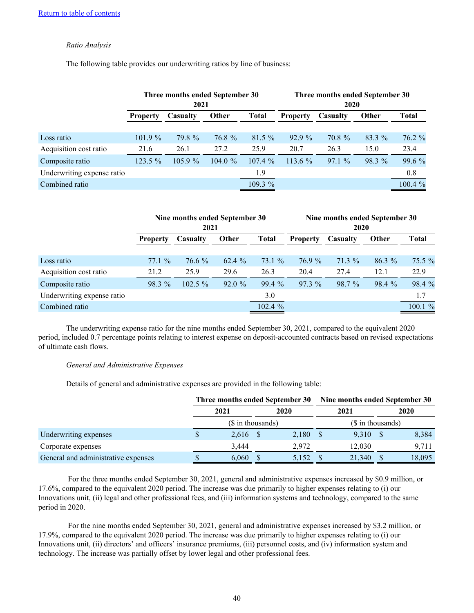## *Ratio Analysis*

The following table provides our underwriting ratios by line of business:

|                            |                             | Three months ended September 30<br>2021 |            |          | Three months ended September 30<br>2020 |          |        |         |  |  |
|----------------------------|-----------------------------|-----------------------------------------|------------|----------|-----------------------------------------|----------|--------|---------|--|--|
|                            | Casualty<br><b>Property</b> |                                         | Other      | Total    | <b>Property</b>                         | Casualty | Other  | Total   |  |  |
|                            |                             |                                         |            |          |                                         |          |        |         |  |  |
| Loss ratio                 | $101.9 \%$                  | 79.8 %                                  | 76.8 %     | $81.5\%$ | 92.9%                                   | 70.8 %   | 83.3 % | 76.2%   |  |  |
| Acquisition cost ratio     | 21.6                        | 26.1                                    | 27.2       | 25.9     | 20.7                                    | 26.3     | 15.0   | 23.4    |  |  |
| Composite ratio            | 123.5 %                     | $105.9\%$                               | $104.0 \%$ | 107.4%   | $113.6\%$                               | 97.1%    | 98.3 % | 99.6 %  |  |  |
| Underwriting expense ratio |                             |                                         |            | 1.9      |                                         |          |        | 0.8     |  |  |
| Combined ratio             |                             |                                         |            | 109.3%   |                                         |          |        | 100.4 % |  |  |

|                            |                 | Nine months ended September 30<br>2021 |        | Nine months ended September 30<br>2020   |          |          |              |              |  |
|----------------------------|-----------------|----------------------------------------|--------|------------------------------------------|----------|----------|--------------|--------------|--|
|                            | <b>Property</b> | Casualty                               |        | <b>Total</b><br>Other<br><b>Property</b> |          | Casualty | <b>Other</b> | <b>Total</b> |  |
|                            |                 |                                        |        |                                          |          |          |              |              |  |
| Loss ratio                 | 77.1%           | 76.6 %                                 | 62.4 % | 73.1 %                                   | 76.9 %   | $71.3\%$ | $86.3\%$     | $75.5\%$     |  |
| Acquisition cost ratio     | 21.2            | 25.9                                   | 29.6   | 26.3                                     | 20.4     | 27.4     | 12.1         | 22.9         |  |
| Composite ratio            | $98.3\%$        | $102.5 \%$                             | 92.0%  | 99.4%                                    | $97.3\%$ | 98.7 %   | 98.4 %       | 98.4 %       |  |
| Underwriting expense ratio |                 |                                        |        | 3.0                                      |          |          |              | 1.7          |  |
| Combined ratio             |                 |                                        |        | 102.4%                                   |          |          |              | 100.1%       |  |

The underwriting expense ratio for the nine months ended September 30, 2021, compared to the equivalent 2020 period, included 0.7 percentage points relating to interest expense on deposit-accounted contracts based on revised expectations of ultimate cash flows.

#### *General and Administrative Expenses*

Details of general and administrative expenses are provided in the following table:

|                                     | Three months ended September 30 |       |  |       | Nine months ended September 30 |        |  |        |
|-------------------------------------|---------------------------------|-------|--|-------|--------------------------------|--------|--|--------|
|                                     | 2021                            |       |  | 2020  |                                | 2021   |  | 2020   |
|                                     | $($$ in thousands)              |       |  |       | $($$ in thousands)             |        |  |        |
| Underwriting expenses               |                                 | 2,616 |  | 2,180 |                                | 9,310  |  | 8,384  |
| Corporate expenses                  |                                 | 3.444 |  | 2.972 |                                | 12.030 |  | 9,711  |
| General and administrative expenses |                                 | 6,060 |  | 5,152 |                                | 21.340 |  | 18,095 |

 For the three months ended September 30, 2021, general and administrative expenses increased by \$0.9 million, or 17.6%, compared to the equivalent 2020 period. The increase was due primarily to higher expenses relating to (i) our Innovations unit, (ii) legal and other professional fees, and (iii) information systems and technology, compared to the same period in 2020.

 For the nine months ended September 30, 2021, general and administrative expenses increased by \$3.2 million, or 17.9%, compared to the equivalent 2020 period. The increase was due primarily to higher expenses relating to (i) our Innovations unit, (ii) directors' and officers' insurance premiums, (iii) personnel costs, and (iv) information system and technology. The increase was partially offset by lower legal and other professional fees.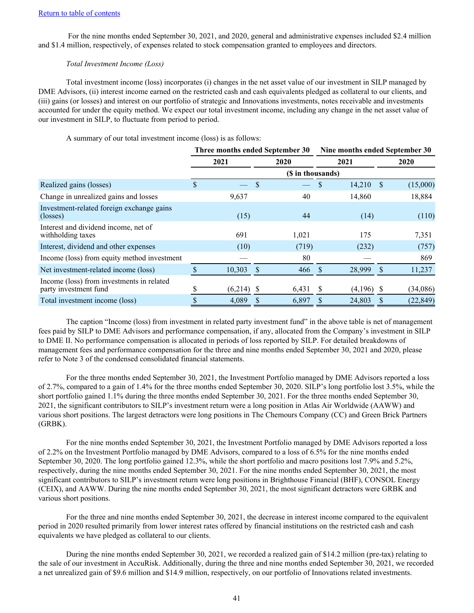For the nine months ended September 30, 2021, and 2020, general and administrative expenses included \$2.4 million and \$1.4 million, respectively, of expenses related to stock compensation granted to employees and directors.

## *Total Investment Income (Loss)*

Total investment income (loss) incorporates (i) changes in the net asset value of our investment in SILP managed by DME Advisors, (ii) interest income earned on the restricted cash and cash equivalents pledged as collateral to our clients, and (iii) gains (or losses) and interest on our portfolio of strategic and Innovations investments, notes receivable and investments accounted for under the equity method. We expect our total investment income, including any change in the net asset value of our investment in SILP, to fluctuate from period to period.

A summary of our total investment income (loss) is as follows:

|                                                                    | Three months ended September 30 |         |              |                   |              | Nine months ended September 30 |                    |           |  |  |  |
|--------------------------------------------------------------------|---------------------------------|---------|--------------|-------------------|--------------|--------------------------------|--------------------|-----------|--|--|--|
|                                                                    | 2021                            |         |              | 2020              |              | 2021                           |                    | 2020      |  |  |  |
|                                                                    |                                 |         |              | (\$ in thousands) |              |                                |                    |           |  |  |  |
| Realized gains (losses)                                            | \$                              |         | \$           |                   |              | 14,210                         | <sup>S</sup>       | (15,000)  |  |  |  |
| Change in unrealized gains and losses                              |                                 | 9,637   |              | 40                |              | 14,860                         |                    | 18,884    |  |  |  |
| Investment-related foreign exchange gains<br>(losses)              |                                 | (15)    |              | 44                |              | (14)                           |                    | (110)     |  |  |  |
| Interest and dividend income, net of<br>withholding taxes          |                                 | 691     |              | 1,021             |              | 175                            |                    | 7,351     |  |  |  |
| Interest, dividend and other expenses                              |                                 | (10)    |              | (719)             |              | (232)                          |                    | (757)     |  |  |  |
| Income (loss) from equity method investment                        |                                 |         |              | 80                |              |                                |                    | 869       |  |  |  |
| Net investment-related income (loss)                               |                                 | 10,303  | <sup>S</sup> | 466               | -S           | 28,999                         | $\mathbf{\hat{S}}$ | 11,237    |  |  |  |
| Income (loss) from investments in related<br>party investment fund |                                 | (6,214) | -S           | 6,431             | <sup>S</sup> | (4,196)                        | -S                 | (34,086)  |  |  |  |
| Total investment income (loss)                                     |                                 | 4,089   |              | 6,897             |              | 24,803                         | S.                 | (22, 849) |  |  |  |

The caption "Income (loss) from investment in related party investment fund" in the above table is net of management fees paid by SILP to DME Advisors and performance compensation, if any, allocated from the Company's investment in SILP to DME II. No performance compensation is allocated in periods of loss reported by SILP. For detailed breakdowns of management fees and performance compensation for the three and nine months ended September 30, 2021 and 2020, please refer to Note 3 of the condensed consolidated financial statements.

For the three months ended September 30, 2021, the Investment Portfolio managed by DME Advisors reported a loss of 2.7%, compared to a gain of 1.4% for the three months ended September 30, 2020. SILP's long portfolio lost 3.5%, while the short portfolio gained 1.1% during the three months ended September 30, 2021. For the three months ended September 30, 2021, the significant contributors to SILP's investment return were a long position in Atlas Air Worldwide (AAWW) and various short positions. The largest detractors were long positions in The Chemours Company (CC) and Green Brick Partners (GRBK).

For the nine months ended September 30, 2021, the Investment Portfolio managed by DME Advisors reported a loss of 2.2% on the Investment Portfolio managed by DME Advisors, compared to a loss of 6.5% for the nine months ended September 30, 2020. The long portfolio gained 12.3%, while the short portfolio and macro positions lost 7.9% and 5.2%, respectively, during the nine months ended September 30, 2021. For the nine months ended September 30, 2021, the most significant contributors to SILP's investment return were long positions in Brighthouse Financial (BHF), CONSOL Energy (CEIX), and AAWW. During the nine months ended September 30, 2021, the most significant detractors were GRBK and various short positions.

For the three and nine months ended September 30, 2021, the decrease in interest income compared to the equivalent period in 2020 resulted primarily from lower interest rates offered by financial institutions on the restricted cash and cash equivalents we have pledged as collateral to our clients.

During the nine months ended September 30, 2021, we recorded a realized gain of \$14.2 million (pre-tax) relating to the sale of our investment in AccuRisk. Additionally, during the three and nine months ended September 30, 2021, we recorded a net unrealized gain of \$9.6 million and \$14.9 million, respectively, on our portfolio of Innovations related investments.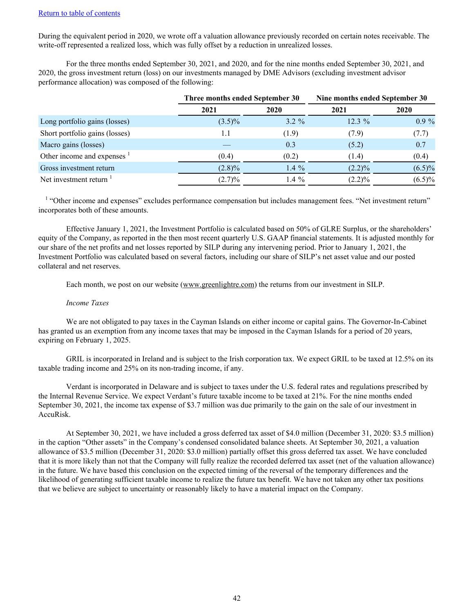During the equivalent period in 2020, we wrote off a valuation allowance previously recorded on certain notes receivable. The write-off represented a realized loss, which was fully offset by a reduction in unrealized losses.

For the three months ended September 30, 2021, and 2020, and for the nine months ended September 30, 2021, and 2020, the gross investment return (loss) on our investments managed by DME Advisors (excluding investment advisor performance allocation) was composed of the following:

|                                        | Three months ended September 30 |          | Nine months ended September 30 |           |  |  |  |
|----------------------------------------|---------------------------------|----------|--------------------------------|-----------|--|--|--|
|                                        | 2021                            | 2020     | 2021                           | 2020      |  |  |  |
| Long portfolio gains (losses)          | $(3.5)\%$                       | $3.2 \%$ | $12.3\%$                       | $0.9\%$   |  |  |  |
| Short portfolio gains (losses)         | 1.1                             | (1.9)    | (7.9)                          | (7.7)     |  |  |  |
| Macro gains (losses)                   |                                 | 0.3      | (5.2)                          | 0.7       |  |  |  |
| Other income and expenses <sup>1</sup> | (0.4)                           | (0.2)    | (1.4)                          | (0.4)     |  |  |  |
| Gross investment return                | $(2.8)\%$                       | 1.4 $%$  | $(2.2)\%$                      | $(6.5)\%$ |  |  |  |
| Net investment return                  | (2.7)%                          | 1.4 $%$  | $(2.2)\%$                      | $(6.5)\%$ |  |  |  |

<sup>1</sup> "Other income and expenses" excludes performance compensation but includes management fees. "Net investment return" incorporates both of these amounts.

Effective January 1, 2021, the Investment Portfolio is calculated based on 50% of GLRE Surplus, or the shareholders' equity of the Company, as reported in the then most recent quarterly U.S. GAAP financial statements. It is adjusted monthly for our share of the net profits and net losses reported by SILP during any intervening period. Prior to January 1, 2021, the Investment Portfolio was calculated based on several factors, including our share of SILP's net asset value and our posted collateral and net reserves.

Each month, we post on our website (www.greenlightre.com) the returns from our investment in SILP.

#### *Income Taxes*

We are not obligated to pay taxes in the Cayman Islands on either income or capital gains. The Governor-In-Cabinet has granted us an exemption from any income taxes that may be imposed in the Cayman Islands for a period of 20 years, expiring on February 1, 2025.

GRIL is incorporated in Ireland and is subject to the Irish corporation tax. We expect GRIL to be taxed at 12.5% on its taxable trading income and 25% on its non-trading income, if any.

Verdant is incorporated in Delaware and is subject to taxes under the U.S. federal rates and regulations prescribed by the Internal Revenue Service. We expect Verdant's future taxable income to be taxed at 21%. For the nine months ended September 30, 2021, the income tax expense of \$3.7 million was due primarily to the gain on the sale of our investment in AccuRisk.

At September 30, 2021, we have included a gross deferred tax asset of \$4.0 million (December 31, 2020: \$3.5 million) in the caption "Other assets" in the Company's condensed consolidated balance sheets. At September 30, 2021, a valuation allowance of \$3.5 million (December 31, 2020: \$3.0 million) partially offset this gross deferred tax asset. We have concluded that it is more likely than not that the Company will fully realize the recorded deferred tax asset (net of the valuation allowance) in the future. We have based this conclusion on the expected timing of the reversal of the temporary differences and the likelihood of generating sufficient taxable income to realize the future tax benefit. We have not taken any other tax positions that we believe are subject to uncertainty or reasonably likely to have a material impact on the Company.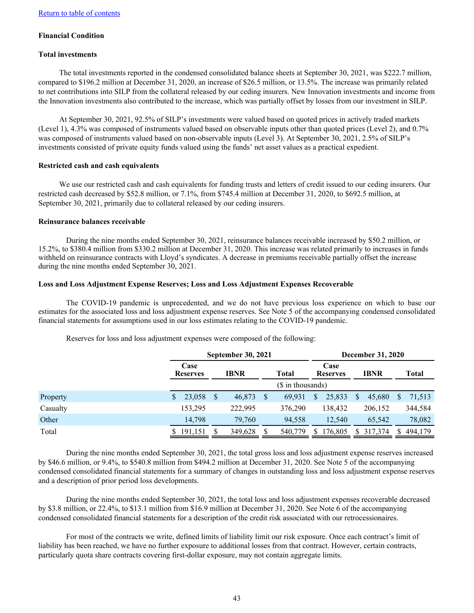### **Financial Condition**

#### **Total investments**

The total investments reported in the condensed consolidated balance sheets at September 30, 2021, was \$222.7 million, compared to \$196.2 million at December 31, 2020, an increase of \$26.5 million, or 13.5%. The increase was primarily related to net contributions into SILP from the collateral released by our ceding insurers. New Innovation investments and income from the Innovation investments also contributed to the increase, which was partially offset by losses from our investment in SILP.

At September 30, 2021, 92.5% of SILP's investments were valued based on quoted prices in actively traded markets (Level 1), 4.3% was composed of instruments valued based on observable inputs other than quoted prices (Level 2), and 0.7% was composed of instruments valued based on non-observable inputs (Level 3). At September 30, 2021, 2.5% of SILP's investments consisted of private equity funds valued using the funds' net asset values as a practical expedient.

### **Restricted cash and cash equivalents**

We use our restricted cash and cash equivalents for funding trusts and letters of credit issued to our ceding insurers. Our restricted cash decreased by \$52.8 million, or 7.1%, from \$745.4 million at December 31, 2020, to \$692.5 million, at September 30, 2021, primarily due to collateral released by our ceding insurers.

#### **Reinsurance balances receivable**

During the nine months ended September 30, 2021, reinsurance balances receivable increased by \$50.2 million, or 15.2%, to \$380.4 million from \$330.2 million at December 31, 2020. This increase was related primarily to increases in funds withheld on reinsurance contracts with Lloyd's syndicates. A decrease in premiums receivable partially offset the increase during the nine months ended September 30, 2021.

#### **Loss and Loss Adjustment Expense Reserves; Loss and Loss Adjustment Expenses Recoverable**

The COVID-19 pandemic is unprecedented, and we do not have previous loss experience on which to base our estimates for the associated loss and loss adjustment expense reserves. See Note 5 of the accompanying condensed consolidated financial statements for assumptions used in our loss estimates relating to the COVID-19 pandemic.

|          | <b>September 30, 2021</b> |     |             |  |                    |    | <b>December 31, 2020</b> |    |             |    |              |
|----------|---------------------------|-----|-------------|--|--------------------|----|--------------------------|----|-------------|----|--------------|
|          | Case<br><b>Reserves</b>   |     | <b>IBNR</b> |  | <b>Total</b>       |    | Case<br><b>Reserves</b>  |    | <b>IBNR</b> |    | <b>Total</b> |
|          |                           |     |             |  | $($$ in thousands) |    |                          |    |             |    |              |
| Property | 23,058<br>S               | \$. | 46,873      |  | 69.931             | S  | 25,833                   | \$ | 45.680      | S. | 71,513       |
| Casualty | 153.295                   |     | 222.995     |  | 376,290            |    | 138,432                  |    | 206,152     |    | 344,584      |
| Other    | 14.798                    |     | 79,760      |  | 94,558             |    | 12.540                   |    | 65.542      |    | 78,082       |
| Total    | 191,151                   |     | 349,628     |  | 540,779            | S. | 176,805                  |    | \$ 317,374  | S. | 494,179      |

Reserves for loss and loss adjustment expenses were composed of the following:

During the nine months ended September 30, 2021, the total gross loss and loss adjustment expense reserves increased by \$46.6 million, or 9.4%, to \$540.8 million from \$494.2 million at December 31, 2020. See Note 5 of the accompanying condensed consolidated financial statements for a summary of changes in outstanding loss and loss adjustment expense reserves and a description of prior period loss developments.

During the nine months ended September 30, 2021, the total loss and loss adjustment expenses recoverable decreased by \$3.8 million, or 22.4%, to \$13.1 million from \$16.9 million at December 31, 2020. See Note 6 of the accompanying condensed consolidated financial statements for a description of the credit risk associated with our retrocessionaires.

For most of the contracts we write, defined limits of liability limit our risk exposure. Once each contract's limit of liability has been reached, we have no further exposure to additional losses from that contract. However, certain contracts, particularly quota share contracts covering first-dollar exposure, may not contain aggregate limits.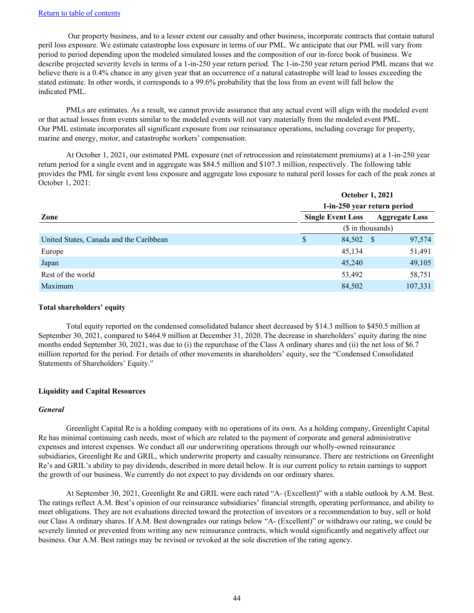Our property business, and to a lesser extent our casualty and other business, incorporate contracts that contain natural peril loss exposure. We estimate catastrophe loss exposure in terms of our PML. We anticipate that our PML will vary from period to period depending upon the modeled simulated losses and the composition of our in-force book of business. We describe projected severity levels in terms of a 1-in-250 year return period. The 1-in-250 year return period PML means that we believe there is a 0.4% chance in any given year that an occurrence of a natural catastrophe will lead to losses exceeding the stated estimate. In other words, it corresponds to a 99.6% probability that the loss from an event will fall below the indicated PML.

PMLs are estimates. As a result, we cannot provide assurance that any actual event will align with the modeled event or that actual losses from events similar to the modeled events will not vary materially from the modeled event PML. Our PML estimate incorporates all significant exposure from our reinsurance operations, including coverage for property, marine and energy, motor, and catastrophe workers' compensation.

At October 1, 2021, our estimated PML exposure (net of retrocession and reinstatement premiums) at a 1-in-250 year return period for a single event and in aggregate was \$84.5 million and \$107.3 million, respectively. The following table provides the PML for single event loss exposure and aggregate loss exposure to natural peril losses for each of the peak zones at October 1, 2021:

|                                         | <b>October 1, 2021</b>      |                       |  |         |  |  |  |  |
|-----------------------------------------|-----------------------------|-----------------------|--|---------|--|--|--|--|
| Zone                                    | 1-in-250 year return period |                       |  |         |  |  |  |  |
|                                         | <b>Single Event Loss</b>    | <b>Aggregate Loss</b> |  |         |  |  |  |  |
|                                         | (\$ in thousands)           |                       |  |         |  |  |  |  |
| United States, Canada and the Caribbean | S                           | 84,502 \$             |  | 97,574  |  |  |  |  |
| Europe                                  |                             | 45,134                |  | 51,491  |  |  |  |  |
| Japan                                   |                             | 45,240                |  | 49,105  |  |  |  |  |
| Rest of the world                       |                             | 53,492                |  | 58,751  |  |  |  |  |
| Maximum                                 |                             | 84,502                |  | 107,331 |  |  |  |  |

#### **Total shareholders' equity**

Total equity reported on the condensed consolidated balance sheet decreased by \$14.3 million to \$450.5 million at September 30, 2021, compared to \$464.9 million at December 31, 2020. The decrease in shareholders' equity during the nine months ended September 30, 2021, was due to (i) the repurchase of the Class A ordinary shares and (ii) the net loss of \$6.7 million reported for the period. For details of other movements in shareholders' equity, see the "Condensed Consolidated Statements of Shareholders' Equity."

## **Liquidity and Capital Resources**

## *General*

Greenlight Capital Re is a holding company with no operations of its own. As a holding company, Greenlight Capital Re has minimal continuing cash needs, most of which are related to the payment of corporate and general administrative expenses and interest expenses. We conduct all our underwriting operations through our wholly-owned reinsurance subsidiaries, Greenlight Re and GRIL, which underwrite property and casualty reinsurance. There are restrictions on Greenlight Re's and GRIL's ability to pay dividends, described in more detail below. It is our current policy to retain earnings to support the growth of our business. We currently do not expect to pay dividends on our ordinary shares.

At September 30, 2021, Greenlight Re and GRIL were each rated "A- (Excellent)" with a stable outlook by A.M. Best. The ratings reflect A.M. Best's opinion of our reinsurance subsidiaries' financial strength, operating performance, and ability to meet obligations. They are not evaluations directed toward the protection of investors or a recommendation to buy, sell or hold our Class A ordinary shares. If A.M. Best downgrades our ratings below "A- (Excellent)" or withdraws our rating, we could be severely limited or prevented from writing any new reinsurance contracts, which would significantly and negatively affect our business. Our A.M. Best ratings may be revised or revoked at the sole discretion of the rating agency.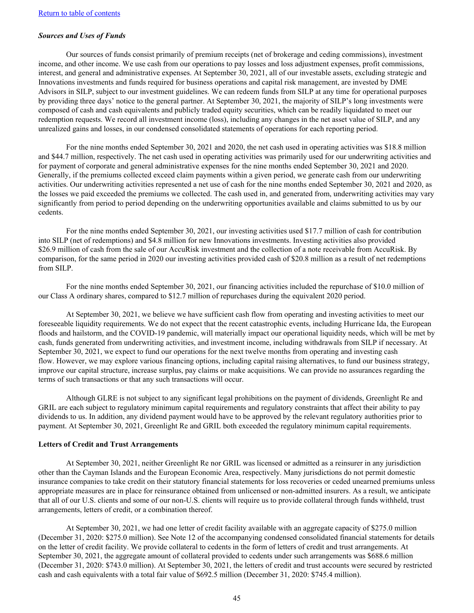#### *Sources and Uses of Funds*

Our sources of funds consist primarily of premium receipts (net of brokerage and ceding commissions), investment income, and other income. We use cash from our operations to pay losses and loss adjustment expenses, profit commissions, interest, and general and administrative expenses. At September 30, 2021, all of our investable assets, excluding strategic and Innovations investments and funds required for business operations and capital risk management, are invested by DME Advisors in SILP, subject to our investment guidelines. We can redeem funds from SILP at any time for operational purposes by providing three days' notice to the general partner. At September 30, 2021, the majority of SILP's long investments were composed of cash and cash equivalents and publicly traded equity securities, which can be readily liquidated to meet our redemption requests. We record all investment income (loss), including any changes in the net asset value of SILP, and any unrealized gains and losses, in our condensed consolidated statements of operations for each reporting period.

For the nine months ended September 30, 2021 and 2020, the net cash used in operating activities was \$18.8 million and \$44.7 million, respectively. The net cash used in operating activities was primarily used for our underwriting activities and for payment of corporate and general administrative expenses for the nine months ended September 30, 2021 and 2020. Generally, if the premiums collected exceed claim payments within a given period, we generate cash from our underwriting activities. Our underwriting activities represented a net use of cash for the nine months ended September 30, 2021 and 2020, as the losses we paid exceeded the premiums we collected. The cash used in, and generated from, underwriting activities may vary significantly from period to period depending on the underwriting opportunities available and claims submitted to us by our cedents.

For the nine months ended September 30, 2021, our investing activities used \$17.7 million of cash for contribution into SILP (net of redemptions) and \$4.8 million for new Innovations investments. Investing activities also provided \$26.9 million of cash from the sale of our AccuRisk investment and the collection of a note receivable from AccuRisk. By comparison, for the same period in 2020 our investing activities provided cash of \$20.8 million as a result of net redemptions from SILP.

For the nine months ended September 30, 2021, our financing activities included the repurchase of \$10.0 million of our Class A ordinary shares, compared to \$12.7 million of repurchases during the equivalent 2020 period.

At September 30, 2021, we believe we have sufficient cash flow from operating and investing activities to meet our foreseeable liquidity requirements. We do not expect that the recent catastrophic events, including Hurricane Ida, the European floods and hailstorm, and the COVID-19 pandemic, will materially impact our operational liquidity needs, which will be met by cash, funds generated from underwriting activities, and investment income, including withdrawals from SILP if necessary. At September 30, 2021, we expect to fund our operations for the next twelve months from operating and investing cash flow. However, we may explore various financing options, including capital raising alternatives, to fund our business strategy, improve our capital structure, increase surplus, pay claims or make acquisitions. We can provide no assurances regarding the terms of such transactions or that any such transactions will occur.

Although GLRE is not subject to any significant legal prohibitions on the payment of dividends, Greenlight Re and GRIL are each subject to regulatory minimum capital requirements and regulatory constraints that affect their ability to pay dividends to us. In addition, any dividend payment would have to be approved by the relevant regulatory authorities prior to payment. At September 30, 2021, Greenlight Re and GRIL both exceeded the regulatory minimum capital requirements.

#### **Letters of Credit and Trust Arrangements**

At September 30, 2021, neither Greenlight Re nor GRIL was licensed or admitted as a reinsurer in any jurisdiction other than the Cayman Islands and the European Economic Area, respectively. Many jurisdictions do not permit domestic insurance companies to take credit on their statutory financial statements for loss recoveries or ceded unearned premiums unless appropriate measures are in place for reinsurance obtained from unlicensed or non-admitted insurers. As a result, we anticipate that all of our U.S. clients and some of our non-U.S. clients will require us to provide collateral through funds withheld, trust arrangements, letters of credit, or a combination thereof.

At September 30, 2021, we had one letter of credit facility available with an aggregate capacity of \$275.0 million (December 31, 2020: \$275.0 million). See Note 12 of the accompanying condensed consolidated financial statements for details on the letter of credit facility. We provide collateral to cedents in the form of letters of credit and trust arrangements. At September 30, 2021, the aggregate amount of collateral provided to cedents under such arrangements was \$688.6 million (December 31, 2020: \$743.0 million). At September 30, 2021, the letters of credit and trust accounts were secured by restricted cash and cash equivalents with a total fair value of \$692.5 million (December 31, 2020: \$745.4 million).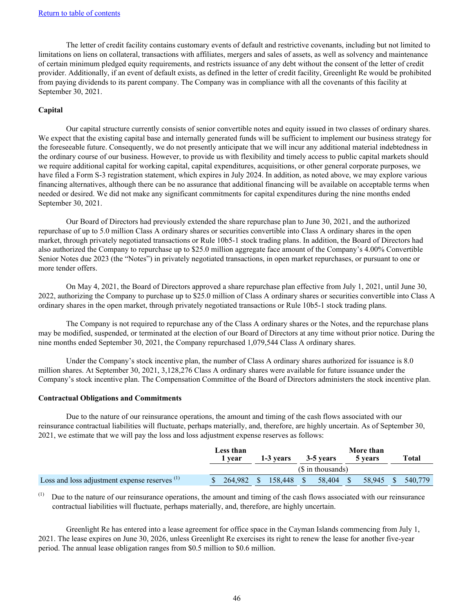The letter of credit facility contains customary events of default and restrictive covenants, including but not limited to limitations on liens on collateral, transactions with affiliates, mergers and sales of assets, as well as solvency and maintenance of certain minimum pledged equity requirements, and restricts issuance of any debt without the consent of the letter of credit provider. Additionally, if an event of default exists, as defined in the letter of credit facility, Greenlight Re would be prohibited from paying dividends to its parent company. The Company was in compliance with all the covenants of this facility at September 30, 2021.

#### **Capital**

Our capital structure currently consists of senior convertible notes and equity issued in two classes of ordinary shares. We expect that the existing capital base and internally generated funds will be sufficient to implement our business strategy for the foreseeable future. Consequently, we do not presently anticipate that we will incur any additional material indebtedness in the ordinary course of our business. However, to provide us with flexibility and timely access to public capital markets should we require additional capital for working capital, capital expenditures, acquisitions, or other general corporate purposes, we have filed a Form S-3 registration statement, which expires in July 2024. In addition, as noted above, we may explore various financing alternatives, although there can be no assurance that additional financing will be available on acceptable terms when needed or desired. We did not make any significant commitments for capital expenditures during the nine months ended September 30, 2021.

Our Board of Directors had previously extended the share repurchase plan to June 30, 2021, and the authorized repurchase of up to 5.0 million Class A ordinary shares or securities convertible into Class A ordinary shares in the open market, through privately negotiated transactions or Rule 10b5-1 stock trading plans. In addition, the Board of Directors had also authorized the Company to repurchase up to \$25.0 million aggregate face amount of the Company's 4.00% Convertible Senior Notes due 2023 (the "Notes") in privately negotiated transactions, in open market repurchases, or pursuant to one or more tender offers.

On May 4, 2021, the Board of Directors approved a share repurchase plan effective from July 1, 2021, until June 30, 2022, authorizing the Company to purchase up to \$25.0 million of Class A ordinary shares or securities convertible into Class A ordinary shares in the open market, through privately negotiated transactions or Rule 10b5-1 stock trading plans.

The Company is not required to repurchase any of the Class A ordinary shares or the Notes, and the repurchase plans may be modified, suspended, or terminated at the election of our Board of Directors at any time without prior notice. During the nine months ended September 30, 2021, the Company repurchased 1,079,544 Class A ordinary shares.

Under the Company's stock incentive plan, the number of Class A ordinary shares authorized for issuance is 8.0 million shares. At September 30, 2021, 3,128,276 Class A ordinary shares were available for future issuance under the Company's stock incentive plan. The Compensation Committee of the Board of Directors administers the stock incentive plan.

#### **Contractual Obligations and Commitments**

Due to the nature of our reinsurance operations, the amount and timing of the cash flows associated with our reinsurance contractual liabilities will fluctuate, perhaps materially, and, therefore, are highly uncertain. As of September 30, 2021, we estimate that we will pay the loss and loss adjustment expense reserves as follows:

|                                                          | Less than         |         | More than |           |  |           |  |         |  |         |
|----------------------------------------------------------|-------------------|---------|-----------|-----------|--|-----------|--|---------|--|---------|
|                                                          |                   | r vear  |           | 1-3 years |  | 3-5 years |  | 5 years |  | Total   |
|                                                          | (\$ in thousands) |         |           |           |  |           |  |         |  |         |
| Loss and loss adjustment expense reserves <sup>(1)</sup> |                   | 264.982 | -SI       | 158.448   |  | 58.404    |  | 58.945  |  | 540.779 |

(1) Due to the nature of our reinsurance operations, the amount and timing of the cash flows associated with our reinsurance contractual liabilities will fluctuate, perhaps materially, and, therefore, are highly uncertain.

Greenlight Re has entered into a lease agreement for office space in the Cayman Islands commencing from July 1, 2021. The lease expires on June 30, 2026, unless Greenlight Re exercises its right to renew the lease for another five-year period. The annual lease obligation ranges from \$0.5 million to \$0.6 million.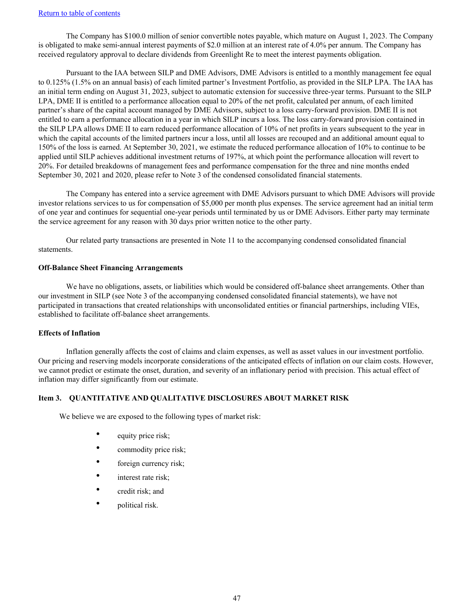<span id="page-47-0"></span>The Company has \$100.0 million of senior convertible notes payable, which mature on August 1, 2023. The Company is obligated to make semi-annual interest payments of \$2.0 million at an interest rate of 4.0% per annum. The Company has received regulatory approval to declare dividends from Greenlight Re to meet the interest payments obligation.

Pursuant to the IAA between SILP and DME Advisors, DME Advisors is entitled to a monthly management fee equal to 0.125% (1.5% on an annual basis) of each limited partner's Investment Portfolio, as provided in the SILP LPA. The IAA has an initial term ending on August 31, 2023, subject to automatic extension for successive three-year terms. Pursuant to the SILP LPA, DME II is entitled to a performance allocation equal to 20% of the net profit, calculated per annum, of each limited partner's share of the capital account managed by DME Advisors, subject to a loss carry-forward provision. DME II is not entitled to earn a performance allocation in a year in which SILP incurs a loss. The loss carry-forward provision contained in the SILP LPA allows DME II to earn reduced performance allocation of 10% of net profits in years subsequent to the year in which the capital accounts of the limited partners incur a loss, until all losses are recouped and an additional amount equal to 150% of the loss is earned. At September 30, 2021, we estimate the reduced performance allocation of 10% to continue to be applied until SILP achieves additional investment returns of 197%, at which point the performance allocation will revert to 20%. For detailed breakdowns of management fees and performance compensation for the three and nine months ended September 30, 2021 and 2020, please refer to Note 3 of the condensed consolidated financial statements.

The Company has entered into a service agreement with DME Advisors pursuant to which DME Advisors will provide investor relations services to us for compensation of \$5,000 per month plus expenses. The service agreement had an initial term of one year and continues for sequential one-year periods until terminated by us or DME Advisors. Either party may terminate the service agreement for any reason with 30 days prior written notice to the other party.

Our related party transactions are presented in Note 11 to the accompanying condensed consolidated financial statements.

## **Off-Balance Sheet Financing Arrangements**

We have no obligations, assets, or liabilities which would be considered off-balance sheet arrangements. Other than our investment in SILP (see Note 3 of the accompanying condensed consolidated financial statements), we have not participated in transactions that created relationships with unconsolidated entities or financial partnerships, including VIEs, established to facilitate off-balance sheet arrangements.

## **Effects of Inflation**

Inflation generally affects the cost of claims and claim expenses, as well as asset values in our investment portfolio. Our pricing and reserving models incorporate considerations of the anticipated effects of inflation on our claim costs. However, we cannot predict or estimate the onset, duration, and severity of an inflationary period with precision. This actual effect of inflation may differ significantly from our estimate.

## **Item 3. QUANTITATIVE AND QUALITATIVE DISCLOSURES ABOUT MARKET RISK**

We believe we are exposed to the following types of market risk:

- equity price risk;
- commodity price risk;
- foreign currency risk;
- interest rate risk;
- credit risk; and
- political risk.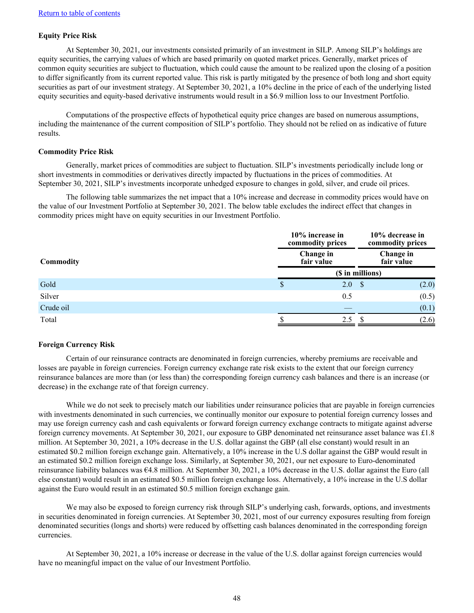## **Equity Price Risk**

At September 30, 2021, our investments consisted primarily of an investment in SILP. Among SILP's holdings are equity securities, the carrying values of which are based primarily on quoted market prices. Generally, market prices of common equity securities are subject to fluctuation, which could cause the amount to be realized upon the closing of a position to differ significantly from its current reported value. This risk is partly mitigated by the presence of both long and short equity securities as part of our investment strategy. At September 30, 2021, a 10% decline in the price of each of the underlying listed equity securities and equity-based derivative instruments would result in a \$6.9 million loss to our Investment Portfolio.

Computations of the prospective effects of hypothetical equity price changes are based on numerous assumptions, including the maintenance of the current composition of SILP's portfolio. They should not be relied on as indicative of future results.

#### **Commodity Price Risk**

Generally, market prices of commodities are subject to fluctuation. SILP's investments periodically include long or short investments in commodities or derivatives directly impacted by fluctuations in the prices of commodities. At September 30, 2021, SILP's investments incorporate unhedged exposure to changes in gold, silver, and crude oil prices.

The following table summarizes the net impact that a 10% increase and decrease in commodity prices would have on the value of our Investment Portfolio at September 30, 2021. The below table excludes the indirect effect that changes in commodity prices might have on equity securities in our Investment Portfolio.

|                  |   | 10% increase in<br>commodity prices |                         |       |  |  |
|------------------|---|-------------------------------------|-------------------------|-------|--|--|
| <b>Commodity</b> |   | Change in<br>fair value             | Change in<br>fair value |       |  |  |
|                  |   | (\$ in millions)                    |                         |       |  |  |
| Gold             | S | 2.0                                 | <b>S</b>                | (2.0) |  |  |
| Silver           |   | 0.5                                 |                         | (0.5) |  |  |
| Crude oil        |   |                                     |                         | (0.1) |  |  |
| Total            |   | 2.5                                 |                         | (2.6) |  |  |

#### **Foreign Currency Risk**

Certain of our reinsurance contracts are denominated in foreign currencies, whereby premiums are receivable and losses are payable in foreign currencies. Foreign currency exchange rate risk exists to the extent that our foreign currency reinsurance balances are more than (or less than) the corresponding foreign currency cash balances and there is an increase (or decrease) in the exchange rate of that foreign currency.

While we do not seek to precisely match our liabilities under reinsurance policies that are payable in foreign currencies with investments denominated in such currencies, we continually monitor our exposure to potential foreign currency losses and may use foreign currency cash and cash equivalents or forward foreign currency exchange contracts to mitigate against adverse foreign currency movements. At September 30, 2021, our exposure to GBP denominated net reinsurance asset balance was £1.8 million. At September 30, 2021, a 10% decrease in the U.S. dollar against the GBP (all else constant) would result in an estimated \$0.2 million foreign exchange gain. Alternatively, a 10% increase in the U.S dollar against the GBP would result in an estimated \$0.2 million foreign exchange loss. Similarly, at September 30, 2021, our net exposure to Euro-denominated reinsurance liability balances was €4.8 million. At September 30, 2021, a 10% decrease in the U.S. dollar against the Euro (all else constant) would result in an estimated \$0.5 million foreign exchange loss. Alternatively, a 10% increase in the U.S dollar against the Euro would result in an estimated \$0.5 million foreign exchange gain.

We may also be exposed to foreign currency risk through SILP's underlying cash, forwards, options, and investments in securities denominated in foreign currencies. At September 30, 2021, most of our currency exposures resulting from foreign denominated securities (longs and shorts) were reduced by offsetting cash balances denominated in the corresponding foreign currencies.

At September 30, 2021, a 10% increase or decrease in the value of the U.S. dollar against foreign currencies would have no meaningful impact on the value of our Investment Portfolio.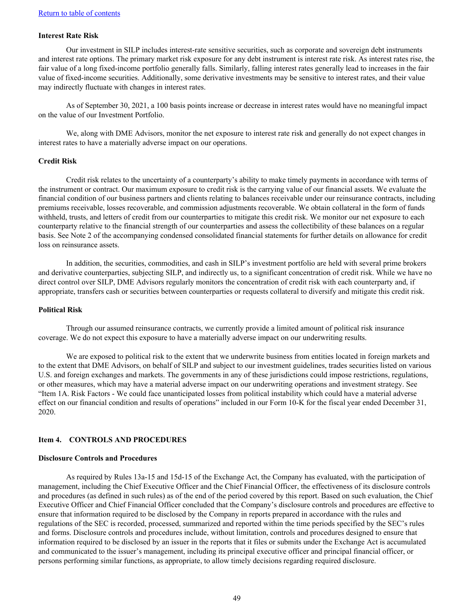## <span id="page-49-0"></span>**Interest Rate Risk**

Our investment in SILP includes interest-rate sensitive securities, such as corporate and sovereign debt instruments and interest rate options. The primary market risk exposure for any debt instrument is interest rate risk. As interest rates rise, the fair value of a long fixed-income portfolio generally falls. Similarly, falling interest rates generally lead to increases in the fair value of fixed-income securities. Additionally, some derivative investments may be sensitive to interest rates, and their value may indirectly fluctuate with changes in interest rates.

As of September 30, 2021, a 100 basis points increase or decrease in interest rates would have no meaningful impact on the value of our Investment Portfolio.

We, along with DME Advisors, monitor the net exposure to interest rate risk and generally do not expect changes in interest rates to have a materially adverse impact on our operations.

#### **Credit Risk**

Credit risk relates to the uncertainty of a counterparty's ability to make timely payments in accordance with terms of the instrument or contract. Our maximum exposure to credit risk is the carrying value of our financial assets. We evaluate the financial condition of our business partners and clients relating to balances receivable under our reinsurance contracts, including premiums receivable, losses recoverable, and commission adjustments recoverable. We obtain collateral in the form of funds withheld, trusts, and letters of credit from our counterparties to mitigate this credit risk. We monitor our net exposure to each counterparty relative to the financial strength of our counterparties and assess the collectibility of these balances on a regular basis. See Note 2 of the accompanying condensed consolidated financial statements for further details on allowance for credit loss on reinsurance assets.

In addition, the securities, commodities, and cash in SILP's investment portfolio are held with several prime brokers and derivative counterparties, subjecting SILP, and indirectly us, to a significant concentration of credit risk. While we have no direct control over SILP, DME Advisors regularly monitors the concentration of credit risk with each counterparty and, if appropriate, transfers cash or securities between counterparties or requests collateral to diversify and mitigate this credit risk.

#### **Political Risk**

Through our assumed reinsurance contracts, we currently provide a limited amount of political risk insurance coverage. We do not expect this exposure to have a materially adverse impact on our underwriting results.

We are exposed to political risk to the extent that we underwrite business from entities located in foreign markets and to the extent that DME Advisors, on behalf of SILP and subject to our investment guidelines, trades securities listed on various U.S. and foreign exchanges and markets. The governments in any of these jurisdictions could impose restrictions, regulations, or other measures, which may have a material adverse impact on our underwriting operations and investment strategy. See "Item 1A. Risk Factors - We could face unanticipated losses from political instability which could have a material adverse effect on our financial condition and results of operations" included in our Form 10-K for the fiscal year ended December 31, 2020.

## **Item 4. CONTROLS AND PROCEDURES**

#### **Disclosure Controls and Procedures**

As required by Rules 13a-15 and 15d-15 of the Exchange Act, the Company has evaluated, with the participation of management, including the Chief Executive Officer and the Chief Financial Officer, the effectiveness of its disclosure controls and procedures (as defined in such rules) as of the end of the period covered by this report. Based on such evaluation, the Chief Executive Officer and Chief Financial Officer concluded that the Company's disclosure controls and procedures are effective to ensure that information required to be disclosed by the Company in reports prepared in accordance with the rules and regulations of the SEC is recorded, processed, summarized and reported within the time periods specified by the SEC's rules and forms. Disclosure controls and procedures include, without limitation, controls and procedures designed to ensure that information required to be disclosed by an issuer in the reports that it files or submits under the Exchange Act is accumulated and communicated to the issuer's management, including its principal executive officer and principal financial officer, or persons performing similar functions, as appropriate, to allow timely decisions regarding required disclosure.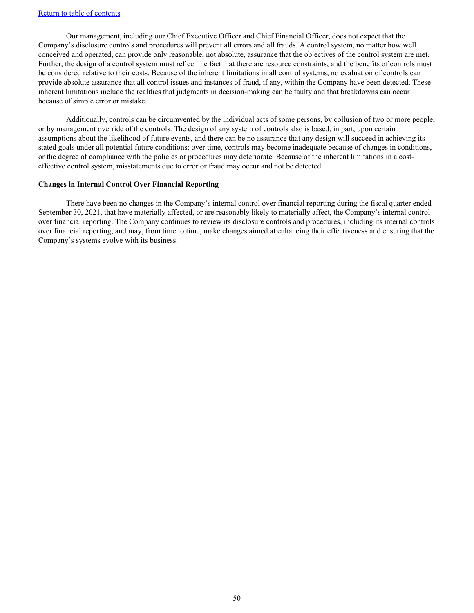## [Return to table of contents](#page-2-0)

Our management, including our Chief Executive Officer and Chief Financial Officer, does not expect that the Company's disclosure controls and procedures will prevent all errors and all frauds. A control system, no matter how well conceived and operated, can provide only reasonable, not absolute, assurance that the objectives of the control system are met. Further, the design of a control system must reflect the fact that there are resource constraints, and the benefits of controls must be considered relative to their costs. Because of the inherent limitations in all control systems, no evaluation of controls can provide absolute assurance that all control issues and instances of fraud, if any, within the Company have been detected. These inherent limitations include the realities that judgments in decision-making can be faulty and that breakdowns can occur because of simple error or mistake.

Additionally, controls can be circumvented by the individual acts of some persons, by collusion of two or more people, or by management override of the controls. The design of any system of controls also is based, in part, upon certain assumptions about the likelihood of future events, and there can be no assurance that any design will succeed in achieving its stated goals under all potential future conditions; over time, controls may become inadequate because of changes in conditions, or the degree of compliance with the policies or procedures may deteriorate. Because of the inherent limitations in a costeffective control system, misstatements due to error or fraud may occur and not be detected.

#### **Changes in Internal Control Over Financial Reporting**

There have been no changes in the Company's internal control over financial reporting during the fiscal quarter ended September 30, 2021, that have materially affected, or are reasonably likely to materially affect, the Company's internal control over financial reporting. The Company continues to review its disclosure controls and procedures, including its internal controls over financial reporting, and may, from time to time, make changes aimed at enhancing their effectiveness and ensuring that the Company's systems evolve with its business.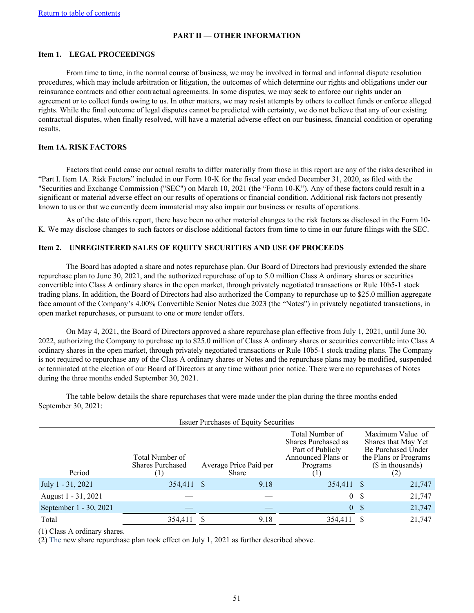### **PART II — OTHER INFORMATION**

#### <span id="page-51-0"></span>**Item 1. LEGAL PROCEEDINGS**

From time to time, in the normal course of business, we may be involved in formal and informal dispute resolution procedures, which may include arbitration or litigation, the outcomes of which determine our rights and obligations under our reinsurance contracts and other contractual agreements. In some disputes, we may seek to enforce our rights under an agreement or to collect funds owing to us. In other matters, we may resist attempts by others to collect funds or enforce alleged rights. While the final outcome of legal disputes cannot be predicted with certainty, we do not believe that any of our existing contractual disputes, when finally resolved, will have a material adverse effect on our business, financial condition or operating results.

#### **Item 1A. RISK FACTORS**

Factors that could cause our actual results to differ materially from those in this report are any of the risks described in "Part I. Item 1A. Risk Factors" included in our Form 10-K for the fiscal year ended December 31, 2020, as filed with the "Securities and Exchange Commission ("SEC") on March 10, 2021 (the "Form 10-K"). Any of these factors could result in a significant or material adverse effect on our results of operations or financial condition. Additional risk factors not presently known to us or that we currently deem immaterial may also impair our business or results of operations.

As of the date of this report, there have been no other material changes to the risk factors as disclosed in the Form 10- K. We may disclose changes to such factors or disclose additional factors from time to time in our future filings with the SEC.

#### **Item 2. UNREGISTERED SALES OF EQUITY SECURITIES AND USE OF PROCEEDS**

The Board has adopted a share and notes repurchase plan. Our Board of Directors had previously extended the share repurchase plan to June 30, 2021, and the authorized repurchase of up to 5.0 million Class A ordinary shares or securities convertible into Class A ordinary shares in the open market, through privately negotiated transactions or Rule 10b5-1 stock trading plans. In addition, the Board of Directors had also authorized the Company to repurchase up to \$25.0 million aggregate face amount of the Company's 4.00% Convertible Senior Notes due 2023 (the "Notes") in privately negotiated transactions, in open market repurchases, or pursuant to one or more tender offers.

On May 4, 2021, the Board of Directors approved a share repurchase plan effective from July 1, 2021, until June 30, 2022, authorizing the Company to purchase up to \$25.0 million of Class A ordinary shares or securities convertible into Class A ordinary shares in the open market, through privately negotiated transactions or Rule 10b5-1 stock trading plans. The Company is not required to repurchase any of the Class A ordinary shares or Notes and the repurchase plans may be modified, suspended or terminated at the election of our Board of Directors at any time without prior notice. There were no repurchases of Notes during the three months ended September 30, 2021.

Issuer Purchases of Equity Securities Period Total Number of Shares Purchased (1) Average Price Paid per Share Total Number of Shares Purchased as Part of Publicly Announced Plans or Programs (1) Maximum Value of Shares that May Yet Be Purchased Under the Plans or Programs (\$ in thousands) (2) July 1 - 31, 2021 354,411 \$ 9.18 354,411 \$ 21,747 August 1 - 31, 2021 — — — — — — 0 \$ 21,747 September 1 - 30, 2021 — — — — — — 0 \$ 21,747 Total 354,411 \$ 9.18 354,411 \$ 21,747

The table below details the share repurchases that were made under the plan during the three months ended September 30, 2021:

(1) Class A ordinary shares.

(2) The new share repurchase plan took effect on July 1, 2021 as further described above.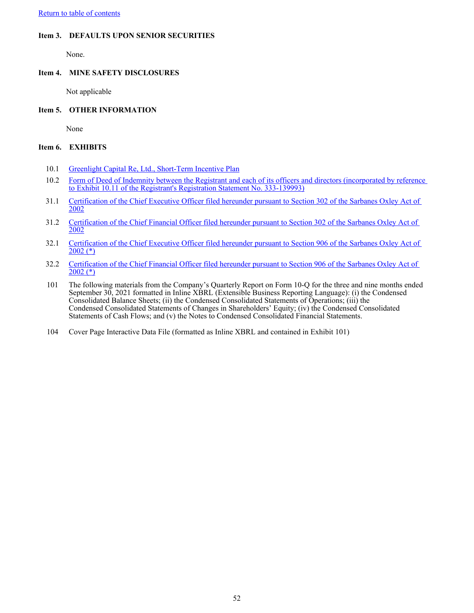<span id="page-52-0"></span>[Return to table of contents](#page-2-0)

## **Item 3. DEFAULTS UPON SENIOR SECURITIES**

None.

## **Item 4. MINE SAFETY DISCLOSURES**

Not applicable

## **Item 5. OTHER INFORMATION**

None

## **Item 6. EXHIBITS**

- 10.1 [Greenlight Capital Re, Ltd., Short-Term Incentive Plan](wurl://docs.v1/doc:e903f3ea053d44bdab0b5e46fb6f3907)
- 10.2 Form of Deed of Indemnity between the Registrant and each of its officers and directors (incorporated by reference [to Exhibit 10.11 of the Registrant's Registration Statement No. 333-139993\)](http://www.sec.gov/Archives/edgar/data/1385613/000095013607000186/file14.htm)
- 31.1 [Certification of the Chief Executive Officer filed hereunder pursuant to Section 302 of the Sarbanes Oxley Act of](wurl://docs.v1/doc:7ae7ecd65f9c4575b9250c40d64d19ce)  [2002](wurl://docs.v1/doc:7ae7ecd65f9c4575b9250c40d64d19ce)
- 31.2 [Certification of the Chief Financial Officer filed hereunder pursuant to Section 302 of the Sarbanes Oxley Act of](wurl://docs.v1/doc:baeed6a23dcd43c2902329329442f728)  [2002](wurl://docs.v1/doc:baeed6a23dcd43c2902329329442f728)
- 32.1 [Certification of the Chief Executive Officer filed hereunder pursuant to Section 906 of the Sarbanes Oxley Act of](wurl://docs.v1/doc:3670df952b5a4354b51d6e9b5f71c84c)  [2002 \(\\*\)](wurl://docs.v1/doc:3670df952b5a4354b51d6e9b5f71c84c)
- 32.2 [Certification of the Chief Financial Officer filed hereunder pursuant to Section 906 of the Sarbanes Oxley Act of](wurl://docs.v1/doc:3eeb1873b06140aba547a60da26c127d)   $2002$  (\*)
- 101 The following materials from the Company's Quarterly Report on Form 10-Q for the three and nine months ended September 30, 2021 formatted in Inline XBRL (Extensible Business Reporting Language): (i) the Condensed Consolidated Balance Sheets; (ii) the Condensed Consolidated Statements of Operations; (iii) the Condensed Consolidated Statements of Changes in Shareholders' Equity; (iv) the Condensed Consolidated Statements of Cash Flows; and (v) the Notes to Condensed Consolidated Financial Statements.
- 104 Cover Page Interactive Data File (formatted as Inline XBRL and contained in Exhibit 101)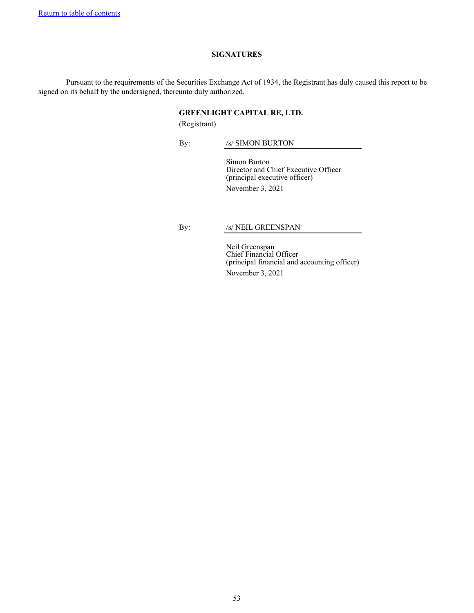#### **SIGNATURES**

<span id="page-53-0"></span>Pursuant to the requirements of the Securities Exchange Act of 1934, the Registrant has duly caused this report to be signed on its behalf by the undersigned, thereunto duly authorized.

### **GREENLIGHT CAPITAL RE, LTD.**

(Registrant)

By: /s/ SIMON BURTON

Simon Burton Director and Chief Executive Officer (principal executive officer) November 3, 2021

By: /s/ NEIL GREENSPAN

Neil Greenspan Chief Financial Officer (principal financial and accounting officer) November 3, 2021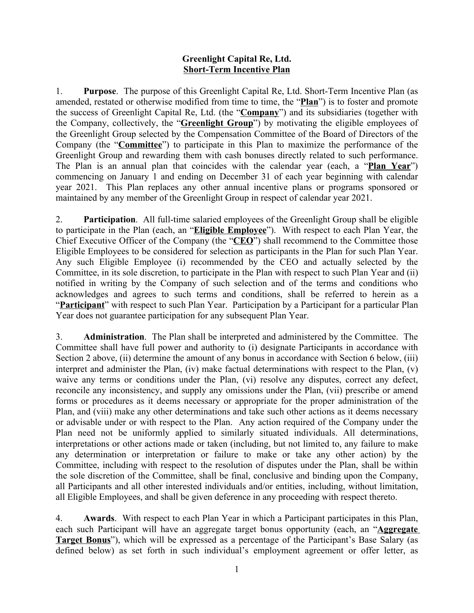## **Greenlight Capital Re, Ltd. Short-Term Incentive Plan**

1. **Purpose**. The purpose of this Greenlight Capital Re, Ltd. Short-Term Incentive Plan (as amended, restated or otherwise modified from time to time, the "**Plan**") is to foster and promote the success of Greenlight Capital Re, Ltd. (the "**Company**") and its subsidiaries (together with the Company, collectively, the "**Greenlight Group**") by motivating the eligible employees of the Greenlight Group selected by the Compensation Committee of the Board of Directors of the Company (the "**Committee**") to participate in this Plan to maximize the performance of the Greenlight Group and rewarding them with cash bonuses directly related to such performance. The Plan is an annual plan that coincides with the calendar year (each, a "**Plan Year**") commencing on January 1 and ending on December 31 of each year beginning with calendar year 2021. This Plan replaces any other annual incentive plans or programs sponsored or maintained by any member of the Greenlight Group in respect of calendar year 2021.

2. **Participation**. All full-time salaried employees of the Greenlight Group shall be eligible to participate in the Plan (each, an "**Eligible Employee**"). With respect to each Plan Year, the Chief Executive Officer of the Company (the "**CEO**") shall recommend to the Committee those Eligible Employees to be considered for selection as participants in the Plan for such Plan Year. Any such Eligible Employee (i) recommended by the CEO and actually selected by the Committee, in its sole discretion, to participate in the Plan with respect to such Plan Year and (ii) notified in writing by the Company of such selection and of the terms and conditions who acknowledges and agrees to such terms and conditions, shall be referred to herein as a "**Participant**" with respect to such Plan Year. Participation by a Participant for a particular Plan Year does not guarantee participation for any subsequent Plan Year.

3. **Administration**. The Plan shall be interpreted and administered by the Committee. The Committee shall have full power and authority to (i) designate Participants in accordance with Section 2 above, (ii) determine the amount of any bonus in accordance with Section 6 below, (iii) interpret and administer the Plan, (iv) make factual determinations with respect to the Plan, (v) waive any terms or conditions under the Plan, (vi) resolve any disputes, correct any defect, reconcile any inconsistency, and supply any omissions under the Plan, (vii) prescribe or amend forms or procedures as it deems necessary or appropriate for the proper administration of the Plan, and (viii) make any other determinations and take such other actions as it deems necessary or advisable under or with respect to the Plan. Any action required of the Company under the Plan need not be uniformly applied to similarly situated individuals. All determinations, interpretations or other actions made or taken (including, but not limited to, any failure to make any determination or interpretation or failure to make or take any other action) by the Committee, including with respect to the resolution of disputes under the Plan, shall be within the sole discretion of the Committee, shall be final, conclusive and binding upon the Company, all Participants and all other interested individuals and/or entities, including, without limitation, all Eligible Employees, and shall be given deference in any proceeding with respect thereto.

4. **Awards**. With respect to each Plan Year in which a Participant participates in this Plan, each such Participant will have an aggregate target bonus opportunity (each, an "**Aggregate Target Bonus**"), which will be expressed as a percentage of the Participant's Base Salary (as defined below) as set forth in such individual's employment agreement or offer letter, as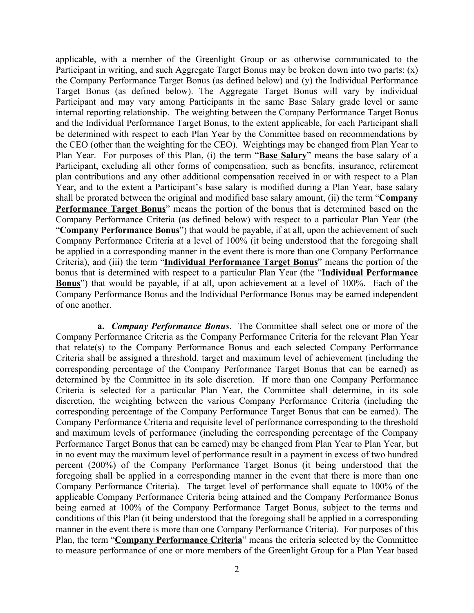applicable, with a member of the Greenlight Group or as otherwise communicated to the Participant in writing, and such Aggregate Target Bonus may be broken down into two parts: (x) the Company Performance Target Bonus (as defined below) and (y) the Individual Performance Target Bonus (as defined below). The Aggregate Target Bonus will vary by individual Participant and may vary among Participants in the same Base Salary grade level or same internal reporting relationship. The weighting between the Company Performance Target Bonus and the Individual Performance Target Bonus, to the extent applicable, for each Participant shall be determined with respect to each Plan Year by the Committee based on recommendations by the CEO (other than the weighting for the CEO). Weightings may be changed from Plan Year to Plan Year. For purposes of this Plan, (i) the term "**Base Salary**" means the base salary of a Participant, excluding all other forms of compensation, such as benefits, insurance, retirement plan contributions and any other additional compensation received in or with respect to a Plan Year, and to the extent a Participant's base salary is modified during a Plan Year, base salary shall be prorated between the original and modified base salary amount, (ii) the term "**Company Performance Target Bonus**" means the portion of the bonus that is determined based on the Company Performance Criteria (as defined below) with respect to a particular Plan Year (the "**Company Performance Bonus**") that would be payable, if at all, upon the achievement of such Company Performance Criteria at a level of 100% (it being understood that the foregoing shall be applied in a corresponding manner in the event there is more than one Company Performance Criteria), and (iii) the term "**Individual Performance Target Bonus**" means the portion of the bonus that is determined with respect to a particular Plan Year (the "**Individual Performance Bonus**") that would be payable, if at all, upon achievement at a level of 100%. Each of the Company Performance Bonus and the Individual Performance Bonus may be earned independent of one another.

**a.** *Company Performance Bonus*. The Committee shall select one or more of the Company Performance Criteria as the Company Performance Criteria for the relevant Plan Year that relate(s) to the Company Performance Bonus and each selected Company Performance Criteria shall be assigned a threshold, target and maximum level of achievement (including the corresponding percentage of the Company Performance Target Bonus that can be earned) as determined by the Committee in its sole discretion. If more than one Company Performance Criteria is selected for a particular Plan Year, the Committee shall determine, in its sole discretion, the weighting between the various Company Performance Criteria (including the corresponding percentage of the Company Performance Target Bonus that can be earned). The Company Performance Criteria and requisite level of performance corresponding to the threshold and maximum levels of performance (including the corresponding percentage of the Company Performance Target Bonus that can be earned) may be changed from Plan Year to Plan Year, but in no event may the maximum level of performance result in a payment in excess of two hundred percent (200%) of the Company Performance Target Bonus (it being understood that the foregoing shall be applied in a corresponding manner in the event that there is more than one Company Performance Criteria). The target level of performance shall equate to 100% of the applicable Company Performance Criteria being attained and the Company Performance Bonus being earned at 100% of the Company Performance Target Bonus, subject to the terms and conditions of this Plan (it being understood that the foregoing shall be applied in a corresponding manner in the event there is more than one Company Performance Criteria). For purposes of this Plan, the term "**Company Performance Criteria**" means the criteria selected by the Committee to measure performance of one or more members of the Greenlight Group for a Plan Year based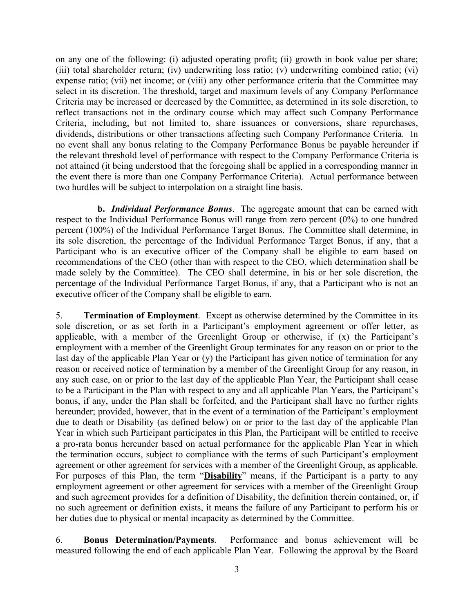on any one of the following: (i) adjusted operating profit; (ii) growth in book value per share; (iii) total shareholder return; (iv) underwriting loss ratio; (v) underwriting combined ratio; (vi) expense ratio; (vii) net income; or (viii) any other performance criteria that the Committee may select in its discretion. The threshold, target and maximum levels of any Company Performance Criteria may be increased or decreased by the Committee, as determined in its sole discretion, to reflect transactions not in the ordinary course which may affect such Company Performance Criteria, including, but not limited to, share issuances or conversions, share repurchases, dividends, distributions or other transactions affecting such Company Performance Criteria. In no event shall any bonus relating to the Company Performance Bonus be payable hereunder if the relevant threshold level of performance with respect to the Company Performance Criteria is not attained (it being understood that the foregoing shall be applied in a corresponding manner in the event there is more than one Company Performance Criteria). Actual performance between two hurdles will be subject to interpolation on a straight line basis.

**b.** *Individual Performance Bonus*. The aggregate amount that can be earned with respect to the Individual Performance Bonus will range from zero percent (0%) to one hundred percent (100%) of the Individual Performance Target Bonus. The Committee shall determine, in its sole discretion, the percentage of the Individual Performance Target Bonus, if any, that a Participant who is an executive officer of the Company shall be eligible to earn based on recommendations of the CEO (other than with respect to the CEO, which determination shall be made solely by the Committee). The CEO shall determine, in his or her sole discretion, the percentage of the Individual Performance Target Bonus, if any, that a Participant who is not an executive officer of the Company shall be eligible to earn.

5. **Termination of Employment**. Except as otherwise determined by the Committee in its sole discretion, or as set forth in a Participant's employment agreement or offer letter, as applicable, with a member of the Greenlight Group or otherwise, if (x) the Participant's employment with a member of the Greenlight Group terminates for any reason on or prior to the last day of the applicable Plan Year or (y) the Participant has given notice of termination for any reason or received notice of termination by a member of the Greenlight Group for any reason, in any such case, on or prior to the last day of the applicable Plan Year, the Participant shall cease to be a Participant in the Plan with respect to any and all applicable Plan Years, the Participant's bonus, if any, under the Plan shall be forfeited, and the Participant shall have no further rights hereunder; provided, however, that in the event of a termination of the Participant's employment due to death or Disability (as defined below) on or prior to the last day of the applicable Plan Year in which such Participant participates in this Plan, the Participant will be entitled to receive a pro-rata bonus hereunder based on actual performance for the applicable Plan Year in which the termination occurs, subject to compliance with the terms of such Participant's employment agreement or other agreement for services with a member of the Greenlight Group, as applicable. For purposes of this Plan, the term "**Disability**" means, if the Participant is a party to any employment agreement or other agreement for services with a member of the Greenlight Group and such agreement provides for a definition of Disability, the definition therein contained, or, if no such agreement or definition exists, it means the failure of any Participant to perform his or her duties due to physical or mental incapacity as determined by the Committee.

6. **Bonus Determination/Payments**. Performance and bonus achievement will be measured following the end of each applicable Plan Year. Following the approval by the Board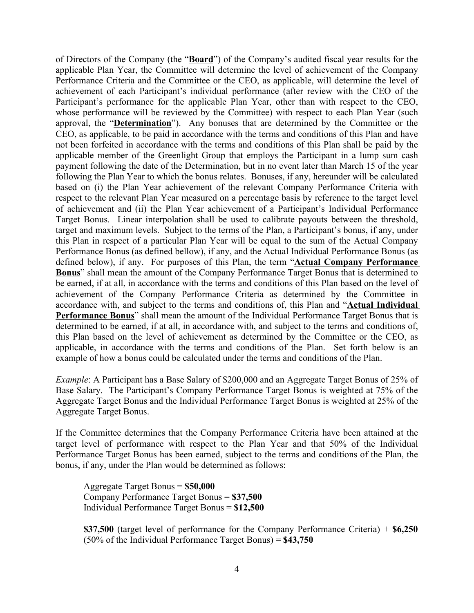of Directors of the Company (the "**Board**") of the Company's audited fiscal year results for the applicable Plan Year, the Committee will determine the level of achievement of the Company Performance Criteria and the Committee or the CEO, as applicable, will determine the level of achievement of each Participant's individual performance (after review with the CEO of the Participant's performance for the applicable Plan Year, other than with respect to the CEO, whose performance will be reviewed by the Committee) with respect to each Plan Year (such approval, the "**Determination**"). Any bonuses that are determined by the Committee or the CEO, as applicable, to be paid in accordance with the terms and conditions of this Plan and have not been forfeited in accordance with the terms and conditions of this Plan shall be paid by the applicable member of the Greenlight Group that employs the Participant in a lump sum cash payment following the date of the Determination, but in no event later than March 15 of the year following the Plan Year to which the bonus relates. Bonuses, if any, hereunder will be calculated based on (i) the Plan Year achievement of the relevant Company Performance Criteria with respect to the relevant Plan Year measured on a percentage basis by reference to the target level of achievement and (ii) the Plan Year achievement of a Participant's Individual Performance Target Bonus. Linear interpolation shall be used to calibrate payouts between the threshold, target and maximum levels. Subject to the terms of the Plan, a Participant's bonus, if any, under this Plan in respect of a particular Plan Year will be equal to the sum of the Actual Company Performance Bonus (as defined bellow), if any, and the Actual Individual Performance Bonus (as defined below), if any. For purposes of this Plan, the term "**Actual Company Performance Bonus**" shall mean the amount of the Company Performance Target Bonus that is determined to be earned, if at all, in accordance with the terms and conditions of this Plan based on the level of achievement of the Company Performance Criteria as determined by the Committee in accordance with, and subject to the terms and conditions of, this Plan and "**Actual Individual Performance Bonus**" shall mean the amount of the Individual Performance Target Bonus that is determined to be earned, if at all, in accordance with, and subject to the terms and conditions of, this Plan based on the level of achievement as determined by the Committee or the CEO, as applicable, in accordance with the terms and conditions of the Plan. Set forth below is an example of how a bonus could be calculated under the terms and conditions of the Plan.

*Example*: A Participant has a Base Salary of \$200,000 and an Aggregate Target Bonus of 25% of Base Salary. The Participant's Company Performance Target Bonus is weighted at 75% of the Aggregate Target Bonus and the Individual Performance Target Bonus is weighted at 25% of the Aggregate Target Bonus.

If the Committee determines that the Company Performance Criteria have been attained at the target level of performance with respect to the Plan Year and that 50% of the Individual Performance Target Bonus has been earned, subject to the terms and conditions of the Plan, the bonus, if any, under the Plan would be determined as follows:

Aggregate Target Bonus = **\$50,000** Company Performance Target Bonus = **\$37,500** Individual Performance Target Bonus = **\$12,500**

**\$37,500** (target level of performance for the Company Performance Criteria) + **\$6,250** (50% of the Individual Performance Target Bonus) = **\$43,750**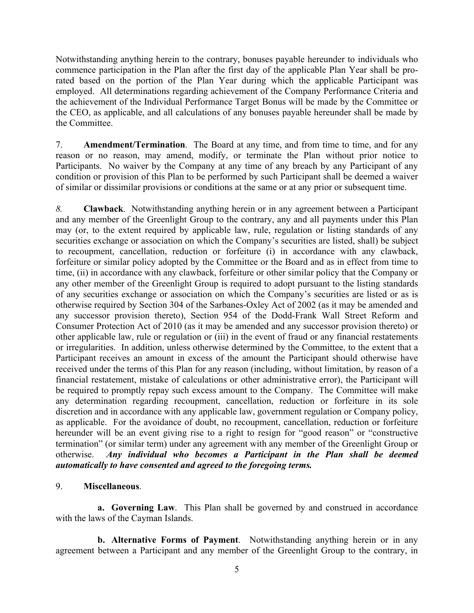Notwithstanding anything herein to the contrary, bonuses payable hereunder to individuals who commence participation in the Plan after the first day of the applicable Plan Year shall be prorated based on the portion of the Plan Year during which the applicable Participant was employed. All determinations regarding achievement of the Company Performance Criteria and the achievement of the Individual Performance Target Bonus will be made by the Committee or the CEO, as applicable, and all calculations of any bonuses payable hereunder shall be made by the Committee.

7. **Amendment/Termination**. The Board at any time, and from time to time, and for any reason or no reason, may amend, modify, or terminate the Plan without prior notice to Participants. No waiver by the Company at any time of any breach by any Participant of any condition or provision of this Plan to be performed by such Participant shall be deemed a waiver of similar or dissimilar provisions or conditions at the same or at any prior or subsequent time.

*8.* **Clawback**. Notwithstanding anything herein or in any agreement between a Participant and any member of the Greenlight Group to the contrary, any and all payments under this Plan may (or, to the extent required by applicable law, rule, regulation or listing standards of any securities exchange or association on which the Company's securities are listed, shall) be subject to recoupment, cancellation, reduction or forfeiture (i) in accordance with any clawback, forfeiture or similar policy adopted by the Committee or the Board and as in effect from time to time, (ii) in accordance with any clawback, forfeiture or other similar policy that the Company or any other member of the Greenlight Group is required to adopt pursuant to the listing standards of any securities exchange or association on which the Company's securities are listed or as is otherwise required by Section 304 of the Sarbanes-Oxley Act of 2002 (as it may be amended and any successor provision thereto), Section 954 of the Dodd-Frank Wall Street Reform and Consumer Protection Act of 2010 (as it may be amended and any successor provision thereto) or other applicable law, rule or regulation or (iii) in the event of fraud or any financial restatements or irregularities. In addition, unless otherwise determined by the Committee, to the extent that a Participant receives an amount in excess of the amount the Participant should otherwise have received under the terms of this Plan for any reason (including, without limitation, by reason of a financial restatement, mistake of calculations or other administrative error), the Participant will be required to promptly repay such excess amount to the Company. The Committee will make any determination regarding recoupment, cancellation, reduction or forfeiture in its sole discretion and in accordance with any applicable law, government regulation or Company policy, as applicable. For the avoidance of doubt, no recoupment, cancellation, reduction or forfeiture hereunder will be an event giving rise to a right to resign for "good reason" or "constructive termination" (or similar term) under any agreement with any member of the Greenlight Group or otherwise. *Any individual who becomes a Participant in the Plan shall be deemed automatically to have consented and agreed to the foregoing terms.*

9. **Miscellaneous**.

**a. Governing Law**. This Plan shall be governed by and construed in accordance with the laws of the Cayman Islands.

**b. Alternative Forms of Payment**.Notwithstanding anything herein or in any agreement between a Participant and any member of the Greenlight Group to the contrary, in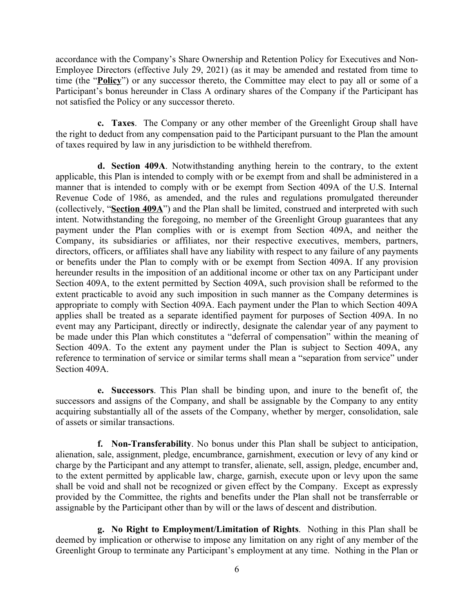accordance with the Company's Share Ownership and Retention Policy for Executives and Non-Employee Directors (effective July 29, 2021) (as it may be amended and restated from time to time (the "**Policy**") or any successor thereto, the Committee may elect to pay all or some of a Participant's bonus hereunder in Class A ordinary shares of the Company if the Participant has not satisfied the Policy or any successor thereto.

**c. Taxes**. The Company or any other member of the Greenlight Group shall have the right to deduct from any compensation paid to the Participant pursuant to the Plan the amount of taxes required by law in any jurisdiction to be withheld therefrom.

**d. Section 409A**. Notwithstanding anything herein to the contrary, to the extent applicable, this Plan is intended to comply with or be exempt from and shall be administered in a manner that is intended to comply with or be exempt from Section 409A of the U.S. Internal Revenue Code of 1986, as amended, and the rules and regulations promulgated thereunder (collectively, "**Section 409A**") and the Plan shall be limited, construed and interpreted with such intent. Notwithstanding the foregoing, no member of the Greenlight Group guarantees that any payment under the Plan complies with or is exempt from Section 409A, and neither the Company, its subsidiaries or affiliates, nor their respective executives, members, partners, directors, officers, or affiliates shall have any liability with respect to any failure of any payments or benefits under the Plan to comply with or be exempt from Section 409A. If any provision hereunder results in the imposition of an additional income or other tax on any Participant under Section 409A, to the extent permitted by Section 409A, such provision shall be reformed to the extent practicable to avoid any such imposition in such manner as the Company determines is appropriate to comply with Section 409A. Each payment under the Plan to which Section 409A applies shall be treated as a separate identified payment for purposes of Section 409A. In no event may any Participant, directly or indirectly, designate the calendar year of any payment to be made under this Plan which constitutes a "deferral of compensation" within the meaning of Section 409A. To the extent any payment under the Plan is subject to Section 409A, any reference to termination of service or similar terms shall mean a "separation from service" under Section 409A.

**e. Successors**. This Plan shall be binding upon, and inure to the benefit of, the successors and assigns of the Company, and shall be assignable by the Company to any entity acquiring substantially all of the assets of the Company, whether by merger, consolidation, sale of assets or similar transactions.

**f. Non-Transferability**. No bonus under this Plan shall be subject to anticipation, alienation, sale, assignment, pledge, encumbrance, garnishment, execution or levy of any kind or charge by the Participant and any attempt to transfer, alienate, sell, assign, pledge, encumber and, to the extent permitted by applicable law, charge, garnish, execute upon or levy upon the same shall be void and shall not be recognized or given effect by the Company. Except as expressly provided by the Committee, the rights and benefits under the Plan shall not be transferrable or assignable by the Participant other than by will or the laws of descent and distribution.

**g. No Right to Employment/Limitation of Rights**. Nothing in this Plan shall be deemed by implication or otherwise to impose any limitation on any right of any member of the Greenlight Group to terminate any Participant's employment at any time. Nothing in the Plan or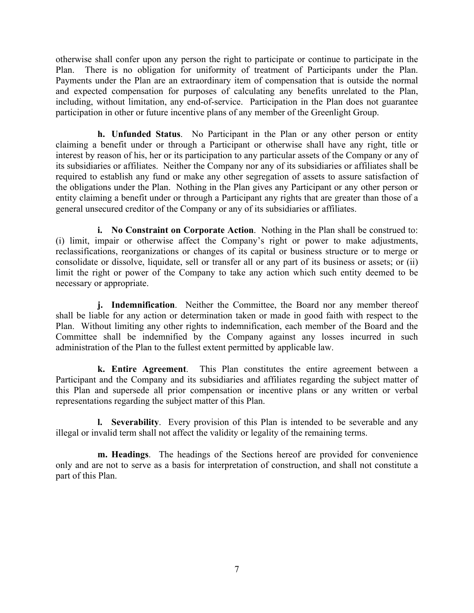otherwise shall confer upon any person the right to participate or continue to participate in the Plan. There is no obligation for uniformity of treatment of Participants under the Plan. Payments under the Plan are an extraordinary item of compensation that is outside the normal and expected compensation for purposes of calculating any benefits unrelated to the Plan, including, without limitation, any end-of-service. Participation in the Plan does not guarantee participation in other or future incentive plans of any member of the Greenlight Group.

**h. Unfunded Status**. No Participant in the Plan or any other person or entity claiming a benefit under or through a Participant or otherwise shall have any right, title or interest by reason of his, her or its participation to any particular assets of the Company or any of its subsidiaries or affiliates. Neither the Company nor any of its subsidiaries or affiliates shall be required to establish any fund or make any other segregation of assets to assure satisfaction of the obligations under the Plan. Nothing in the Plan gives any Participant or any other person or entity claiming a benefit under or through a Participant any rights that are greater than those of a general unsecured creditor of the Company or any of its subsidiaries or affiliates.

**i. No Constraint on Corporate Action**. Nothing in the Plan shall be construed to: (i) limit, impair or otherwise affect the Company's right or power to make adjustments, reclassifications, reorganizations or changes of its capital or business structure or to merge or consolidate or dissolve, liquidate, sell or transfer all or any part of its business or assets; or (ii) limit the right or power of the Company to take any action which such entity deemed to be necessary or appropriate.

**j. Indemnification**. Neither the Committee, the Board nor any member thereof shall be liable for any action or determination taken or made in good faith with respect to the Plan. Without limiting any other rights to indemnification, each member of the Board and the Committee shall be indemnified by the Company against any losses incurred in such administration of the Plan to the fullest extent permitted by applicable law.

**k. Entire Agreement**. This Plan constitutes the entire agreement between a Participant and the Company and its subsidiaries and affiliates regarding the subject matter of this Plan and supersede all prior compensation or incentive plans or any written or verbal representations regarding the subject matter of this Plan.

**l. Severability**.Every provision of this Plan is intended to be severable and any illegal or invalid term shall not affect the validity or legality of the remaining terms.

**m. Headings**. The headings of the Sections hereof are provided for convenience only and are not to serve as a basis for interpretation of construction, and shall not constitute a part of this Plan.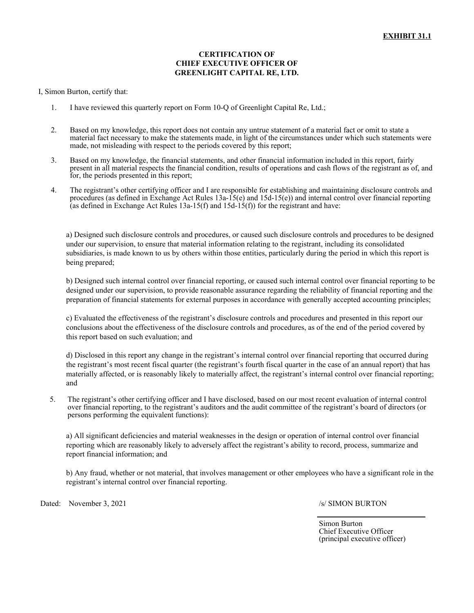## **CERTIFICATION OF CHIEF EXECUTIVE OFFICER OF GREENLIGHT CAPITAL RE, LTD.**

#### I, Simon Burton, certify that:

- 1. I have reviewed this quarterly report on Form 10-Q of Greenlight Capital Re, Ltd.;
- 2. Based on my knowledge, this report does not contain any untrue statement of a material fact or omit to state a material fact necessary to make the statements made, in light of the circumstances under which such statements were made, not misleading with respect to the periods covered by this report;
- 3. Based on my knowledge, the financial statements, and other financial information included in this report, fairly present in all material respects the financial condition, results of operations and cash flows of the registrant as of, and for, the periods presented in this report;
- 4. The registrant's other certifying officer and I are responsible for establishing and maintaining disclosure controls and procedures (as defined in Exchange Act Rules 13a-15(e) and 15d-15(e)) and internal control over financial reporting (as defined in Exchange Act Rules  $13a-15(f)$  and  $15d-15(f)$ ) for the registrant and have:

a) Designed such disclosure controls and procedures, or caused such disclosure controls and procedures to be designed under our supervision, to ensure that material information relating to the registrant, including its consolidated subsidiaries, is made known to us by others within those entities, particularly during the period in which this report is being prepared;

b) Designed such internal control over financial reporting, or caused such internal control over financial reporting to be designed under our supervision, to provide reasonable assurance regarding the reliability of financial reporting and the preparation of financial statements for external purposes in accordance with generally accepted accounting principles;

c) Evaluated the effectiveness of the registrant's disclosure controls and procedures and presented in this report our conclusions about the effectiveness of the disclosure controls and procedures, as of the end of the period covered by this report based on such evaluation; and

d) Disclosed in this report any change in the registrant's internal control over financial reporting that occurred during the registrant's most recent fiscal quarter (the registrant's fourth fiscal quarter in the case of an annual report) that has materially affected, or is reasonably likely to materially affect, the registrant's internal control over financial reporting; and

5. The registrant's other certifying officer and I have disclosed, based on our most recent evaluation of internal control over financial reporting, to the registrant's auditors and the audit committee of the registrant's board of directors (or persons performing the equivalent functions):

a) All significant deficiencies and material weaknesses in the design or operation of internal control over financial reporting which are reasonably likely to adversely affect the registrant's ability to record, process, summarize and report financial information; and

b) Any fraud, whether or not material, that involves management or other employees who have a significant role in the registrant's internal control over financial reporting.

Dated: November 3, 2021 /s/ SIMON BURTON

Simon Burton Chief Executive Officer (principal executive officer)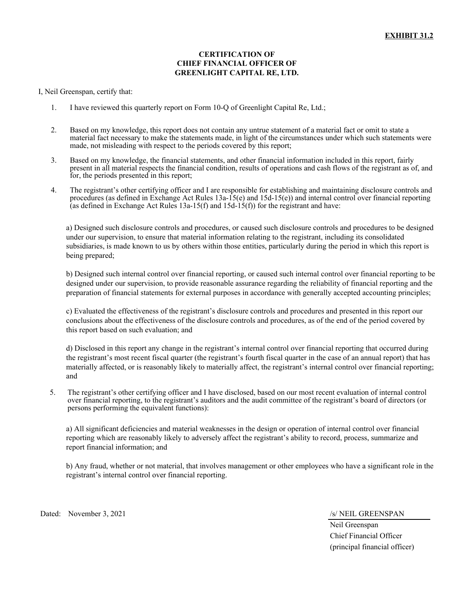## **CERTIFICATION OF CHIEF FINANCIAL OFFICER OF GREENLIGHT CAPITAL RE, LTD.**

I, Neil Greenspan, certify that:

- 1. I have reviewed this quarterly report on Form 10-Q of Greenlight Capital Re, Ltd.;
- 2. Based on my knowledge, this report does not contain any untrue statement of a material fact or omit to state a material fact necessary to make the statements made, in light of the circumstances under which such statements were made, not misleading with respect to the periods covered by this report;
- 3. Based on my knowledge, the financial statements, and other financial information included in this report, fairly present in all material respects the financial condition, results of operations and cash flows of the registrant as of, and for, the periods presented in this report;
- 4. The registrant's other certifying officer and I are responsible for establishing and maintaining disclosure controls and procedures (as defined in Exchange Act Rules 13a-15(e) and 15d-15(e)) and internal control over financial reporting (as defined in Exchange Act Rules  $13a-15(f)$  and  $15d-15(f)$ ) for the registrant and have:

a) Designed such disclosure controls and procedures, or caused such disclosure controls and procedures to be designed under our supervision, to ensure that material information relating to the registrant, including its consolidated subsidiaries, is made known to us by others within those entities, particularly during the period in which this report is being prepared;

b) Designed such internal control over financial reporting, or caused such internal control over financial reporting to be designed under our supervision, to provide reasonable assurance regarding the reliability of financial reporting and the preparation of financial statements for external purposes in accordance with generally accepted accounting principles;

c) Evaluated the effectiveness of the registrant's disclosure controls and procedures and presented in this report our conclusions about the effectiveness of the disclosure controls and procedures, as of the end of the period covered by this report based on such evaluation; and

d) Disclosed in this report any change in the registrant's internal control over financial reporting that occurred during the registrant's most recent fiscal quarter (the registrant's fourth fiscal quarter in the case of an annual report) that has materially affected, or is reasonably likely to materially affect, the registrant's internal control over financial reporting; and

5. The registrant's other certifying officer and I have disclosed, based on our most recent evaluation of internal control over financial reporting, to the registrant's auditors and the audit committee of the registrant's board of directors (or persons performing the equivalent functions):

a) All significant deficiencies and material weaknesses in the design or operation of internal control over financial reporting which are reasonably likely to adversely affect the registrant's ability to record, process, summarize and report financial information; and

b) Any fraud, whether or not material, that involves management or other employees who have a significant role in the registrant's internal control over financial reporting.

Dated: November 3, 2021 /s/ NEIL GREENSPAN

Neil Greenspan Chief Financial Officer (principal financial officer)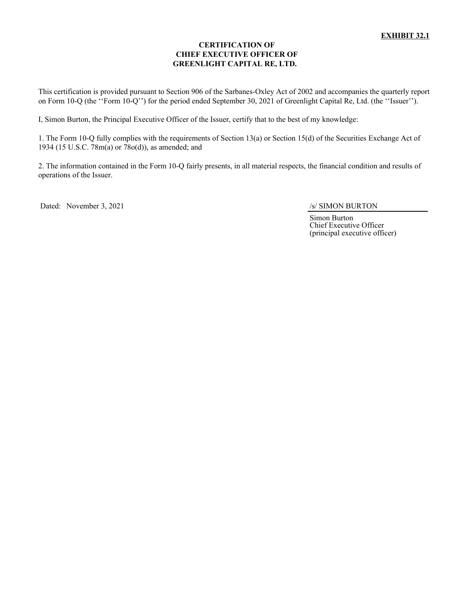## **CERTIFICATION OF CHIEF EXECUTIVE OFFICER OF GREENLIGHT CAPITAL RE, LTD.**

This certification is provided pursuant to Section 906 of the Sarbanes-Oxley Act of 2002 and accompanies the quarterly report on Form 10-Q (the ''Form 10-Q'') for the period ended September 30, 2021 of Greenlight Capital Re, Ltd. (the ''Issuer'').

I, Simon Burton, the Principal Executive Officer of the Issuer, certify that to the best of my knowledge:

1. The Form 10-Q fully complies with the requirements of Section 13(a) or Section 15(d) of the Securities Exchange Act of 1934 (15 U.S.C. 78m(a) or 78o(d)), as amended; and

2. The information contained in the Form 10-Q fairly presents, in all material respects, the financial condition and results of operations of the Issuer.

Dated: November 3, 2021 /s/ SIMON BURTON

Simon Burton Chief Executive Officer (principal executive officer)